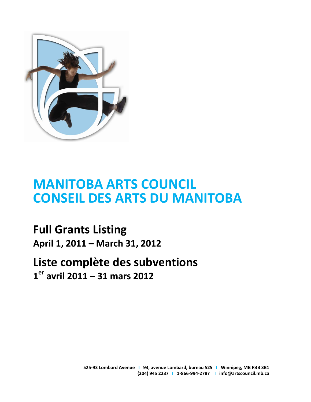

# **MANITOBA ARTS COUNCIL CONSEIL DES ARTS DU MANITOBA**

**Full Grants Listing April 1, 2011 – March 31, 2012** 

# **Liste complète des subventions 1 er avril 2011 – 31 mars 2012**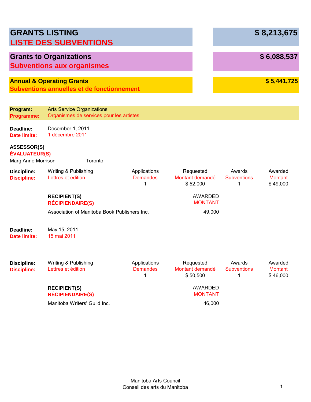| <b>GRANTS LISTING</b>                                            | <b>LISTE DES SUBVENTIONS</b>                                                              |                                      |                                          |                                   | \$8,213,675                           |
|------------------------------------------------------------------|-------------------------------------------------------------------------------------------|--------------------------------------|------------------------------------------|-----------------------------------|---------------------------------------|
|                                                                  | <b>Grants to Organizations</b><br><b>Subventions aux organismes</b>                       |                                      |                                          |                                   | \$6,088,537                           |
|                                                                  | <b>Annual &amp; Operating Grants</b><br><b>Subventions annuelles et de fonctionnement</b> |                                      |                                          |                                   | \$5,441,725                           |
| Program:<br>Programme:                                           | <b>Arts Service Organizations</b><br>Organismes de services pour les artistes             |                                      |                                          |                                   |                                       |
| Deadline:<br><b>Date limite:</b>                                 | December 1, 2011<br>1 décembre 2011                                                       |                                      |                                          |                                   |                                       |
| <b>ASSESSOR(S)</b><br><b>ÉVALUATEUR(S)</b><br>Marg Anne Morrison | Toronto                                                                                   |                                      |                                          |                                   |                                       |
| <b>Discipline:</b><br><b>Discipline:</b>                         | Writing & Publishing<br>Lettres et édition                                                | Applications<br><b>Demandes</b><br>1 | Requested<br>Montant demandé<br>\$52,000 | Awards<br><b>Subventions</b><br>1 | Awarded<br><b>Montant</b><br>\$49,000 |
|                                                                  | <b>RECIPIENT(S)</b><br><b>RÉCIPIENDAIRE(S)</b>                                            |                                      | <b>AWARDED</b><br><b>MONTANT</b>         |                                   |                                       |
|                                                                  | Association of Manitoba Book Publishers Inc.                                              |                                      | 49,000                                   |                                   |                                       |
| Deadline:<br>Date limite:                                        | May 15, 2011<br>15 mai 2011                                                               |                                      |                                          |                                   |                                       |
| <b>Discipline:</b><br><b>Discipline:</b>                         | Writing & Publishing<br>Lettres et édition                                                | Applications<br><b>Demandes</b><br>1 | Requested<br>Montant demandé<br>\$50,500 | Awards<br><b>Subventions</b><br>1 | Awarded<br><b>Montant</b><br>\$46,000 |
|                                                                  | <b>RECIPIENT(S)</b><br><b>RÉCIPIENDAIRE(S)</b>                                            |                                      | <b>AWARDED</b><br><b>MONTANT</b>         |                                   |                                       |
|                                                                  | Manitoba Writers' Guild Inc.                                                              |                                      | 46,000                                   |                                   |                                       |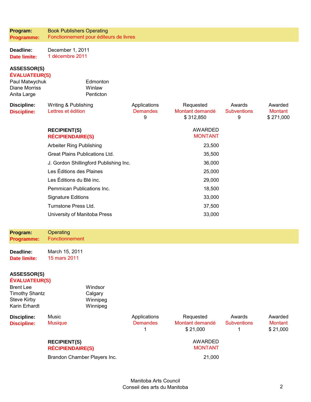| Program:   | <b>Book Publishers Operating</b>       |
|------------|----------------------------------------|
| Programme: | Fonctionnement pour éditeurs de livres |

| <b>Deadline:</b>    | December 1, 2011 |  |  |  |
|---------------------|------------------|--|--|--|
| <b>Date limite:</b> | 1 décembre 2011  |  |  |  |

#### **ASSESSOR(S) ÉVALUATEUR(S)**

| Paul Matwychuk<br><b>Diane Morriss</b><br>Anita Large | Edmonton<br>Winlaw<br>Penticton                |                                      |                                           |                                   |                                 |
|-------------------------------------------------------|------------------------------------------------|--------------------------------------|-------------------------------------------|-----------------------------------|---------------------------------|
| <b>Discipline:</b><br><b>Discipline:</b>              | Writing & Publishing<br>Lettres et édition     | Applications<br><b>Demandes</b><br>9 | Requested<br>Montant demandé<br>\$312,850 | Awards<br><b>Subventions</b><br>9 | Awarded<br>Montant<br>\$271,000 |
|                                                       | <b>RECIPIENT(S)</b><br><b>RÉCIPIENDAIRE(S)</b> |                                      | <b>AWARDED</b><br><b>MONTANT</b>          |                                   |                                 |
|                                                       | Arbeiter Ring Publishing                       | 23,500                               |                                           |                                   |                                 |
|                                                       | Great Plains Publications Ltd.                 | 35,500                               |                                           |                                   |                                 |
|                                                       | J. Gordon Shillingford Publishing Inc.         | 36,000                               |                                           |                                   |                                 |
|                                                       | Les Éditions des Plaines                       | 25,000                               |                                           |                                   |                                 |
|                                                       | Les Éditions du Blé inc.                       | 29,000                               |                                           |                                   |                                 |
|                                                       | Pemmican Publications Inc.                     | 18,500                               |                                           |                                   |                                 |
|                                                       | <b>Signature Editions</b>                      | 33,000                               |                                           |                                   |                                 |
|                                                       | Turnstone Press Ltd.                           |                                      | 37,500                                    |                                   |                                 |
|                                                       | University of Manitoba Press                   |                                      | 33,000                                    |                                   |                                 |
| Program:                                              | Operating                                      |                                      |                                           |                                   |                                 |

**Programme:**  Fonctionnement

**Deadline: Date limite:**  March 15, 2011 15 mars 2011

#### **ASSESSOR(S) ÉVALUATEUR(S)**

| <b>Brent Lee</b><br><b>Timothy Shantz</b><br>Steve Kirby<br>Karin Erhardt |                                                | Windsor<br>Calgary<br>Winnipeg<br>Winnipeg |                                 |                                          |                              |                                       |
|---------------------------------------------------------------------------|------------------------------------------------|--------------------------------------------|---------------------------------|------------------------------------------|------------------------------|---------------------------------------|
| <b>Discipline:</b><br><b>Discipline:</b>                                  | Music<br><b>Musique</b>                        |                                            | Applications<br><b>Demandes</b> | Requested<br>Montant demandé<br>\$21,000 | Awards<br><b>Subventions</b> | Awarded<br><b>Montant</b><br>\$21,000 |
|                                                                           | <b>RECIPIENT(S)</b><br><b>RÉCIPIENDAIRE(S)</b> |                                            |                                 | AWARDED<br><b>MONTANT</b>                |                              |                                       |
|                                                                           | Brandon Chamber Players Inc.                   |                                            |                                 | 21,000                                   |                              |                                       |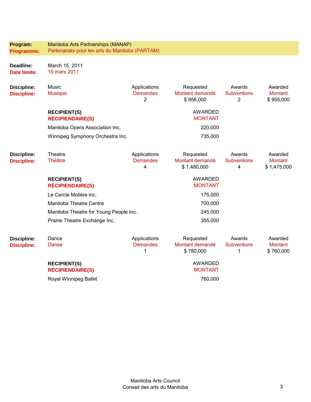| Program:<br>Programme:                   | Manitoba Arts Partnerships (MANAP)<br>Partenariats pour les arts du Manitoba (PARTAM) |                                                   |                                             |                                                |                                          |  |  |
|------------------------------------------|---------------------------------------------------------------------------------------|---------------------------------------------------|---------------------------------------------|------------------------------------------------|------------------------------------------|--|--|
| Deadline:<br><b>Date limite:</b>         | March 15, 2011<br>15 mars 2011                                                        |                                                   |                                             |                                                |                                          |  |  |
| <b>Discipline:</b><br><b>Discipline:</b> | Music<br><b>Musique</b>                                                               | Applications<br><b>Demandes</b><br>$\overline{2}$ | Requested<br>Montant demandé<br>\$956,000   | Awards<br><b>Subventions</b><br>$\overline{2}$ | Awarded<br><b>Montant</b><br>\$955,000   |  |  |
|                                          | <b>RECIPIENT(S)</b><br><b>RÉCIPIENDAIRE(S)</b>                                        |                                                   | <b>AWARDED</b><br><b>MONTANT</b>            |                                                |                                          |  |  |
|                                          | Manitoba Opera Association Inc.                                                       | 220,000                                           |                                             |                                                |                                          |  |  |
|                                          | Winnipeg Symphony Orchestra Inc.                                                      |                                                   | 735,000                                     |                                                |                                          |  |  |
| <b>Discipline:</b><br><b>Discipline:</b> | Theatre<br><b>Théâtre</b>                                                             | Applications<br><b>Demandes</b><br>4              | Requested<br>Montant demandé<br>\$1,480,000 | Awards<br><b>Subventions</b><br>4              | Awarded<br><b>Montant</b><br>\$1,475,000 |  |  |
|                                          | <b>RECIPIENT(S)</b><br><b>RÉCIPIENDAIRE(S)</b>                                        |                                                   | <b>AWARDED</b><br><b>MONTANT</b>            |                                                |                                          |  |  |
|                                          | Le Cercle Molière inc.                                                                |                                                   | 175,000                                     |                                                |                                          |  |  |
|                                          | Manitoba Theatre Centre                                                               | 700,000                                           |                                             |                                                |                                          |  |  |
|                                          | Manitoba Theatre for Young People Inc.                                                | 245,000                                           |                                             |                                                |                                          |  |  |
|                                          | Prairie Theatre Exchange Inc.                                                         |                                                   | 355,000                                     |                                                |                                          |  |  |
| <b>Discipline:</b><br><b>Discipline:</b> | Dance<br>Danse                                                                        | Applications<br><b>Demandes</b><br>1              | Requested<br>Montant demandé<br>\$780,000   | Awards<br><b>Subventions</b><br>1              | Awarded<br><b>Montant</b><br>\$760,000   |  |  |
|                                          | <b>RECIPIENT(S)</b><br><b>RÉCIPIENDAIRE(S)</b>                                        |                                                   | <b>AWARDED</b><br><b>MONTANT</b>            |                                                |                                          |  |  |
|                                          | Royal Winnipeg Ballet                                                                 | 760,000                                           |                                             |                                                |                                          |  |  |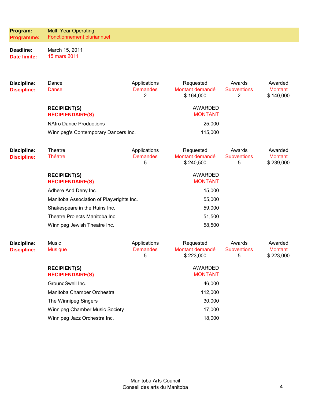| Program:<br><b>Programme:</b>            | <b>Multi-Year Operating</b><br>Fonctionnement pluriannuel |                                                   |                                           |                                                |                                        |
|------------------------------------------|-----------------------------------------------------------|---------------------------------------------------|-------------------------------------------|------------------------------------------------|----------------------------------------|
| Deadline:<br><b>Date limite:</b>         | March 15, 2011<br>15 mars 2011                            |                                                   |                                           |                                                |                                        |
| <b>Discipline:</b><br><b>Discipline:</b> | Dance<br>Danse                                            | Applications<br><b>Demandes</b><br>$\overline{2}$ | Requested<br>Montant demandé<br>\$164,000 | Awards<br><b>Subventions</b><br>$\overline{2}$ | Awarded<br>Montant<br>\$140,000        |
|                                          | <b>RECIPIENT(S)</b><br><b>RÉCIPIENDAIRE(S)</b>            |                                                   | <b>AWARDED</b><br><b>MONTANT</b>          |                                                |                                        |
|                                          | <b>NAfro Dance Productions</b>                            |                                                   | 25,000                                    |                                                |                                        |
|                                          | Winnipeg's Contemporary Dancers Inc.                      |                                                   | 115,000                                   |                                                |                                        |
| <b>Discipline:</b><br><b>Discipline:</b> | Theatre<br><b>Théâtre</b>                                 | Applications<br><b>Demandes</b><br>5              | Requested<br>Montant demandé<br>\$240,500 | Awards<br><b>Subventions</b><br>5              | Awarded<br><b>Montant</b><br>\$239,000 |
|                                          | <b>RECIPIENT(S)</b><br><b>RÉCIPIENDAIRE(S)</b>            |                                                   | <b>AWARDED</b><br><b>MONTANT</b>          |                                                |                                        |
|                                          | Adhere And Deny Inc.                                      |                                                   | 15,000                                    |                                                |                                        |
|                                          | Manitoba Association of Playwrights Inc.                  |                                                   | 55,000                                    |                                                |                                        |
|                                          | Shakespeare in the Ruins Inc.                             |                                                   | 59,000                                    |                                                |                                        |
|                                          | Theatre Projects Manitoba Inc.                            |                                                   | 51,500                                    |                                                |                                        |
|                                          | Winnipeg Jewish Theatre Inc.                              |                                                   | 58,500                                    |                                                |                                        |
| <b>Discipline:</b><br><b>Discipline:</b> | Music<br><b>Musique</b>                                   | Applications<br><b>Demandes</b><br>5              | Requested<br>Montant demandé<br>\$223,000 | Awards<br><b>Subventions</b><br>5              | Awarded<br>Montant<br>\$223,000        |
|                                          | <b>RECIPIENT(S)</b><br><b>RÉCIPIENDAIRE(S)</b>            |                                                   | <b>AWARDED</b><br><b>MONTANT</b>          |                                                |                                        |
|                                          | GroundSwell Inc.                                          |                                                   | 46,000                                    |                                                |                                        |
|                                          | Manitoba Chamber Orchestra                                |                                                   | 112,000                                   |                                                |                                        |
|                                          | The Winnipeg Singers                                      |                                                   | 30,000                                    |                                                |                                        |
|                                          | Winnipeg Chamber Music Society                            |                                                   | 17,000                                    |                                                |                                        |

Winnipeg Jazz Orchestra Inc. 18,000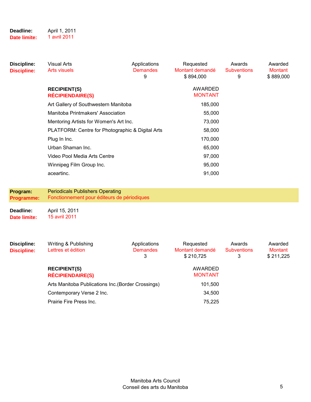| Deadline:    | April 1, 2011 |
|--------------|---------------|
| Date limite: | 1 avril 2011  |

| Discipline:<br><b>Discipline:</b> | Visual Arts<br>Arts visuels                      | Applications<br><b>Demandes</b><br>9 | Requested<br>Montant demandé<br>\$894,000 | Awards<br><b>Subventions</b><br>9 | Awarded<br><b>Montant</b><br>\$889,000 |
|-----------------------------------|--------------------------------------------------|--------------------------------------|-------------------------------------------|-----------------------------------|----------------------------------------|
|                                   | <b>RECIPIENT(S)</b><br><b>RÉCIPIENDAIRE(S)</b>   |                                      | <b>AWARDED</b><br><b>MONTANT</b>          |                                   |                                        |
|                                   | Art Gallery of Southwestern Manitoba             |                                      | 185,000                                   |                                   |                                        |
|                                   | Manitoba Printmakers' Association                |                                      | 55,000                                    |                                   |                                        |
|                                   | Mentoring Artists for Women's Art Inc.           |                                      | 73,000                                    |                                   |                                        |
|                                   | PLATFORM: Centre for Photographic & Digital Arts |                                      | 58,000                                    |                                   |                                        |
|                                   | Plug In Inc.                                     |                                      | 170,000                                   |                                   |                                        |
|                                   | Urban Shaman Inc.                                |                                      | 65,000                                    |                                   |                                        |
|                                   | Video Pool Media Arts Centre                     |                                      | 97,000                                    |                                   |                                        |
|                                   | Winnipeg Film Group Inc.                         |                                      | 95,000                                    |                                   |                                        |
|                                   | aceartinc.                                       |                                      | 91,000                                    |                                   |                                        |

#### **Program: Programme:**  Periodicals Publishers Operating Fonctionnement pour éditeurs de périodiques **Deadline:**  April 15, 2011

**Date limite:**  15 avril 2011

| Discipline:<br><b>Discipline:</b> | Writing & Publishing<br>Lettres et édition         | Applications<br><b>Demandes</b><br>3 | Requested<br>Montant demandé<br>\$210.725 | Awards<br><b>Subventions</b><br>3 | Awarded<br>Montant<br>\$211,225 |
|-----------------------------------|----------------------------------------------------|--------------------------------------|-------------------------------------------|-----------------------------------|---------------------------------|
|                                   | <b>RECIPIENT(S)</b><br><b>RÉCIPIENDAIRE(S)</b>     |                                      | AWARDED<br><b>MONTANT</b>                 |                                   |                                 |
|                                   | Arts Manitoba Publications Inc. (Border Crossings) |                                      | 101,500                                   |                                   |                                 |
|                                   | Contemporary Verse 2 Inc.                          |                                      | 34,500                                    |                                   |                                 |
|                                   | Prairie Fire Press Inc.                            | 75,225                               |                                           |                                   |                                 |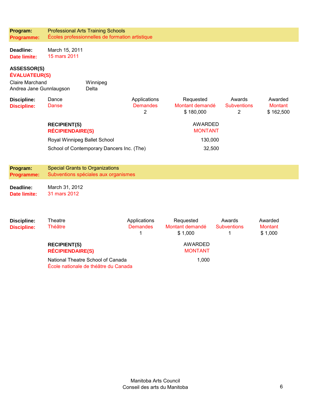| Program:<br>Programme:                                                                   |                                                | <b>Professional Arts Training Schools</b><br>Écoles professionnelles de formation artistique |                                      |                                           |                                                |                                        |  |  |
|------------------------------------------------------------------------------------------|------------------------------------------------|----------------------------------------------------------------------------------------------|--------------------------------------|-------------------------------------------|------------------------------------------------|----------------------------------------|--|--|
| Deadline:<br><b>Date limite:</b>                                                         | March 15, 2011<br>15 mars 2011                 |                                                                                              |                                      |                                           |                                                |                                        |  |  |
| ASSESSOR(S)<br><b>ÉVALUATEUR(S)</b><br><b>Claire Marchand</b><br>Andrea Jane Gunnlaugson |                                                | Winnipeg<br>Delta                                                                            |                                      |                                           |                                                |                                        |  |  |
| <b>Discipline:</b><br><b>Discipline:</b>                                                 | Dance<br>Danse                                 |                                                                                              | Applications<br><b>Demandes</b><br>2 | Requested<br>Montant demandé<br>\$180,000 | Awards<br><b>Subventions</b><br>$\overline{2}$ | Awarded<br><b>Montant</b><br>\$162,500 |  |  |
|                                                                                          | <b>RECIPIENT(S)</b><br><b>RÉCIPIENDAIRE(S)</b> |                                                                                              |                                      | <b>AWARDED</b><br><b>MONTANT</b>          |                                                |                                        |  |  |
|                                                                                          | Royal Winnipeg Ballet School                   |                                                                                              |                                      | 130,000                                   |                                                |                                        |  |  |
|                                                                                          |                                                | School of Contemporary Dancers Inc. (The)                                                    |                                      | 32,500                                    |                                                |                                        |  |  |
| Program:<br><b>Programme:</b>                                                            |                                                | <b>Special Grants to Organizations</b><br>Subventions spéciales aux organismes               |                                      |                                           |                                                |                                        |  |  |
| Deadline:<br><b>Date limite:</b>                                                         | March 31, 2012<br>31 mars 2012                 |                                                                                              |                                      |                                           |                                                |                                        |  |  |
| <b>Discipline:</b><br><b>Discipline:</b>                                                 | Theatre<br><b>Théâtre</b>                      |                                                                                              | Applications<br><b>Demandes</b><br>1 | Requested<br>Montant demandé<br>\$1,000   | Awards<br><b>Subventions</b><br>1              | Awarded<br><b>Montant</b><br>\$1,000   |  |  |
|                                                                                          | <b>RECIPIENT(S)</b><br><b>RÉCIPIENDAIRE(S)</b> |                                                                                              |                                      | <b>AWARDED</b><br><b>MONTANT</b>          |                                                |                                        |  |  |
|                                                                                          | National Theatre School of Canada              |                                                                                              |                                      | 1,000                                     |                                                |                                        |  |  |

École nationale de théâtre du Canada

Manitoba Arts Council Conseil des arts du Manitoba 6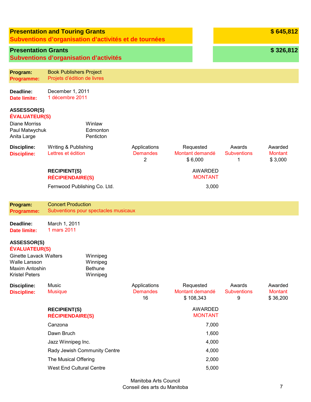|                                                                                                                                         | <b>Presentation and Touring Grants</b><br>Subventions d'organisation d'activités et de tournées |                                                    |                                       |                                           |                                   | \$645,812                             |
|-----------------------------------------------------------------------------------------------------------------------------------------|-------------------------------------------------------------------------------------------------|----------------------------------------------------|---------------------------------------|-------------------------------------------|-----------------------------------|---------------------------------------|
| <b>Presentation Grants</b>                                                                                                              | Subventions d'organisation d'activités                                                          |                                                    |                                       |                                           |                                   | \$326,812                             |
| Program:<br><b>Programme:</b>                                                                                                           | <b>Book Publishers Project</b><br>Projets d'édition de livres                                   |                                                    |                                       |                                           |                                   |                                       |
| Deadline:<br><b>Date limite:</b>                                                                                                        | December 1, 2011<br>1 décembre 2011                                                             |                                                    |                                       |                                           |                                   |                                       |
| <b>ASSESSOR(S)</b><br><b>ÉVALUATEUR(S)</b><br><b>Diane Morriss</b><br>Paul Matwychuk<br>Anita Large                                     |                                                                                                 | Winlaw<br>Edmonton<br>Penticton                    |                                       |                                           |                                   |                                       |
| <b>Discipline:</b><br><b>Discipline:</b>                                                                                                | Writing & Publishing<br>Lettres et édition                                                      |                                                    | Applications<br><b>Demandes</b><br>2  | Requested<br>Montant demandé<br>\$6,000   | Awards<br><b>Subventions</b><br>1 | Awarded<br><b>Montant</b><br>\$3,000  |
|                                                                                                                                         | <b>RECIPIENT(S)</b><br><b>RÉCIPIENDAIRE(S)</b>                                                  |                                                    |                                       | AWARDED<br><b>MONTANT</b>                 |                                   |                                       |
|                                                                                                                                         | Fernwood Publishing Co. Ltd.                                                                    |                                                    |                                       | 3,000                                     |                                   |                                       |
| Program:                                                                                                                                | <b>Concert Production</b>                                                                       |                                                    |                                       |                                           |                                   |                                       |
| <b>Programme:</b>                                                                                                                       | Subventions pour spectacles musicaux                                                            |                                                    |                                       |                                           |                                   |                                       |
| Deadline:<br><b>Date limite:</b>                                                                                                        | March 1, 2011<br>1 mars 2011                                                                    |                                                    |                                       |                                           |                                   |                                       |
| ASSESSOR(S)<br><b>ÉVALUATEUR(S)</b><br><b>Ginette Lavack Walters</b><br><b>Walle Larsson</b><br>Maxim Antoshin<br><b>Kristel Peters</b> |                                                                                                 | Winnipeg<br>Winnipeg<br><b>Bethune</b><br>Winnipeg |                                       |                                           |                                   |                                       |
| <b>Discipline:</b><br><b>Discipline:</b>                                                                                                | Music<br><b>Musique</b>                                                                         |                                                    | Applications<br><b>Demandes</b><br>16 | Requested<br>Montant demandé<br>\$108,343 | Awards<br><b>Subventions</b><br>9 | Awarded<br><b>Montant</b><br>\$36,200 |
|                                                                                                                                         | <b>RECIPIENT(S)</b><br><b>RÉCIPIENDAIRE(S)</b>                                                  |                                                    |                                       | <b>AWARDED</b><br><b>MONTANT</b>          |                                   |                                       |
|                                                                                                                                         | Canzona                                                                                         |                                                    |                                       | 7,000                                     |                                   |                                       |
|                                                                                                                                         | Dawn Bruch                                                                                      |                                                    |                                       | 1,600                                     |                                   |                                       |
|                                                                                                                                         | Jazz Winnipeg Inc.                                                                              |                                                    |                                       | 4,000                                     |                                   |                                       |
|                                                                                                                                         | Rady Jewish Community Centre                                                                    |                                                    |                                       | 4,000                                     |                                   |                                       |
|                                                                                                                                         | The Musical Offering                                                                            |                                                    |                                       | 2,000                                     |                                   |                                       |
|                                                                                                                                         | West End Cultural Centre                                                                        |                                                    |                                       | 5,000                                     |                                   |                                       |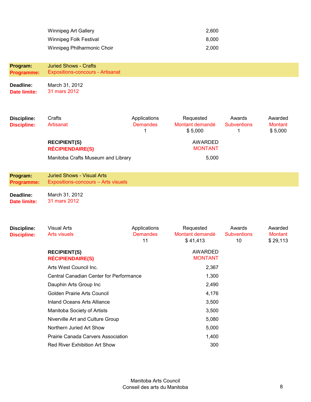| Winnipeg Art Gallery        | 2.600 |
|-----------------------------|-------|
| Winnipeg Folk Festival      | 8.000 |
| Winnipeg Philharmonic Choir | 2.000 |

| Discipline:        | Crafts                             | Applications    | Requested       | Awards             | Awarded        |
|--------------------|------------------------------------|-----------------|-----------------|--------------------|----------------|
| <b>Discipline:</b> | Artisanat                          | <b>Demandes</b> | Montant demandé | <b>Subventions</b> | <b>Montant</b> |
|                    |                                    |                 | \$5.000         |                    | \$5,000        |
|                    | <b>RECIPIENT(S)</b>                |                 | AWARDED         |                    |                |
|                    | <b>RÉCIPIENDAIRE(S)</b>            |                 | <b>MONTANT</b>  |                    |                |
|                    | Manitoba Crafts Museum and Library |                 | 5,000           |                    |                |
|                    |                                    |                 |                 |                    |                |

| Program:   | <b>Juried Shows - Visual Arts</b>   |
|------------|-------------------------------------|
| Programme: | Expositions-concours - Arts visuels |

**Deadline: Date limite:**  March 31, 2012 31 mars 2012

| Discipline:<br><b>Discipline:</b> | <b>Visual Arts</b><br><b>Arts visuels</b>      | Applications<br><b>Demandes</b><br>11 | Requested<br>Montant demandé<br>\$41,413 | Awards<br><b>Subventions</b><br>10 | Awarded<br><b>Montant</b><br>\$29,113 |
|-----------------------------------|------------------------------------------------|---------------------------------------|------------------------------------------|------------------------------------|---------------------------------------|
|                                   | <b>RECIPIENT(S)</b><br><b>RÉCIPIENDAIRE(S)</b> |                                       | AWARDED<br><b>MONTANT</b>                |                                    |                                       |
|                                   | Arts West Council Inc.                         |                                       | 2,367                                    |                                    |                                       |
|                                   | <b>Central Canadian Center for Performance</b> |                                       | 1,300                                    |                                    |                                       |
|                                   | Dauphin Arts Group Inc                         |                                       | 2,490                                    |                                    |                                       |
|                                   | Golden Prairie Arts Council                    |                                       | 4,176                                    |                                    |                                       |
|                                   | <b>Inland Oceans Arts Alliance</b>             |                                       | 3,500                                    |                                    |                                       |
|                                   | Manitoba Society of Artists                    |                                       | 3,500                                    |                                    |                                       |
|                                   | Niverville Art and Culture Group               |                                       | 5,080                                    |                                    |                                       |
|                                   | Northern Juried Art Show                       |                                       | 5,000                                    |                                    |                                       |
|                                   | <b>Prairie Canada Carvers Association</b>      |                                       | 1,400                                    |                                    |                                       |
|                                   | Red River Exhibition Art Show                  |                                       | 300                                      |                                    |                                       |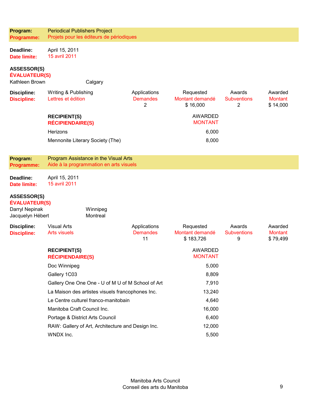| Program:<br>Programme:                                       | <b>Periodical Publishers Project</b>           | Projets pour les éditeurs de périodiques                                         |                                       |                                           |                                   |                                       |
|--------------------------------------------------------------|------------------------------------------------|----------------------------------------------------------------------------------|---------------------------------------|-------------------------------------------|-----------------------------------|---------------------------------------|
| Deadline:<br><b>Date limite:</b>                             | April 15, 2011<br>15 avril 2011                |                                                                                  |                                       |                                           |                                   |                                       |
| <b>ASSESSOR(S)</b><br><b>ÉVALUATEUR(S)</b><br>Kathleen Brown |                                                | Calgary                                                                          |                                       |                                           |                                   |                                       |
| <b>Discipline:</b><br><b>Discipline:</b>                     | Writing & Publishing<br>Lettres et édition     |                                                                                  | Applications<br><b>Demandes</b><br>2  | Requested<br>Montant demandé<br>\$16,000  | Awards<br><b>Subventions</b><br>2 | Awarded<br><b>Montant</b><br>\$14,000 |
|                                                              | <b>RECIPIENT(S)</b><br><b>RÉCIPIENDAIRE(S)</b> |                                                                                  |                                       | <b>AWARDED</b><br><b>MONTANT</b>          |                                   |                                       |
|                                                              | Herizons                                       |                                                                                  |                                       | 6,000                                     |                                   |                                       |
|                                                              |                                                | Mennonite Literary Society (The)                                                 |                                       | 8,000                                     |                                   |                                       |
|                                                              |                                                |                                                                                  |                                       |                                           |                                   |                                       |
| Program:<br>Programme:                                       |                                                | Program Assistance in the Visual Arts<br>Aide à la programmation en arts visuels |                                       |                                           |                                   |                                       |
| Deadline:<br><b>Date limite:</b>                             | April 15, 2011<br>15 avril 2011                |                                                                                  |                                       |                                           |                                   |                                       |
| <b>ASSESSOR(S)</b><br><b>ÉVALUATEUR(S)</b>                   |                                                |                                                                                  |                                       |                                           |                                   |                                       |
| Darryl Nepinak<br>Jacquelyn Hébert                           |                                                | Winnipeg<br>Montreal                                                             |                                       |                                           |                                   |                                       |
| <b>Discipline:</b><br><b>Discipline:</b>                     | <b>Visual Arts</b><br><b>Arts visuels</b>      |                                                                                  | Applications<br><b>Demandes</b><br>11 | Requested<br>Montant demandé<br>\$183,726 | Awards<br><b>Subventions</b><br>9 | Awarded<br><b>Montant</b><br>\$79,499 |
|                                                              | <b>RECIPIENT(S)</b><br><b>RÉCIPIENDAIRE(S)</b> |                                                                                  |                                       | <b>AWARDED</b><br><b>MONTANT</b>          |                                   |                                       |
|                                                              | Doc Winnipeg                                   |                                                                                  |                                       | 5,000                                     |                                   |                                       |
|                                                              | Gallery 1C03                                   |                                                                                  |                                       | 8,809                                     |                                   |                                       |
|                                                              |                                                | Gallery One One One - U of M U of M School of Art                                |                                       | 7,910                                     |                                   |                                       |
| La Maison des artistes visuels francophones Inc.             |                                                |                                                                                  | 13,240                                |                                           |                                   |                                       |
|                                                              | Le Centre culturel franco-manitobain           |                                                                                  | 4,640                                 |                                           |                                   |                                       |
|                                                              | Manitoba Craft Council Inc.                    |                                                                                  |                                       | 16,000                                    |                                   |                                       |
|                                                              | Portage & District Arts Council                |                                                                                  |                                       | 6,400                                     |                                   |                                       |
|                                                              |                                                | RAW: Gallery of Art, Architecture and Design Inc.                                |                                       | 12,000                                    |                                   |                                       |
|                                                              | WNDX Inc.                                      |                                                                                  |                                       | 5,500                                     |                                   |                                       |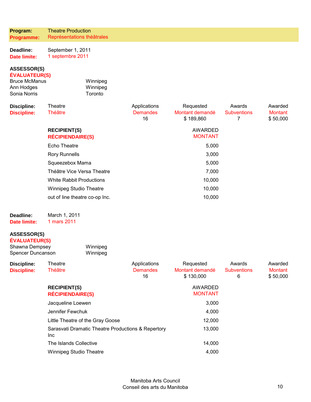| Program:          | <b>Theatre Production</b>  |
|-------------------|----------------------------|
| <b>Programme:</b> | Représentations théâtrales |

| <b>Deadline:</b>    | September 1, 2011 |
|---------------------|-------------------|
| <b>Date limite:</b> | 1 septembre 2011  |

# **ASSESSOR(S)**

### **ÉVALUATEUR(S)**

| <b>Bruce McManus</b> | Winnipeg |
|----------------------|----------|
| Ann Hodges           | Winnipeg |
| Sonia Norris         | Toronto  |

| <b>Discipline:</b> | Theatre                         | Applications    | Requested       | Awards             | Awarded  |
|--------------------|---------------------------------|-----------------|-----------------|--------------------|----------|
| <b>Discipline:</b> | <b>Théâtre</b>                  | <b>Demandes</b> | Montant demandé | <b>Subventions</b> | Montant  |
|                    |                                 | 16              | \$189,860       |                    | \$50,000 |
|                    | <b>RECIPIENT(S)</b>             |                 | <b>AWARDED</b>  |                    |          |
|                    | <b>RÉCIPIENDAIRE(S)</b>         |                 | <b>MONTANT</b>  |                    |          |
|                    | Echo Theatre                    |                 | 5,000           |                    |          |
|                    | <b>Rory Runnells</b>            |                 | 3,000           |                    |          |
|                    | Squeezebox Mama                 |                 | 5,000           |                    |          |
|                    | Théâtre Vice Versa Theatre      |                 | 7,000           |                    |          |
|                    | <b>White Rabbit Productions</b> |                 | 10,000          |                    |          |
|                    | <b>Winnipeg Studio Theatre</b>  |                 | 10,000          |                    |          |
|                    | out of line theatre co-op Inc.  |                 | 10,000          |                    |          |
|                    |                                 |                 |                 |                    |          |

| <b>Deadline:</b>    | March 1, 2011 |
|---------------------|---------------|
| <b>Date limite:</b> | 1 mars 2011   |

# **ASSESSOR(S)**

| EVALUATEUR(S)     |          |
|-------------------|----------|
| Shawna Dempsey    | Winnipeg |
| Spencer Duncanson | Winnipeg |

| Discipline:<br><b>Discipline:</b> | Theatre<br>Théâtre                                         | Applications<br><b>Demandes</b><br>16 | Requested<br>Montant demandé<br>\$130,000 | Awards<br><b>Subventions</b><br>6 | Awarded<br>Montant<br>\$50,000 |
|-----------------------------------|------------------------------------------------------------|---------------------------------------|-------------------------------------------|-----------------------------------|--------------------------------|
|                                   | <b>RECIPIENT(S)</b><br><b>RÉCIPIENDAIRE(S)</b>             |                                       | AWARDED<br><b>MONTANT</b>                 |                                   |                                |
|                                   | Jacqueline Loewen                                          |                                       | 3,000                                     |                                   |                                |
|                                   | Jennifer Fewchuk                                           |                                       | 4,000                                     |                                   |                                |
|                                   | Little Theatre of the Gray Goose                           |                                       | 12,000                                    |                                   |                                |
|                                   | Sarasvati Dramatic Theatre Productions & Repertory<br>Inc. |                                       | 13,000                                    |                                   |                                |
|                                   | The Islands Collective                                     |                                       | 14,000                                    |                                   |                                |
|                                   | <b>Winnipeg Studio Theatre</b>                             |                                       | 4,000                                     |                                   |                                |
|                                   |                                                            |                                       |                                           |                                   |                                |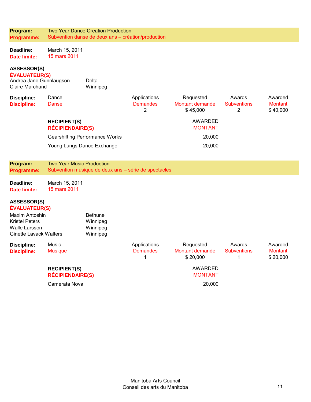| Program:                                                                                                                                       |                                                | <b>Two Year Dance Creation Production</b>            |                                      |                                          |                                   |                                       |
|------------------------------------------------------------------------------------------------------------------------------------------------|------------------------------------------------|------------------------------------------------------|--------------------------------------|------------------------------------------|-----------------------------------|---------------------------------------|
| Programme:                                                                                                                                     |                                                | Subvention danse de deux ans - création/production   |                                      |                                          |                                   |                                       |
| Deadline:<br><b>Date limite:</b>                                                                                                               | March 15, 2011<br>15 mars 2011                 |                                                      |                                      |                                          |                                   |                                       |
| <b>ASSESSOR(S)</b><br><b>ÉVALUATEUR(S)</b><br>Andrea Jane Gunnlaugson<br><b>Claire Marchand</b>                                                |                                                | Delta<br>Winnipeg                                    |                                      |                                          |                                   |                                       |
| <b>Discipline:</b><br><b>Discipline:</b>                                                                                                       | Dance<br><b>Danse</b>                          |                                                      | Applications<br><b>Demandes</b><br>2 | Requested<br>Montant demandé<br>\$45,000 | Awards<br><b>Subventions</b><br>2 | Awarded<br><b>Montant</b><br>\$40,000 |
|                                                                                                                                                | <b>RECIPIENT(S)</b><br><b>RÉCIPIENDAIRE(S)</b> |                                                      |                                      | AWARDED<br><b>MONTANT</b>                |                                   |                                       |
|                                                                                                                                                |                                                | <b>Gearshifting Performance Works</b>                |                                      | 20,000                                   |                                   |                                       |
|                                                                                                                                                | Young Lungs Dance Exchange                     |                                                      |                                      | 20,000                                   |                                   |                                       |
|                                                                                                                                                |                                                |                                                      |                                      |                                          |                                   |                                       |
| Program:                                                                                                                                       | <b>Two Year Music Production</b>               |                                                      |                                      |                                          |                                   |                                       |
| <b>Programme:</b>                                                                                                                              |                                                | Subvention musique de deux ans - série de spectacles |                                      |                                          |                                   |                                       |
|                                                                                                                                                |                                                |                                                      |                                      |                                          |                                   |                                       |
| Deadline:                                                                                                                                      | March 15, 2011                                 |                                                      |                                      |                                          |                                   |                                       |
| <b>Date limite:</b>                                                                                                                            | 15 mars 2011                                   |                                                      |                                      |                                          |                                   |                                       |
| <b>ASSESSOR(S)</b><br><b>ÉVALUATEUR(S)</b><br>Maxim Antoshin<br><b>Kristel Peters</b><br><b>Walle Larsson</b><br><b>Ginette Lavack Walters</b> |                                                | <b>Bethune</b><br>Winnipeg<br>Winnipeg<br>Winnipeg   |                                      |                                          |                                   |                                       |
| <b>Discipline:</b><br><b>Discipline:</b>                                                                                                       | Music<br><b>Musique</b>                        |                                                      | Applications<br><b>Demandes</b><br>1 | Requested<br>Montant demandé<br>\$20,000 | Awards<br><b>Subventions</b><br>1 | Awarded<br><b>Montant</b><br>\$20,000 |
|                                                                                                                                                | <b>RECIPIENT(S)</b><br><b>RÉCIPIENDAIRE(S)</b> |                                                      |                                      | <b>AWARDED</b><br><b>MONTANT</b>         |                                   |                                       |
|                                                                                                                                                | Camerata Nova                                  |                                                      |                                      | 20,000                                   |                                   |                                       |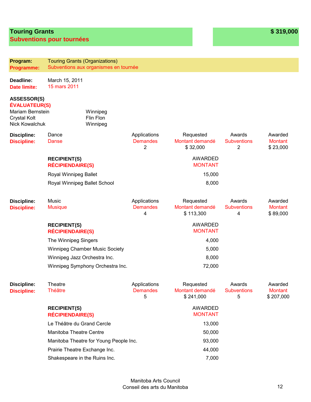## **Touring Grants Subventions pour tournées**

| Program:<br>Programme:                                                                                  | <b>Touring Grants (Organizations)</b>          | Subventions aux organismes en tournée  |                                      |                                           |                                                |                                        |  |
|---------------------------------------------------------------------------------------------------------|------------------------------------------------|----------------------------------------|--------------------------------------|-------------------------------------------|------------------------------------------------|----------------------------------------|--|
|                                                                                                         |                                                |                                        |                                      |                                           |                                                |                                        |  |
| Deadline:<br><b>Date limite:</b>                                                                        | March 15, 2011<br>15 mars 2011                 |                                        |                                      |                                           |                                                |                                        |  |
| <b>ASSESSOR(S)</b><br><b>ÉVALUATEUR(S)</b><br>Mariam Bernstein<br><b>Crystal Kolt</b><br>Nick Kowalchuk |                                                | Winnipeg<br>Flin Flon<br>Winnipeg      |                                      |                                           |                                                |                                        |  |
| <b>Discipline:</b><br><b>Discipline:</b>                                                                | Dance<br>Danse                                 |                                        | Applications<br><b>Demandes</b><br>2 | Requested<br>Montant demandé<br>\$32,000  | Awards<br><b>Subventions</b><br>$\overline{2}$ | Awarded<br><b>Montant</b><br>\$23,000  |  |
|                                                                                                         | <b>RECIPIENT(S)</b><br><b>RÉCIPIENDAIRE(S)</b> |                                        |                                      | <b>AWARDED</b><br><b>MONTANT</b>          |                                                |                                        |  |
|                                                                                                         | Royal Winnipeg Ballet                          |                                        |                                      | 15,000                                    |                                                |                                        |  |
|                                                                                                         | Royal Winnipeg Ballet School                   |                                        |                                      | 8,000                                     |                                                |                                        |  |
| <b>Discipline:</b><br><b>Discipline:</b>                                                                | Music<br><b>Musique</b>                        |                                        | Applications<br><b>Demandes</b><br>4 | Requested<br>Montant demandé<br>\$113,300 | Awards<br><b>Subventions</b><br>4              | Awarded<br><b>Montant</b><br>\$89,000  |  |
|                                                                                                         | <b>RECIPIENT(S)</b><br><b>RÉCIPIENDAIRE(S)</b> |                                        |                                      | <b>AWARDED</b><br><b>MONTANT</b>          |                                                |                                        |  |
|                                                                                                         | The Winnipeg Singers                           |                                        |                                      | 4,000                                     |                                                |                                        |  |
|                                                                                                         | <b>Winnipeg Chamber Music Society</b>          |                                        |                                      | 5,000                                     |                                                |                                        |  |
|                                                                                                         | Winnipeg Jazz Orchestra Inc.                   |                                        |                                      | 8,000                                     |                                                |                                        |  |
|                                                                                                         |                                                | Winnipeg Symphony Orchestra Inc.       |                                      | 72,000                                    |                                                |                                        |  |
| <b>Discipline:</b><br><b>Discipline:</b>                                                                | Theatre<br><b>Théâtre</b>                      |                                        | Applications<br><b>Demandes</b><br>5 | Requested<br>Montant demandé<br>\$241,000 | Awards<br><b>Subventions</b><br>5              | Awarded<br><b>Montant</b><br>\$207,000 |  |
|                                                                                                         | <b>RECIPIENT(S)</b><br><b>RÉCIPIENDAIRE(S)</b> |                                        |                                      | <b>AWARDED</b><br><b>MONTANT</b>          |                                                |                                        |  |
|                                                                                                         | Le Théâtre du Grand Cercle                     |                                        |                                      | 13,000                                    |                                                |                                        |  |
|                                                                                                         | Manitoba Theatre Centre                        |                                        |                                      | 50,000                                    |                                                |                                        |  |
|                                                                                                         |                                                | Manitoba Theatre for Young People Inc. |                                      | 93,000                                    |                                                |                                        |  |
|                                                                                                         | Prairie Theatre Exchange Inc.                  |                                        |                                      | 44,000                                    |                                                |                                        |  |
|                                                                                                         | Shakespeare in the Ruins Inc.                  |                                        |                                      | 7,000                                     |                                                |                                        |  |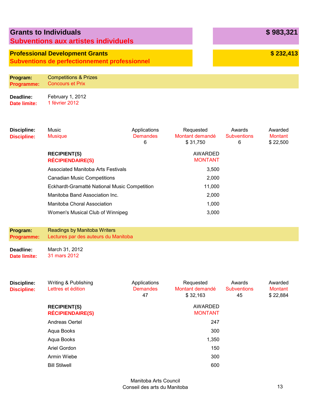|                                          | <b>Grants to Individuals</b><br><b>Subventions aux artistes individuels</b>                    |                                      |                                          |                                   | \$983,321                             |
|------------------------------------------|------------------------------------------------------------------------------------------------|--------------------------------------|------------------------------------------|-----------------------------------|---------------------------------------|
|                                          | <b>Professional Development Grants</b><br><b>Subventions de perfectionnement professionnel</b> |                                      |                                          |                                   | \$232,413                             |
| Program:<br><b>Programme:</b>            | <b>Competitions &amp; Prizes</b><br><b>Concours et Prix</b>                                    |                                      |                                          |                                   |                                       |
| Deadline:<br>Date limite:                | February 1, 2012<br>1 février 2012                                                             |                                      |                                          |                                   |                                       |
| <b>Discipline:</b><br><b>Discipline:</b> | Music<br><b>Musique</b>                                                                        | Applications<br><b>Demandes</b><br>6 | Requested<br>Montant demandé<br>\$31.750 | Awards<br><b>Subventions</b><br>6 | Awarded<br><b>Montant</b><br>\$22.500 |

|                                                | U | <b>PU.LOU</b>             | v | <b>U LL,UUU</b> |
|------------------------------------------------|---|---------------------------|---|-----------------|
| <b>RECIPIENT(S)</b><br><b>RÉCIPIENDAIRE(S)</b> |   | AWARDED<br><b>MONTANT</b> |   |                 |
| Associated Manitoba Arts Festivals             |   | 3,500                     |   |                 |
| <b>Canadian Music Competitions</b>             |   | 2,000                     |   |                 |
| Eckhardt-Gramatté National Music Competition   |   | 11,000                    |   |                 |
| Manitoba Band Association Inc.                 |   | 2,000                     |   |                 |
| Manitoba Choral Association                    |   | 1,000                     |   |                 |
| Women's Musical Club of Winnipeg               |   | 3,000                     |   |                 |
|                                                |   |                           |   |                 |

#### **Program: Programme:**  Readings by Manitoba Writers Lectures par des auteurs du Manitoba

**Deadline: Date limite:**  March 31, 2012 31 mars 2012

| <b>Discipline:</b><br><b>Discipline:</b> | Writing & Publishing<br>Lettres et édition     | Applications<br><b>Demandes</b><br>47 | Requested<br>Montant demandé<br>\$32,163 | Awards<br><b>Subventions</b><br>45 | Awarded<br>Montant<br>\$22,884 |
|------------------------------------------|------------------------------------------------|---------------------------------------|------------------------------------------|------------------------------------|--------------------------------|
|                                          | <b>RECIPIENT(S)</b><br><b>RÉCIPIENDAIRE(S)</b> |                                       | AWARDED<br><b>MONTANT</b>                |                                    |                                |
|                                          | Andreas Oertel                                 |                                       | 247                                      |                                    |                                |
|                                          | Aqua Books                                     |                                       | 300                                      |                                    |                                |
|                                          | Aqua Books                                     |                                       | 1,350                                    |                                    |                                |
|                                          | Ariel Gordon                                   |                                       | 150                                      |                                    |                                |
|                                          | Armin Wiebe                                    |                                       | 300                                      |                                    |                                |
|                                          | <b>Bill Stilwell</b>                           |                                       | 600                                      |                                    |                                |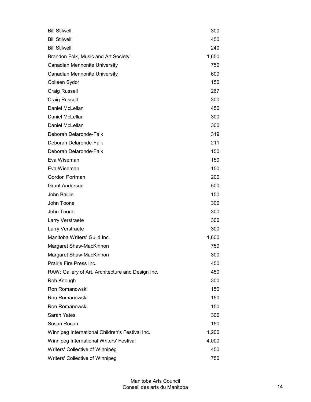| <b>Bill Stilwell</b>                              | 300   |
|---------------------------------------------------|-------|
| <b>Bill Stilwell</b>                              | 450   |
| <b>Bill Stilwell</b>                              | 240   |
| Brandon Folk, Music and Art Society               | 1,650 |
| <b>Canadian Mennonite University</b>              | 750   |
| Canadian Mennonite University                     | 600   |
| Colleen Sydor                                     | 150   |
| <b>Craig Russell</b>                              | 267   |
| <b>Craig Russell</b>                              | 300   |
| Daniel McLellan                                   | 450   |
| Daniel McLellan                                   | 300   |
| Daniel McLellan                                   | 300   |
| Deborah Delaronde-Falk                            | 319   |
| Deborah Delaronde-Falk                            | 211   |
| Deborah Delaronde-Falk                            | 150   |
| Eva Wiseman                                       | 150   |
| Eva Wiseman                                       | 150   |
| Gordon Portman                                    | 200   |
| <b>Grant Anderson</b>                             | 500   |
| John Baillie                                      | 150   |
| John Toone                                        | 300   |
| John Toone                                        | 300   |
| Larry Verstraete                                  | 300   |
| Larry Verstraete                                  | 300   |
| Manitoba Writers' Guild Inc.                      | 1,600 |
| Margaret Shaw-MacKinnon                           | 750   |
| Margaret Shaw-MacKinnon                           | 300   |
| Prairie Fire Press Inc.                           | 450   |
| RAW: Gallery of Art, Architecture and Design Inc. | 450   |
| Rob Keough                                        | 300   |
| Ron Romanowski                                    | 150   |
| Ron Romanowski                                    | 150   |
| Ron Romanowski                                    | 150   |
| Sarah Yates                                       | 300   |
| Susan Rocan                                       | 150   |
| Winnipeg International Children's Festival Inc.   | 1,200 |
| Winnipeg International Writers' Festival          | 4,000 |
| Writers' Collective of Winnipeg                   | 450   |
| Writers' Collective of Winnipeg                   | 750   |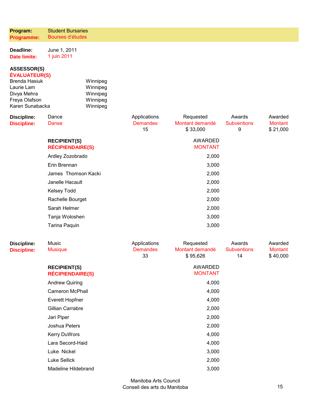| Program:                                                                                                                            | <b>Student Bursaries</b>                       |                                                          |                                       |                                          |                                    |                                       |
|-------------------------------------------------------------------------------------------------------------------------------------|------------------------------------------------|----------------------------------------------------------|---------------------------------------|------------------------------------------|------------------------------------|---------------------------------------|
| Programme:                                                                                                                          | Bourses d'études                               |                                                          |                                       |                                          |                                    |                                       |
| Deadline:<br><b>Date limite:</b>                                                                                                    | June 1, 2011<br>1 juin 2011                    |                                                          |                                       |                                          |                                    |                                       |
| <b>ASSESSOR(S)</b><br><b>ÉVALUATEUR(S)</b><br><b>Brenda Hasiuk</b><br>Laurie Lam<br>Divya Mehra<br>Freya Olafson<br>Karen Sunabacka |                                                | Winnipeg<br>Winnipeg<br>Winnipeg<br>Winnipeg<br>Winnipeg |                                       |                                          |                                    |                                       |
| <b>Discipline:</b><br><b>Discipline:</b>                                                                                            | Dance<br><b>Danse</b>                          |                                                          | Applications<br><b>Demandes</b><br>15 | Requested<br>Montant demandé<br>\$33,000 | Awards<br><b>Subventions</b><br>9  | Awarded<br><b>Montant</b><br>\$21,000 |
|                                                                                                                                     | <b>RECIPIENT(S)</b><br><b>RÉCIPIENDAIRE(S)</b> |                                                          |                                       | <b>AWARDED</b><br><b>MONTANT</b>         |                                    |                                       |
|                                                                                                                                     | Ardley Zozobrado                               |                                                          |                                       | 2,000                                    |                                    |                                       |
|                                                                                                                                     | Erin Brennan                                   |                                                          |                                       | 3,000                                    |                                    |                                       |
|                                                                                                                                     | James Thomson Kacki                            |                                                          |                                       | 2,000                                    |                                    |                                       |
|                                                                                                                                     | Janelle Hacault                                |                                                          |                                       | 2,000                                    |                                    |                                       |
|                                                                                                                                     | <b>Kelsey Todd</b>                             |                                                          |                                       | 2,000                                    |                                    |                                       |
|                                                                                                                                     | Rachelle Bourget                               |                                                          |                                       | 2,000                                    |                                    |                                       |
|                                                                                                                                     | Sarah Helmer                                   |                                                          |                                       | 2,000                                    |                                    |                                       |
|                                                                                                                                     | Tanja Woloshen                                 |                                                          |                                       | 3,000                                    |                                    |                                       |
|                                                                                                                                     | Tarina Paquin                                  |                                                          |                                       | 3,000                                    |                                    |                                       |
| <b>Discipline:</b><br><b>Discipline:</b>                                                                                            | Music<br><b>Musique</b>                        |                                                          | Applications<br><b>Demandes</b><br>33 | Requested<br>Montant demandé<br>\$95,626 | Awards<br><b>Subventions</b><br>14 | Awarded<br><b>Montant</b><br>\$40,000 |
|                                                                                                                                     | <b>RECIPIENT(S)</b><br><b>RÉCIPIENDAIRE(S)</b> |                                                          |                                       | <b>AWARDED</b><br><b>MONTANT</b>         |                                    |                                       |
|                                                                                                                                     | <b>Andrew Quiring</b>                          |                                                          |                                       | 4,000                                    |                                    |                                       |
|                                                                                                                                     | Cameron McPhail                                |                                                          |                                       | 4,000                                    |                                    |                                       |
|                                                                                                                                     | <b>Everett Hopfner</b>                         |                                                          |                                       | 4,000                                    |                                    |                                       |
|                                                                                                                                     | Gillian Carrabre                               |                                                          |                                       | 2,000                                    |                                    |                                       |
|                                                                                                                                     | Jari Piper                                     |                                                          |                                       | 2,000                                    |                                    |                                       |
|                                                                                                                                     | Joshua Peters                                  |                                                          |                                       | 2,000                                    |                                    |                                       |
|                                                                                                                                     | Kerry DuWors                                   |                                                          |                                       | 4,000                                    |                                    |                                       |
|                                                                                                                                     | Lara Secord-Haid                               |                                                          |                                       | 4,000                                    |                                    |                                       |
|                                                                                                                                     | Luke Nickel                                    |                                                          |                                       | 3,000                                    |                                    |                                       |
|                                                                                                                                     | Luke Sellick                                   |                                                          |                                       | 2,000                                    |                                    |                                       |
|                                                                                                                                     | Madeline Hildebrand                            |                                                          |                                       | 3,000                                    |                                    |                                       |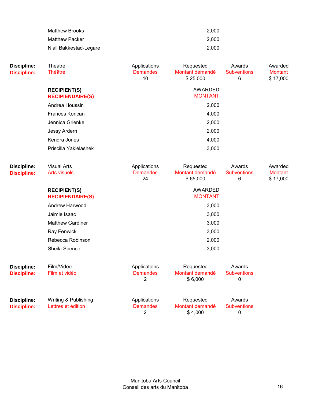| Matthew Brooks         | 2.000 |
|------------------------|-------|
| <b>Matthew Packer</b>  | 2.000 |
| Niall Bakkestad-Legare | 2.000 |

| <b>Discipline:</b><br><b>Discipline:</b> | Theatre<br><b>Théâtre</b>                      | Applications<br><b>Demandes</b><br>10             | Requested<br>Montant demandé<br>\$25,000 | Awards<br><b>Subventions</b><br>6 | Awarded<br><b>Montant</b><br>\$17,000 |
|------------------------------------------|------------------------------------------------|---------------------------------------------------|------------------------------------------|-----------------------------------|---------------------------------------|
|                                          | <b>RECIPIENT(S)</b><br><b>RÉCIPIENDAIRE(S)</b> |                                                   | <b>AWARDED</b><br><b>MONTANT</b>         |                                   |                                       |
|                                          | Andrea Houssin                                 |                                                   | 2,000                                    |                                   |                                       |
|                                          | Frances Koncan                                 |                                                   | 4,000                                    |                                   |                                       |
|                                          | Jennica Grienke                                |                                                   | 2,000                                    |                                   |                                       |
|                                          | Jessy Ardern                                   |                                                   | 2,000                                    |                                   |                                       |
|                                          | Kendra Jones                                   |                                                   | 4,000                                    |                                   |                                       |
|                                          | Priscilla Yakielashek                          |                                                   | 3,000                                    |                                   |                                       |
| <b>Discipline:</b><br><b>Discipline:</b> | <b>Visual Arts</b><br><b>Arts visuels</b>      | Applications<br><b>Demandes</b><br>24             | Requested<br>Montant demandé<br>\$65,000 | Awards<br><b>Subventions</b><br>6 | Awarded<br><b>Montant</b><br>\$17,000 |
|                                          | <b>RECIPIENT(S)</b><br><b>RÉCIPIENDAIRE(S)</b> |                                                   | <b>AWARDED</b><br><b>MONTANT</b>         |                                   |                                       |
|                                          | Andrew Harwood                                 |                                                   | 3,000                                    |                                   |                                       |
|                                          | Jaimie Isaac                                   |                                                   | 3,000                                    |                                   |                                       |
|                                          | <b>Matthew Gardiner</b>                        |                                                   | 3,000                                    |                                   |                                       |
|                                          | Ray Fenwick                                    |                                                   | 3,000                                    |                                   |                                       |
|                                          | Rebecca Robinson                               |                                                   | 2,000                                    |                                   |                                       |
|                                          | Sheila Spence                                  |                                                   | 3,000                                    |                                   |                                       |
| <b>Discipline:</b><br><b>Discipline:</b> | Film/Video<br>Film et vidéo                    | Applications<br><b>Demandes</b><br>$\overline{c}$ | Requested<br>Montant demandé<br>\$6,000  | Awards<br><b>Subventions</b><br>0 |                                       |
| <b>Discipline:</b><br><b>Discipline:</b> | Writing & Publishing<br>Lettres et édition     | Applications<br><b>Demandes</b><br>2              | Requested<br>Montant demandé<br>\$4,000  | Awards<br><b>Subventions</b><br>0 |                                       |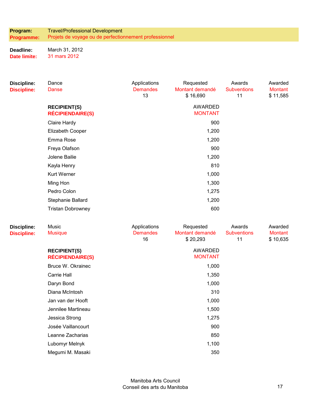**Program: Programme:**  Travel/Professional Development Projets de voyage ou de perfectionnement professionnel

**Deadline: Date limite:**  March 31, 2012 31 mars 2012

| <b>Discipline:</b><br><b>Discipline:</b> | Dance<br><b>Danse</b>                          | Applications<br><b>Demandes</b><br>13 | Requested<br>Montant demandé<br>\$16,690 | Awards<br><b>Subventions</b><br>11 | Awarded<br><b>Montant</b><br>\$11,585 |
|------------------------------------------|------------------------------------------------|---------------------------------------|------------------------------------------|------------------------------------|---------------------------------------|
|                                          | <b>RECIPIENT(S)</b><br><b>RÉCIPIENDAIRE(S)</b> |                                       | <b>AWARDED</b><br><b>MONTANT</b>         |                                    |                                       |
|                                          | Claire Hardy                                   |                                       | 900                                      |                                    |                                       |
|                                          | Elizabeth Cooper                               |                                       | 1,200                                    |                                    |                                       |
|                                          | Emma Rose                                      |                                       | 1,200                                    |                                    |                                       |
|                                          | Freya Olafson                                  |                                       | 900                                      |                                    |                                       |
|                                          | Jolene Bailie                                  |                                       | 1,200                                    |                                    |                                       |
|                                          | Kayla Henry                                    |                                       | 810                                      |                                    |                                       |
|                                          | <b>Kurt Werner</b>                             |                                       | 1,000                                    |                                    |                                       |
|                                          | Ming Hon                                       |                                       | 1,300                                    |                                    |                                       |
|                                          | Pedro Colon                                    |                                       | 1,275                                    |                                    |                                       |
|                                          | Stephanie Ballard                              |                                       | 1,200                                    |                                    |                                       |
|                                          | <b>Tristan Dobrowney</b>                       |                                       | 600                                      |                                    |                                       |
| <b>Discipline:</b><br><b>Discipline:</b> | Music<br><b>Musique</b>                        | Applications<br><b>Demandes</b><br>16 | Requested<br>Montant demandé<br>\$20,293 | Awards<br><b>Subventions</b><br>11 | Awarded<br><b>Montant</b><br>\$10,635 |
|                                          | <b>RECIPIENT(S)</b><br><b>RÉCIPIENDAIRE(S)</b> |                                       | <b>AWARDED</b><br><b>MONTANT</b>         |                                    |                                       |
|                                          | Bruce W. Okrainec                              |                                       | 1,000                                    |                                    |                                       |
|                                          | Carrie Hall                                    |                                       | 1,350                                    |                                    |                                       |
|                                          | Daryn Bond                                     |                                       | 1,000                                    |                                    |                                       |
|                                          | Diana McIntosh                                 |                                       | 310                                      |                                    |                                       |
|                                          | Jan van der Hooft                              |                                       | 1,000                                    |                                    |                                       |
|                                          | Jennilee Martineau                             |                                       | 1,500                                    |                                    |                                       |
|                                          | Jessica Strong                                 |                                       | 1,275                                    |                                    |                                       |
|                                          | Josée Vaillancourt                             |                                       | 900                                      |                                    |                                       |
|                                          | Leanne Zacharias                               |                                       | 850                                      |                                    |                                       |
|                                          | Lubomyr Melnyk                                 |                                       | 1,100                                    |                                    |                                       |
|                                          | Megumi M. Masaki                               |                                       | 350                                      |                                    |                                       |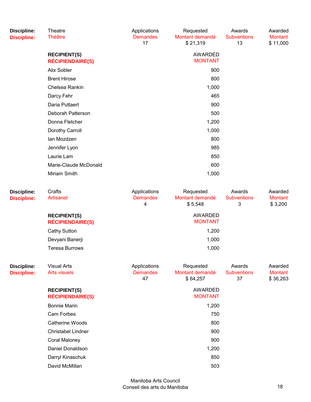| <b>Discipline:</b><br><b>Discipline:</b> | <b>Theatre</b><br><b>Théâtre</b>               | Applications<br><b>Demandes</b><br>17 | Requested<br>Montant demandé<br>\$21,319 | Awards<br><b>Subventions</b><br>13 | Awarded<br><b>Montant</b><br>\$11,000 |
|------------------------------------------|------------------------------------------------|---------------------------------------|------------------------------------------|------------------------------------|---------------------------------------|
|                                          | <b>RECIPIENT(S)</b><br><b>RÉCIPIENDAIRE(S)</b> |                                       | <b>AWARDED</b><br><b>MONTANT</b>         |                                    |                                       |
|                                          | Alix Sobler                                    |                                       | 900                                      |                                    |                                       |
|                                          | <b>Brent Hirose</b>                            |                                       | 800                                      |                                    |                                       |
|                                          | Chelsea Rankin                                 |                                       | 1,000                                    |                                    |                                       |
|                                          | Darcy Fehr                                     |                                       | 465                                      |                                    |                                       |
|                                          | Daria Puttaert                                 |                                       | 900                                      |                                    |                                       |
|                                          | Deborah Patterson                              |                                       | 500                                      |                                    |                                       |
|                                          | Donna Fletcher                                 |                                       | 1,200                                    |                                    |                                       |
|                                          | Dorothy Carroll                                |                                       | 1,000                                    |                                    |                                       |
|                                          | lan Mozdzen                                    |                                       | 800                                      |                                    |                                       |
|                                          | Jennifer Lyon                                  |                                       | 985                                      |                                    |                                       |
|                                          | Laurie Lam                                     |                                       | 850                                      |                                    |                                       |
|                                          | Marie-Claude McDonald                          |                                       | 600                                      |                                    |                                       |
|                                          | Miriam Smith                                   |                                       | 1,000                                    |                                    |                                       |
| <b>Discipline:</b><br><b>Discipline:</b> | Crafts<br><b>Artisanat</b>                     | Applications<br><b>Demandes</b>       | Requested<br>Montant demandé             | Awards<br><b>Subventions</b>       | Awarded<br><b>Montant</b>             |

| . <b>.</b><br>scipline: | Artisanat                                      | <b>Demandes</b><br>4 | Montant demandé<br>\$5,548 | <b>Subventions</b><br>3 | Montant<br>\$3,200 |
|-------------------------|------------------------------------------------|----------------------|----------------------------|-------------------------|--------------------|
|                         | <b>RECIPIENT(S)</b><br><b>RÉCIPIENDAIRE(S)</b> |                      | AWARDED<br><b>MONTANT</b>  |                         |                    |
|                         | <b>Cathy Sutton</b>                            |                      | 1,200                      |                         |                    |
|                         | Devyani Banerji                                |                      | 1,000                      |                         |                    |
|                         | <b>Teresa Burrows</b>                          |                      | 1,000                      |                         |                    |

| <b>Discipline:</b><br><b>Discipline:</b> | <b>Visual Arts</b><br><b>Arts visuels</b>      | Applications<br><b>Demandes</b><br>47 | Requested<br>Montant demandé<br>\$64,257 | Awards<br><b>Subventions</b><br>37 | Awarded<br><b>Montant</b><br>\$36,263 |
|------------------------------------------|------------------------------------------------|---------------------------------------|------------------------------------------|------------------------------------|---------------------------------------|
|                                          | <b>RECIPIENT(S)</b><br><b>RÉCIPIENDAIRE(S)</b> |                                       | AWARDED<br><b>MONTANT</b>                |                                    |                                       |
|                                          | <b>Bonnie Marin</b>                            |                                       | 1,200                                    |                                    |                                       |
|                                          | Cam Forbes                                     |                                       | 750                                      |                                    |                                       |
|                                          | Catherine Woods                                |                                       | 800                                      |                                    |                                       |
|                                          | <b>Christabel Lindner</b>                      |                                       | 900                                      |                                    |                                       |
|                                          | Coral Maloney                                  |                                       | 900                                      |                                    |                                       |
|                                          | Daniel Donaldson                               |                                       | 1,200                                    |                                    |                                       |
|                                          | Darryl Kinaschuk                               |                                       | 850                                      |                                    |                                       |
|                                          | David McMillan                                 |                                       | 503                                      |                                    |                                       |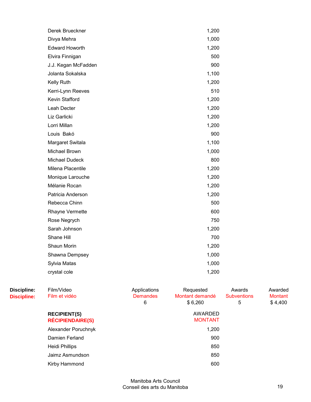| Derek Brueckner       | 1,200 |  |
|-----------------------|-------|--|
| Divya Mehra           | 1,000 |  |
| <b>Edward Howorth</b> | 1,200 |  |
| Elvira Finnigan       | 500   |  |
| J.J. Kegan McFadden   | 900   |  |
| Jolanta Sokalska      | 1,100 |  |
| Kelly Ruth            | 1,200 |  |
| Kerri-Lynn Reeves     | 510   |  |
| Kevin Stafford        | 1,200 |  |
| Leah Decter           | 1,200 |  |
| Liz Garlicki          | 1,200 |  |
| Lorri Millan          | 1,200 |  |
| Louis Bakó            | 900   |  |
| Margaret Switala      | 1,100 |  |
| Michael Brown         | 1,000 |  |
| <b>Michael Dudeck</b> | 800   |  |
| Milena Placentile     | 1,200 |  |
| Monique Larouche      | 1,200 |  |
| Mélanie Rocan         | 1,200 |  |
| Patricia Anderson     | 1,200 |  |
| Rebecca Chinn         | 500   |  |
| Rhayne Vermette       | 600   |  |
| Rose Negrych          | 750   |  |
| Sarah Johnson         | 1,200 |  |
| Shane Hill            | 700   |  |
| Shaun Morin           | 1,200 |  |
| Shawna Dempsey        | 1,000 |  |
| Sylvia Matas          | 1,000 |  |
| crystal cole          | 1,200 |  |
|                       |       |  |

| Discipline:<br><b>Discipline:</b> | Film/Video<br>Film et vidéo                    | Applications<br><b>Demandes</b><br>6 | Requested<br>Montant demandé<br>\$6,260 | Awards<br><b>Subventions</b><br>5 | Awarded<br><b>Montant</b><br>\$4,400 |
|-----------------------------------|------------------------------------------------|--------------------------------------|-----------------------------------------|-----------------------------------|--------------------------------------|
|                                   | <b>RECIPIENT(S)</b><br><b>RÉCIPIENDAIRE(S)</b> |                                      | AWARDED<br><b>MONTANT</b>               |                                   |                                      |
|                                   | Alexander Poruchnyk                            |                                      | 1,200                                   |                                   |                                      |
|                                   | Damien Ferland                                 |                                      | 900                                     |                                   |                                      |
|                                   | Heidi Phillips                                 |                                      | 850                                     |                                   |                                      |
|                                   | Jaimz Asmundson                                |                                      | 850                                     |                                   |                                      |
|                                   | Kirby Hammond                                  |                                      | 600                                     |                                   |                                      |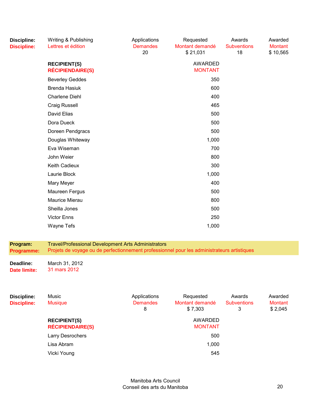| <b>Discipline:</b><br><b>Discipline:</b> | Writing & Publishing<br>Lettres et édition                                                                                                                | Applications<br><b>Demandes</b><br>20 | Requested<br>Montant demandé<br>\$21,031 | Awards<br><b>Subventions</b><br>18 | Awarded<br><b>Montant</b><br>\$10,565 |
|------------------------------------------|-----------------------------------------------------------------------------------------------------------------------------------------------------------|---------------------------------------|------------------------------------------|------------------------------------|---------------------------------------|
|                                          | <b>RECIPIENT(S)</b><br><b>RÉCIPIENDAIRE(S)</b>                                                                                                            |                                       | <b>AWARDED</b><br><b>MONTANT</b>         |                                    |                                       |
|                                          | <b>Beverley Geddes</b>                                                                                                                                    |                                       | 350                                      |                                    |                                       |
|                                          | <b>Brenda Hasiuk</b>                                                                                                                                      |                                       | 600                                      |                                    |                                       |
|                                          | <b>Charlene Diehl</b>                                                                                                                                     |                                       | 400                                      |                                    |                                       |
|                                          | <b>Craig Russell</b>                                                                                                                                      |                                       | 465                                      |                                    |                                       |
|                                          | David Elias                                                                                                                                               |                                       | 500                                      |                                    |                                       |
|                                          | Dora Dueck                                                                                                                                                |                                       | 500                                      |                                    |                                       |
|                                          | Doreen Pendgracs                                                                                                                                          |                                       | 500                                      |                                    |                                       |
|                                          | Douglas Whiteway                                                                                                                                          |                                       | 1,000                                    |                                    |                                       |
|                                          | Eva Wiseman                                                                                                                                               |                                       | 700                                      |                                    |                                       |
|                                          | John Weier                                                                                                                                                |                                       | 800                                      |                                    |                                       |
|                                          | Keith Cadieux                                                                                                                                             |                                       | 300                                      |                                    |                                       |
|                                          | Laurie Block                                                                                                                                              |                                       | 1,000                                    |                                    |                                       |
|                                          | Mary Meyer                                                                                                                                                |                                       | 400                                      |                                    |                                       |
|                                          | Maureen Fergus                                                                                                                                            |                                       | 500                                      |                                    |                                       |
|                                          | Maurice Mierau                                                                                                                                            |                                       | 800                                      |                                    |                                       |
|                                          | Sheilla Jones                                                                                                                                             |                                       | 500                                      |                                    |                                       |
|                                          | <b>Victor Enns</b>                                                                                                                                        |                                       | 250                                      |                                    |                                       |
|                                          | Wayne Tefs                                                                                                                                                |                                       | 1,000                                    |                                    |                                       |
| Program:<br><b>Programme:</b>            | <b>Travel/Professional Development Arts Administrators</b><br>Projets de voyage ou de perfectionnement professionnel pour les administrateurs artistiques |                                       |                                          |                                    |                                       |
|                                          |                                                                                                                                                           |                                       |                                          |                                    |                                       |
| Deadline:<br><b>Date limite:</b>         | March 31, 2012<br>31 mars 2012                                                                                                                            |                                       |                                          |                                    |                                       |
| <b>Discipline:</b><br><b>Discipline:</b> | Music<br><b>Musique</b>                                                                                                                                   | Applications<br><b>Demandes</b><br>8  | Requested<br>Montant demandé<br>\$7,303  | Awards<br><b>Subventions</b><br>3  | Awarded<br><b>Montant</b><br>\$2,045  |
|                                          | <b>RECIPIENT(S)</b><br><b>RÉCIPIENDAIRE(S)</b>                                                                                                            |                                       | <b>AWARDED</b><br><b>MONTANT</b>         |                                    |                                       |

Manitoba Arts Council Conseil des arts du Manitoba 20

Larry Desrochers 600 Lisa Abram 1,000 Vicki Young 545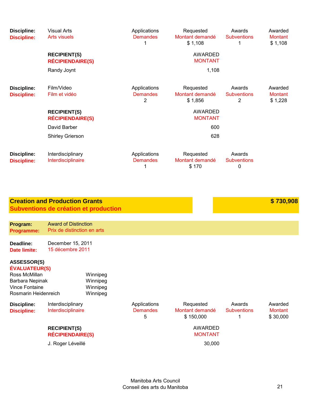| <b>Discipline:</b><br><b>Discipline:</b>                                                                                 | <b>Visual Arts</b><br><b>Arts visuels</b><br><b>RECIPIENT(S)</b><br><b>RÉCIPIENDAIRE(S)</b><br>Randy Joynt               |                                              | Applications<br><b>Demandes</b><br>1              | Requested<br>Montant demandé<br>\$1,108<br>AWARDED<br><b>MONTANT</b><br>1,108             | Awards<br><b>Subventions</b><br>1 | Awarded<br><b>Montant</b><br>\$1,108  |
|--------------------------------------------------------------------------------------------------------------------------|--------------------------------------------------------------------------------------------------------------------------|----------------------------------------------|---------------------------------------------------|-------------------------------------------------------------------------------------------|-----------------------------------|---------------------------------------|
| <b>Discipline:</b><br><b>Discipline:</b>                                                                                 | Film/Video<br>Film et vidéo<br><b>RECIPIENT(S)</b><br><b>RÉCIPIENDAIRE(S)</b><br>David Barber<br><b>Shirley Grierson</b> |                                              | Applications<br><b>Demandes</b><br>$\overline{2}$ | Requested<br>Montant demandé<br>\$1,856<br><b>AWARDED</b><br><b>MONTANT</b><br>600<br>628 | Awards<br><b>Subventions</b><br>2 | Awarded<br><b>Montant</b><br>\$1,228  |
| <b>Discipline:</b><br><b>Discipline:</b>                                                                                 | Interdisciplinary<br>Interdisciplinaire                                                                                  |                                              | Applications<br><b>Demandes</b><br>1              | Requested<br>Montant demandé<br>\$170                                                     | Awards<br><b>Subventions</b><br>0 |                                       |
|                                                                                                                          | <b>Creation and Production Grants</b>                                                                                    | Subventions de création et production        |                                                   |                                                                                           |                                   | \$730,908                             |
| Program:<br>Programme:                                                                                                   | <b>Award of Distinction</b><br>Prix de distinction en arts                                                               |                                              |                                                   |                                                                                           |                                   |                                       |
| Deadline:<br><b>Date limite:</b>                                                                                         | December 15, 2011<br>15 décembre 2011                                                                                    |                                              |                                                   |                                                                                           |                                   |                                       |
| <b>ASSESSOR(S)</b><br>ÉVALUATEUR(S)<br>Ross McMillan<br>Barbara Nepinak<br><b>Vince Fontaine</b><br>Rosmarin Heidenreich |                                                                                                                          | Winnipeg<br>Winnipeg<br>Winnipeg<br>Winnipeg |                                                   |                                                                                           |                                   |                                       |
| <b>Discipline:</b><br><b>Discipline:</b>                                                                                 | Interdisciplinary<br>Interdisciplinaire                                                                                  |                                              | Applications<br><b>Demandes</b><br>5              | Requested<br>Montant demandé<br>\$150,000                                                 | Awards<br><b>Subventions</b><br>1 | Awarded<br><b>Montant</b><br>\$30,000 |

**RECIPIENT(S) RÉCIPIENDAIRE(S)**

J. Roger Léveillé **30,000** 

Manitoba Arts Council Conseil des arts du Manitoba 21

AWARDED MONTANT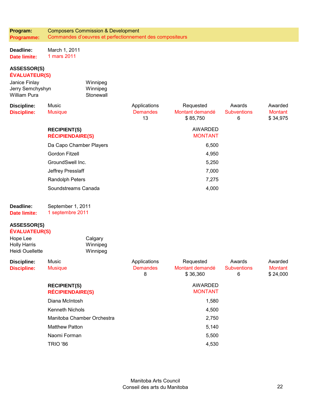**Program: Programme:**  Composers Commission & Development Commandes d'oeuvres et perfectionnement des compositeurs

**Deadline: Date limite:**  March 1, 2011 1 mars 2011

# **ASSESSOR(S) ÉVALUATEUR(S)**

| Janice Finlay<br>Jerry Semchyshyn<br><b>William Pura</b> | Winnipeg<br>Winnipeg<br>Stonewall              |                                       |                                          |                                   |                                |
|----------------------------------------------------------|------------------------------------------------|---------------------------------------|------------------------------------------|-----------------------------------|--------------------------------|
| <b>Discipline:</b><br><b>Discipline:</b>                 | Music<br><b>Musique</b>                        | Applications<br><b>Demandes</b><br>13 | Requested<br>Montant demandé<br>\$85,750 | Awards<br><b>Subventions</b><br>6 | Awarded<br>Montant<br>\$34,975 |
|                                                          | <b>RECIPIENT(S)</b><br><b>RÉCIPIENDAIRE(S)</b> |                                       | <b>AWARDED</b><br><b>MONTANT</b>         |                                   |                                |
|                                                          | Da Capo Chamber Players                        |                                       | 6,500                                    |                                   |                                |
|                                                          | Gordon Fitzell                                 |                                       | 4,950                                    |                                   |                                |
|                                                          | GroundSwell Inc.                               |                                       | 5,250                                    |                                   |                                |
|                                                          | Jeffrey Presslaff                              |                                       | 7,000                                    |                                   |                                |
|                                                          | <b>Randolph Peters</b>                         |                                       | 7,275                                    |                                   |                                |
|                                                          | Soundstreams Canada                            |                                       | 4,000                                    |                                   |                                |
| Deadline:<br>Date limite:                                | September 1, 2011<br>1 septembre 2011          |                                       |                                          |                                   |                                |
| <b>ASSESSOR(S)</b><br>ÉVALUATEUR(S)                      |                                                |                                       |                                          |                                   |                                |
| Hope Lee                                                 | Calgary                                        |                                       |                                          |                                   |                                |

| Hope Lee        | Calgary  |  |
|-----------------|----------|--|
| Holly Harris    | Winnipeg |  |
| Heidi Ouellette | Winnipeg |  |
|                 |          |  |

| <b>Discipline:</b> | Music                                          | Applications         | Requested                   | Awards                  | Awarded             |
|--------------------|------------------------------------------------|----------------------|-----------------------------|-------------------------|---------------------|
| <b>Discipline:</b> | <b>Musique</b>                                 | <b>Demandes</b><br>8 | Montant demandé<br>\$36,360 | <b>Subventions</b><br>6 | Montant<br>\$24,000 |
|                    | <b>RECIPIENT(S)</b><br><b>RÉCIPIENDAIRE(S)</b> |                      | AWARDED<br><b>MONTANT</b>   |                         |                     |
|                    | Diana McIntosh                                 |                      | 1,580                       |                         |                     |
|                    | <b>Kenneth Nichols</b>                         |                      | 4,500                       |                         |                     |
|                    | Manitoba Chamber Orchestra                     |                      | 2,750                       |                         |                     |
|                    | <b>Matthew Patton</b>                          |                      | 5,140                       |                         |                     |
|                    | Naomi Forman                                   |                      | 5,500                       |                         |                     |
|                    | <b>TRIO '86</b>                                |                      | 4,530                       |                         |                     |
|                    |                                                |                      |                             |                         |                     |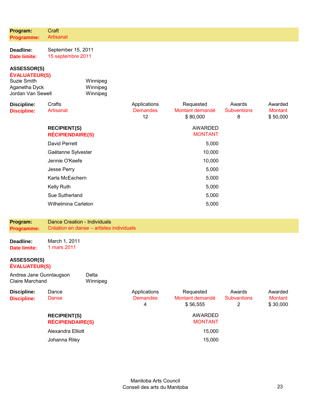| Programme:                                                                                             | Artisanat                                      |                                          |                                       |                                          |                                   |                                       |
|--------------------------------------------------------------------------------------------------------|------------------------------------------------|------------------------------------------|---------------------------------------|------------------------------------------|-----------------------------------|---------------------------------------|
| Deadline:<br><b>Date limite:</b>                                                                       | September 15, 2011<br>15 septembre 2011        |                                          |                                       |                                          |                                   |                                       |
| <b>ASSESSOR(S)</b><br><b>ÉVALUATEUR(S)</b><br><b>Suzie Smith</b><br>Aganetha Dyck<br>Jordan Van Sewell |                                                | Winnipeg<br>Winnipeg<br>Winnipeg         |                                       |                                          |                                   |                                       |
| <b>Discipline:</b><br><b>Discipline:</b>                                                               | Crafts<br>Artisanat                            |                                          | Applications<br><b>Demandes</b><br>12 | Requested<br>Montant demandé<br>\$80,000 | Awards<br><b>Subventions</b><br>8 | Awarded<br><b>Montant</b><br>\$50,000 |
|                                                                                                        | <b>RECIPIENT(S)</b><br><b>RÉCIPIENDAIRE(S)</b> |                                          |                                       | AWARDED<br><b>MONTANT</b>                |                                   |                                       |
|                                                                                                        | <b>David Perrett</b>                           |                                          |                                       | 5,000                                    |                                   |                                       |
|                                                                                                        | Gaëtanne Sylvester                             |                                          |                                       | 10,000                                   |                                   |                                       |
|                                                                                                        | Jennie O'Keefe                                 |                                          |                                       | 10,000                                   |                                   |                                       |
|                                                                                                        | Jesse Perry                                    |                                          |                                       | 5,000                                    |                                   |                                       |
|                                                                                                        | Karla McEachern                                |                                          |                                       | 5,000                                    |                                   |                                       |
|                                                                                                        | <b>Kelly Ruth</b>                              |                                          |                                       | 5,000                                    |                                   |                                       |
|                                                                                                        | Sue Sutherland                                 |                                          |                                       | 5,000                                    |                                   |                                       |
|                                                                                                        | Wilhelmina Carleton                            |                                          |                                       | 5,000                                    |                                   |                                       |
| Program:<br>Programme:                                                                                 | <b>Dance Creation - Individuals</b>            | Création en danse – artistes individuels |                                       |                                          |                                   |                                       |
| Deadline:<br><b>Date limite:</b>                                                                       | March 1, 2011<br>1 mars 2011                   |                                          |                                       |                                          |                                   |                                       |
| ASSESSOR(S)<br><b>ÉVALUATEUR(S)</b>                                                                    |                                                |                                          |                                       |                                          |                                   |                                       |
| Andrea Jane Gunnlaugson<br><b>Claire Marchand</b>                                                      |                                                | Delta<br>Winnipeg                        |                                       |                                          |                                   |                                       |
| <b>Discipline:</b><br><b>Discipline:</b>                                                               | Dance<br><b>Danse</b>                          |                                          | Applications<br><b>Demandes</b><br>4  | Requested<br>Montant demandé<br>\$56,555 | Awards<br><b>Subventions</b><br>2 | Awarded<br><b>Montant</b><br>\$30,000 |
|                                                                                                        | <b>RECIPIENT(S)</b><br><b>RÉCIPIENDAIRE(S)</b> |                                          |                                       | AWARDED<br><b>MONTANT</b>                |                                   |                                       |
|                                                                                                        | Alexandra Elliott                              |                                          |                                       | 15,000                                   |                                   |                                       |
|                                                                                                        | Johanna Riley                                  |                                          |                                       | 15,000                                   |                                   |                                       |

**Program:** 

**Craft**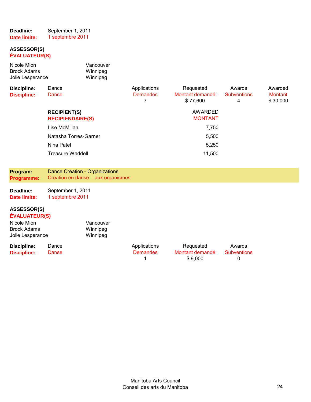| Deadline:    | September 1, 2011 |
|--------------|-------------------|
| Date limite: | 1 septembre 2011  |

#### **ASSESSOR(S) ÉVALUATEUR(S)**

| Nicole Mion<br><b>Brock Adams</b><br>Jolie Lesperance                                               |                                                | Vancouver<br>Winnipeg<br>Winnipeg  |                                      |                                          |                                   |                                       |
|-----------------------------------------------------------------------------------------------------|------------------------------------------------|------------------------------------|--------------------------------------|------------------------------------------|-----------------------------------|---------------------------------------|
| <b>Discipline:</b><br><b>Discipline:</b>                                                            | Dance<br>Danse                                 |                                    | Applications<br><b>Demandes</b><br>7 | Requested<br>Montant demandé<br>\$77,600 | Awards<br><b>Subventions</b><br>4 | Awarded<br><b>Montant</b><br>\$30,000 |
|                                                                                                     | <b>RECIPIENT(S)</b><br><b>RÉCIPIENDAIRE(S)</b> |                                    |                                      | <b>AWARDED</b><br><b>MONTANT</b>         |                                   |                                       |
|                                                                                                     | Lise McMillan                                  |                                    |                                      | 7,750                                    |                                   |                                       |
|                                                                                                     | Natasha Torres-Garner                          |                                    |                                      | 5,500                                    |                                   |                                       |
|                                                                                                     | Nina Patel                                     |                                    |                                      | 5,250                                    |                                   |                                       |
|                                                                                                     | <b>Treasure Waddell</b>                        |                                    |                                      | 11,500                                   |                                   |                                       |
|                                                                                                     |                                                |                                    |                                      |                                          |                                   |                                       |
| Program:<br><b>Programme:</b>                                                                       | <b>Dance Creation - Organizations</b>          | Création en danse - aux organismes |                                      |                                          |                                   |                                       |
| Deadline:<br><b>Date limite:</b>                                                                    | September 1, 2011<br>1 septembre 2011          |                                    |                                      |                                          |                                   |                                       |
| <b>ASSESSOR(S)</b><br><b>ÉVALUATEUR(S)</b><br>Nicole Mion<br><b>Brock Adams</b><br>Jolie Lesperance |                                                | Vancouver<br>Winnipeg<br>Winnipeg  |                                      |                                          |                                   |                                       |
| <b>Discipline:</b><br><b>Discipline:</b>                                                            | Dance<br>Danse                                 |                                    | Applications<br><b>Demandes</b><br>1 | Requested<br>Montant demandé<br>\$9,000  | Awards<br><b>Subventions</b><br>0 |                                       |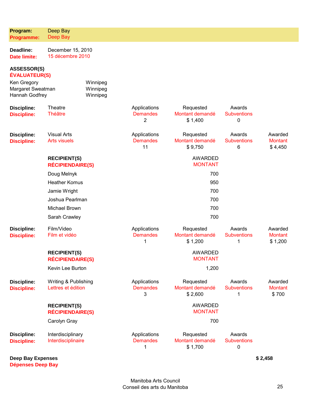| Deadline:<br><b>Date limite:</b>                   | December 15, 2010<br>15 décembre 2010          |                                  |                                       |                                         |                                   |                                      |
|----------------------------------------------------|------------------------------------------------|----------------------------------|---------------------------------------|-----------------------------------------|-----------------------------------|--------------------------------------|
| <b>ASSESSOR(S)</b><br>ÉVALUATEUR(S)                |                                                |                                  |                                       |                                         |                                   |                                      |
| Ken Gregory<br>Margaret Sweatman<br>Hannah Godfrey |                                                | Winnipeg<br>Winnipeg<br>Winnipeg |                                       |                                         |                                   |                                      |
| <b>Discipline:</b><br><b>Discipline:</b>           | <b>Theatre</b><br><b>Théâtre</b>               |                                  | Applications<br><b>Demandes</b><br>2  | Requested<br>Montant demandé<br>\$1,400 | Awards<br><b>Subventions</b><br>0 |                                      |
| <b>Discipline:</b><br><b>Discipline:</b>           | <b>Visual Arts</b><br><b>Arts visuels</b>      |                                  | Applications<br><b>Demandes</b><br>11 | Requested<br>Montant demandé<br>\$9,750 | Awards<br><b>Subventions</b><br>6 | Awarded<br><b>Montant</b><br>\$4,450 |
|                                                    | <b>RECIPIENT(S)</b><br><b>RÉCIPIENDAIRE(S)</b> |                                  |                                       | <b>AWARDED</b><br><b>MONTANT</b>        |                                   |                                      |
|                                                    | Doug Melnyk                                    |                                  |                                       | 700                                     |                                   |                                      |
|                                                    | <b>Heather Komus</b>                           |                                  |                                       | 950                                     |                                   |                                      |
|                                                    | Jamie Wright                                   |                                  |                                       | 700                                     |                                   |                                      |
|                                                    | Joshua Pearlman                                |                                  |                                       | 700                                     |                                   |                                      |
|                                                    | Michael Brown                                  |                                  |                                       | 700                                     |                                   |                                      |
|                                                    | Sarah Crawley                                  |                                  |                                       | 700                                     |                                   |                                      |
| <b>Discipline:</b><br><b>Discipline:</b>           | Film/Video<br>Film et vidéo                    |                                  | Applications<br><b>Demandes</b><br>1  | Requested<br>Montant demandé<br>\$1,200 | Awards<br><b>Subventions</b><br>1 | Awarded<br><b>Montant</b><br>\$1,200 |
|                                                    | <b>RECIPIENT(S)</b><br><b>RÉCIPIENDAIRE(S)</b> |                                  |                                       | <b>AWARDED</b><br><b>MONTANT</b>        |                                   |                                      |
|                                                    | Kevin Lee Burton                               |                                  |                                       | 1,200                                   |                                   |                                      |
| <b>Discipline:</b><br><b>Discipline:</b>           | Writing & Publishing<br>Lettres et édition     |                                  | Applications<br><b>Demandes</b><br>3  | Requested<br>Montant demandé<br>\$2,600 | Awards<br><b>Subventions</b><br>1 | Awarded<br><b>Montant</b><br>\$700   |
|                                                    | <b>RECIPIENT(S)</b><br><b>RÉCIPIENDAIRE(S)</b> |                                  |                                       | <b>AWARDED</b><br><b>MONTANT</b>        |                                   |                                      |
|                                                    | Carolyn Gray                                   |                                  |                                       | 700                                     |                                   |                                      |
| <b>Discipline:</b><br><b>Discipline:</b>           | Interdisciplinary<br>Interdisciplinaire        |                                  | Applications<br><b>Demandes</b><br>1  | Requested<br>Montant demandé<br>\$1,700 | Awards<br><b>Subventions</b><br>0 |                                      |

**Deep Bay Expenses Dépenses Deep Bay**

**Program: Programme:**  Deep Bay Deep Bay

**\$ 2,458**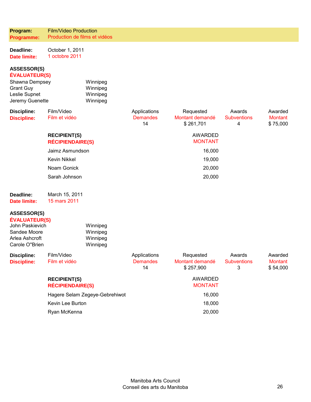| Program:<br>Programme:                                                                                               | <b>Film/Video Production</b><br>Production de films et vidéos |                                       |                                           |                                   |                                       |
|----------------------------------------------------------------------------------------------------------------------|---------------------------------------------------------------|---------------------------------------|-------------------------------------------|-----------------------------------|---------------------------------------|
| Deadline:<br><b>Date limite:</b>                                                                                     | October 1, 2011<br>1 octobre 2011                             |                                       |                                           |                                   |                                       |
| <b>ASSESSOR(S)</b><br><b>ÉVALUATEUR(S)</b><br>Shawna Dempsey<br><b>Grant Guy</b><br>Leslie Supnet<br>Jeremy Guenette | Winnipeg<br>Winnipeg<br>Winnipeg<br>Winnipeg                  |                                       |                                           |                                   |                                       |
| <b>Discipline:</b><br><b>Discipline:</b>                                                                             | Film/Video<br>Film et vidéo                                   | Applications<br><b>Demandes</b><br>14 | Requested<br>Montant demandé<br>\$261,701 | Awards<br><b>Subventions</b><br>4 | Awarded<br><b>Montant</b><br>\$75,000 |
|                                                                                                                      | <b>RECIPIENT(S)</b><br><b>RÉCIPIENDAIRE(S)</b>                |                                       | <b>AWARDED</b><br><b>MONTANT</b>          |                                   |                                       |
|                                                                                                                      | Jaimz Asmundson                                               |                                       | 16,000                                    |                                   |                                       |
|                                                                                                                      | <b>Kevin Nikkel</b>                                           |                                       | 19,000                                    |                                   |                                       |
|                                                                                                                      | Noam Gonick                                                   |                                       | 20,000                                    |                                   |                                       |
|                                                                                                                      | Sarah Johnson                                                 |                                       | 20,000                                    |                                   |                                       |
| Deadline:<br><b>Date limite:</b>                                                                                     | March 15, 2011<br>15 mars 2011                                |                                       |                                           |                                   |                                       |
| <b>ASSESSOR(S)</b><br><b>ÉVALUATEUR(S)</b><br>John Paskievich<br>Sandee Moore<br>Arlea Ashcroft<br>Carole O"Brien    | Winnipeg<br>Winnipeg<br>Winnipeg<br>Winnipeg                  |                                       |                                           |                                   |                                       |
| <b>Discipline:</b><br><b>Discipline:</b>                                                                             | Film/Video<br>Film et vidéo                                   | Applications<br><b>Demandes</b><br>14 | Requested<br>Montant demandé<br>\$257,900 | Awards<br><b>Subventions</b><br>3 | Awarded<br><b>Montant</b><br>\$54,000 |
|                                                                                                                      | <b>RECIPIENT(S)</b>                                           |                                       | <b>AWARDED</b>                            |                                   |                                       |

Hagere Selam Zegeye-Gebrehiwot 16,000 Kevin Lee Burton 18,000 Ryan McKenna 20,000

MONTANT

**RÉCIPIENDAIRE(S)**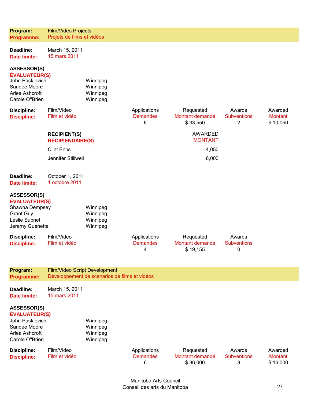| Program:<br>Programme:                                                                                               | Film/Video Projects<br>Projets de films et vidéos |                                               |                                      |                                          |                                                |                                       |
|----------------------------------------------------------------------------------------------------------------------|---------------------------------------------------|-----------------------------------------------|--------------------------------------|------------------------------------------|------------------------------------------------|---------------------------------------|
| Deadline:<br><b>Date limite:</b>                                                                                     | March 15, 2011<br>15 mars 2011                    |                                               |                                      |                                          |                                                |                                       |
| <b>ASSESSOR(S)</b><br><b>ÉVALUATEUR(S)</b><br>John Paskievich<br>Sandee Moore<br>Arlea Ashcroft<br>Carole O"Brien    |                                                   | Winnipeg<br>Winnipeg<br>Winnipeg<br>Winnipeg  |                                      |                                          |                                                |                                       |
| <b>Discipline:</b><br><b>Discipline:</b>                                                                             | Film/Video<br>Film et vidéo                       |                                               | Applications<br><b>Demandes</b><br>6 | Requested<br>Montant demandé<br>\$33,550 | Awards<br><b>Subventions</b><br>$\overline{2}$ | Awarded<br><b>Montant</b><br>\$10,050 |
|                                                                                                                      | <b>RECIPIENT(S)</b><br><b>RÉCIPIENDAIRE(S)</b>    |                                               |                                      | <b>AWARDED</b><br><b>MONTANT</b>         |                                                |                                       |
|                                                                                                                      | <b>Clint Enns</b>                                 |                                               |                                      | 4,050                                    |                                                |                                       |
|                                                                                                                      | Jennifer Stillwell                                |                                               |                                      | 6,000                                    |                                                |                                       |
| Deadline:<br><b>Date limite:</b>                                                                                     | October 1, 2011<br>1 octobre 2011                 |                                               |                                      |                                          |                                                |                                       |
| <b>ASSESSOR(S)</b><br><b>ÉVALUATEUR(S)</b><br>Shawna Dempsey<br><b>Grant Guy</b><br>Leslie Supnet<br>Jeremy Guenette |                                                   | Winnipeg<br>Winnipeg<br>Winnipeg<br>Winnipeg  |                                      |                                          |                                                |                                       |
| <b>Discipline:</b><br><b>Discipline:</b>                                                                             | Film/Video<br>Film et vidéo                       |                                               | Applications<br><b>Demandes</b><br>4 | Requested<br>Montant demandé<br>\$19,155 | Awards<br><b>Subventions</b><br>0              |                                       |
| Program:<br>Programme:                                                                                               | Film/Video Script Development                     | Développement de scenarios de films et vidéos |                                      |                                          |                                                |                                       |
| Deadline:<br><b>Date limite:</b>                                                                                     | March 15, 2011<br>15 mars 2011                    |                                               |                                      |                                          |                                                |                                       |
| <b>ASSESSOR(S)</b><br><b>ÉVALUATEUR(S)</b><br>John Paskievich<br>Sandee Moore<br>Arlea Ashcroft<br>Carole O"Brien    |                                                   | Winnipeg<br>Winnipeg<br>Winnipeg<br>Winnipeg  |                                      |                                          |                                                |                                       |
| <b>Discipline:</b><br><b>Discipline:</b>                                                                             | Film/Video<br>Film et vidéo                       |                                               | Applications<br><b>Demandes</b><br>6 | Requested<br>Montant demandé<br>\$36,000 | Awards<br><b>Subventions</b><br>3              | Awarded<br><b>Montant</b><br>\$16,000 |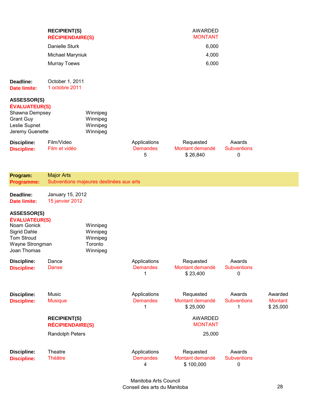|                                                                                                                                  | <b>RECIPIENT(S)</b><br><b>RÉCIPIENDAIRE(S)</b> |                                                         |                                      | <b>AWARDED</b><br><b>MONTANT</b>          |                                             |                                       |
|----------------------------------------------------------------------------------------------------------------------------------|------------------------------------------------|---------------------------------------------------------|--------------------------------------|-------------------------------------------|---------------------------------------------|---------------------------------------|
|                                                                                                                                  | Danielle Sturk                                 |                                                         |                                      | 6,000                                     |                                             |                                       |
|                                                                                                                                  | Michael Maryniuk                               |                                                         |                                      | 4,000                                     |                                             |                                       |
|                                                                                                                                  | <b>Murray Toews</b>                            |                                                         |                                      | 6,000                                     |                                             |                                       |
| Deadline:<br><b>Date limite:</b>                                                                                                 | October 1, 2011<br>1 octobre 2011              |                                                         |                                      |                                           |                                             |                                       |
| <b>ASSESSOR(S)</b><br><b>ÉVALUATEUR(S)</b><br>Shawna Dempsey<br><b>Grant Guy</b><br>Leslie Supnet<br>Jeremy Guenette             |                                                | Winnipeg<br>Winnipeg<br>Winnipeg<br>Winnipeg            |                                      |                                           |                                             |                                       |
| <b>Discipline:</b><br><b>Discipline:</b>                                                                                         | Film/Video<br>Film et vidéo                    |                                                         | Applications<br><b>Demandes</b><br>5 | Requested<br>Montant demandé<br>\$26,840  | Awards<br><b>Subventions</b><br>0           |                                       |
| Program:<br>Programme:                                                                                                           | <b>Major Arts</b>                              | Subventions majeures destinées aux arts                 |                                      |                                           |                                             |                                       |
| Deadline:<br><b>Date limite:</b>                                                                                                 | January 15, 2012<br>15 janvier 2012            |                                                         |                                      |                                           |                                             |                                       |
| <b>ASSESSOR(S)</b><br><b>ÉVALUATEUR(S)</b><br>Noam Gonick<br>Sigrid Dahle<br><b>Tom Stroud</b><br>Wayne Strongman<br>Joan Thomas |                                                | Winnipeg<br>Winnipeg<br>Winnipeg<br>Toronto<br>Winnipeg |                                      |                                           |                                             |                                       |
| <b>Discipline:</b><br><b>Discipline:</b>                                                                                         | Dance<br>Danse                                 |                                                         | Applications<br><b>Demandes</b><br>1 | Requested<br>Montant demandé<br>\$23,400  | Awards<br><b>Subventions</b><br>$\mathbf 0$ |                                       |
| <b>Discipline:</b><br><b>Discipline:</b>                                                                                         | Music<br><b>Musique</b>                        |                                                         | Applications<br><b>Demandes</b><br>1 | Requested<br>Montant demandé<br>\$25,000  | Awards<br><b>Subventions</b><br>1           | Awarded<br><b>Montant</b><br>\$25,000 |
|                                                                                                                                  | <b>RECIPIENT(S)</b><br><b>RÉCIPIENDAIRE(S)</b> |                                                         |                                      | <b>AWARDED</b><br><b>MONTANT</b>          |                                             |                                       |
|                                                                                                                                  | Randolph Peters                                |                                                         |                                      | 25,000                                    |                                             |                                       |
| <b>Discipline:</b><br><b>Discipline:</b>                                                                                         | <b>Theatre</b><br><b>Théâtre</b>               |                                                         | Applications<br><b>Demandes</b><br>4 | Requested<br>Montant demandé<br>\$100,000 | Awards<br><b>Subventions</b><br>0           |                                       |

Manitoba Arts Council Conseil des arts du Manitoba 28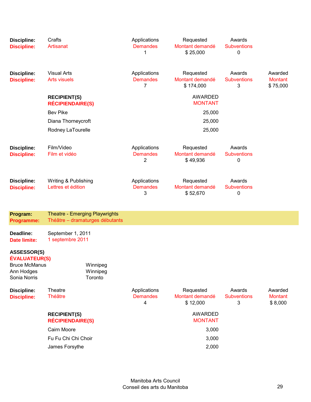| <b>Discipline:</b><br><b>Discipline:</b>                                                         | Crafts<br>Artisanat                                                      | Applications<br><b>Demandes</b><br>1 | Requested<br>Montant demandé<br>\$25,000  | Awards<br><b>Subventions</b><br>0 |                                       |
|--------------------------------------------------------------------------------------------------|--------------------------------------------------------------------------|--------------------------------------|-------------------------------------------|-----------------------------------|---------------------------------------|
| <b>Discipline:</b><br><b>Discipline:</b>                                                         | <b>Visual Arts</b><br><b>Arts visuels</b>                                | Applications<br><b>Demandes</b><br>7 | Requested<br>Montant demandé<br>\$174,000 | Awards<br><b>Subventions</b><br>3 | Awarded<br><b>Montant</b><br>\$75,000 |
|                                                                                                  | <b>RECIPIENT(S)</b><br><b>RÉCIPIENDAIRE(S)</b>                           |                                      | AWARDED<br><b>MONTANT</b>                 |                                   |                                       |
|                                                                                                  | <b>Bev Pike</b>                                                          |                                      | 25,000                                    |                                   |                                       |
|                                                                                                  | Diana Thorneycroft                                                       |                                      | 25,000                                    |                                   |                                       |
|                                                                                                  | Rodney LaTourelle                                                        |                                      | 25,000                                    |                                   |                                       |
| <b>Discipline:</b><br><b>Discipline:</b>                                                         | Film/Video<br>Film et vidéo                                              | Applications<br><b>Demandes</b><br>2 | Requested<br>Montant demandé<br>\$49,936  | Awards<br><b>Subventions</b><br>0 |                                       |
| <b>Discipline:</b><br><b>Discipline:</b>                                                         | Writing & Publishing<br>Lettres et édition                               | Applications<br><b>Demandes</b><br>3 | Requested<br>Montant demandé<br>\$52,670  | Awards<br><b>Subventions</b><br>0 |                                       |
| Program:<br><b>Programme:</b>                                                                    | <b>Theatre - Emerging Playwrights</b><br>Théâtre - dramaturges débutants |                                      |                                           |                                   |                                       |
| Deadline:<br>Date limite:                                                                        | September 1, 2011<br>1 septembre 2011                                    |                                      |                                           |                                   |                                       |
| <b>ASSESSOR(S)</b><br><b>ÉVALUATEUR(S)</b><br><b>Bruce McManus</b><br>Ann Hodges<br>Sonia Norris | Winnipeg<br>Winnipeg<br>Toronto                                          |                                      |                                           |                                   |                                       |
| <b>Discipline:</b><br><b>Discipline:</b>                                                         | <b>Theatre</b><br><b>Théâtre</b>                                         | Applications<br><b>Demandes</b><br>4 | Requested<br>Montant demandé<br>\$12,000  | Awards<br><b>Subventions</b><br>3 | Awarded<br><b>Montant</b><br>\$8,000  |
|                                                                                                  | <b>RECIPIENT(S)</b><br><b>RÉCIPIENDAIRE(S)</b>                           |                                      | <b>AWARDED</b><br><b>MONTANT</b>          |                                   |                                       |
|                                                                                                  | Cairn Moore                                                              |                                      | 3,000                                     |                                   |                                       |
|                                                                                                  | Fu Fu Chi Chi Choir                                                      |                                      | 3,000                                     |                                   |                                       |
|                                                                                                  | James Forsythe                                                           |                                      | 2,000                                     |                                   |                                       |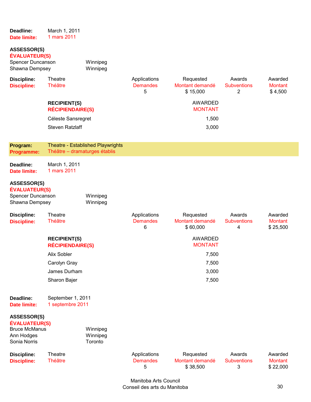| Deadline:<br><b>Date limite:</b>                                                                 | March 1, 2011<br>1 mars 2011                   |                                          |                                      |                                          |                                   |                                       |
|--------------------------------------------------------------------------------------------------|------------------------------------------------|------------------------------------------|--------------------------------------|------------------------------------------|-----------------------------------|---------------------------------------|
| <b>ASSESSOR(S)</b><br>ÉVALUATEUR(S)<br>Spencer Duncanson<br>Shawna Dempsey                       |                                                | Winnipeg<br>Winnipeg                     |                                      |                                          |                                   |                                       |
| <b>Discipline:</b><br><b>Discipline:</b>                                                         | Theatre<br><b>Théâtre</b>                      |                                          | Applications<br><b>Demandes</b><br>5 | Requested<br>Montant demandé<br>\$15,000 | Awards<br><b>Subventions</b><br>2 | Awarded<br><b>Montant</b><br>\$4,500  |
|                                                                                                  | <b>RECIPIENT(S)</b><br><b>RÉCIPIENDAIRE(S)</b> |                                          |                                      | AWARDED<br><b>MONTANT</b>                |                                   |                                       |
|                                                                                                  | Céleste Sansregret                             |                                          |                                      | 1,500                                    |                                   |                                       |
|                                                                                                  | <b>Steven Ratzlaff</b>                         |                                          |                                      | 3,000                                    |                                   |                                       |
| Program:<br>Programme:                                                                           | Théâtre - dramaturges établis                  | <b>Theatre - Established Playwrights</b> |                                      |                                          |                                   |                                       |
| Deadline:<br><b>Date limite:</b>                                                                 | March 1, 2011<br>1 mars 2011                   |                                          |                                      |                                          |                                   |                                       |
| <b>ASSESSOR(S)</b><br>ÉVALUATEUR(S)<br>Spencer Duncanson<br>Shawna Dempsey                       |                                                | Winnipeg<br>Winnipeg                     |                                      |                                          |                                   |                                       |
| <b>Discipline:</b><br><b>Discipline:</b>                                                         | Theatre<br><b>Théâtre</b>                      |                                          | Applications<br><b>Demandes</b><br>6 | Requested<br>Montant demandé<br>\$60,000 | Awards<br><b>Subventions</b><br>4 | Awarded<br><b>Montant</b><br>\$25,500 |
|                                                                                                  | <b>RECIPIENT(S)</b><br><b>RÉCIPIENDAIRE(S)</b> |                                          |                                      | AWARDED<br><b>MONTANT</b>                |                                   |                                       |
|                                                                                                  | Alix Sobler                                    |                                          |                                      | 7,500                                    |                                   |                                       |
|                                                                                                  | Carolyn Gray                                   |                                          |                                      | 7,500                                    |                                   |                                       |
|                                                                                                  | James Durham                                   |                                          |                                      | 3,000                                    |                                   |                                       |
|                                                                                                  | Sharon Bajer                                   |                                          |                                      | 7,500                                    |                                   |                                       |
| Deadline:<br><b>Date limite:</b>                                                                 | September 1, 2011<br>1 septembre 2011          |                                          |                                      |                                          |                                   |                                       |
| <b>ASSESSOR(S)</b><br><b>ÉVALUATEUR(S)</b><br><b>Bruce McManus</b><br>Ann Hodges<br>Sonia Norris |                                                | Winnipeg<br>Winnipeg<br>Toronto          |                                      |                                          |                                   |                                       |
| <b>Discipline:</b><br><b>Discipline:</b>                                                         | <b>Theatre</b><br><b>Théâtre</b>               |                                          | Applications<br><b>Demandes</b><br>5 | Requested<br>Montant demandé<br>\$38,500 | Awards<br><b>Subventions</b><br>3 | Awarded<br><b>Montant</b><br>\$22,000 |

Manitoba Arts Council Conseil des arts du Manitoba 30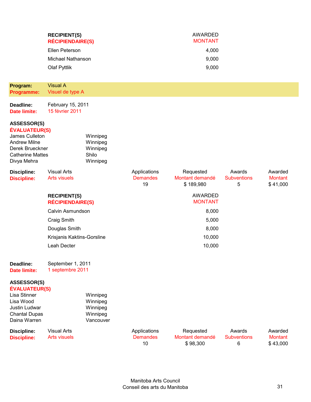| Program:                                                                                                                                                                     | <b>RECIPIENT(S)</b><br><b>RÉCIPIENDAIRE(S)</b><br>Ellen Peterson<br><b>Michael Nathanson</b><br>Olaf Pyttlik<br><b>Visual A</b> |                                                           |                                       | <b>AWARDED</b><br><b>MONTANT</b><br>4,000<br>9,000<br>9,000 |                                   |                                       |
|------------------------------------------------------------------------------------------------------------------------------------------------------------------------------|---------------------------------------------------------------------------------------------------------------------------------|-----------------------------------------------------------|---------------------------------------|-------------------------------------------------------------|-----------------------------------|---------------------------------------|
| Programme:                                                                                                                                                                   | Visuel de type A                                                                                                                |                                                           |                                       |                                                             |                                   |                                       |
| Deadline:<br><b>Date limite:</b>                                                                                                                                             | February 15, 2011<br>15 février 2011                                                                                            |                                                           |                                       |                                                             |                                   |                                       |
| ASSESSOR(S)<br><b>ÉVALUATEUR(S)</b><br>James Culleton<br><b>Andrew Milne</b><br>Derek Brueckner<br><b>Catherine Mattes</b><br>Divya Mehra                                    |                                                                                                                                 | Winnipeg<br>Winnipeg<br>Winnipeg<br>Shilo<br>Winnipeg     |                                       |                                                             |                                   |                                       |
| <b>Discipline:</b><br><b>Discipline:</b>                                                                                                                                     | <b>Visual Arts</b><br><b>Arts visuels</b>                                                                                       |                                                           | Applications<br><b>Demandes</b><br>19 | Requested<br>Montant demandé<br>\$189,980                   | Awards<br><b>Subventions</b><br>5 | Awarded<br><b>Montant</b><br>\$41,000 |
|                                                                                                                                                                              | <b>RECIPIENT(S)</b><br><b>RÉCIPIENDAIRE(S)</b>                                                                                  |                                                           |                                       | <b>AWARDED</b><br><b>MONTANT</b>                            |                                   |                                       |
|                                                                                                                                                                              | Calvin Asmundson                                                                                                                |                                                           |                                       | 8,000                                                       |                                   |                                       |
|                                                                                                                                                                              | Craig Smith                                                                                                                     |                                                           |                                       | 5,000                                                       |                                   |                                       |
|                                                                                                                                                                              | Douglas Smith                                                                                                                   |                                                           |                                       | 8,000                                                       |                                   |                                       |
|                                                                                                                                                                              | Krisjanis Kaktins-Gorsline                                                                                                      |                                                           |                                       | 10,000                                                      |                                   |                                       |
|                                                                                                                                                                              | Leah Decter                                                                                                                     |                                                           |                                       | 10,000                                                      |                                   |                                       |
| Deadline:<br><b>Date limite:</b>                                                                                                                                             | September 1, 2011<br>1 septembre 2011                                                                                           |                                                           |                                       |                                                             |                                   |                                       |
| <b>ASSESSOR(S)</b><br><b>ÉVALUATEUR(S)</b><br>Lisa Stinner<br>Lisa Wood<br>Justin Ludwar<br><b>Chantal Dupas</b><br>Daina Warren<br><b>Discipline:</b><br><b>Discipline:</b> | <b>Visual Arts</b><br><b>Arts visuels</b>                                                                                       | Winnipeg<br>Winnipeg<br>Winnipeg<br>Winnipeg<br>Vancouver | Applications<br><b>Demandes</b><br>10 | Requested<br>Montant demandé<br>\$98,300                    | Awards<br><b>Subventions</b><br>6 | Awarded<br><b>Montant</b><br>\$43,000 |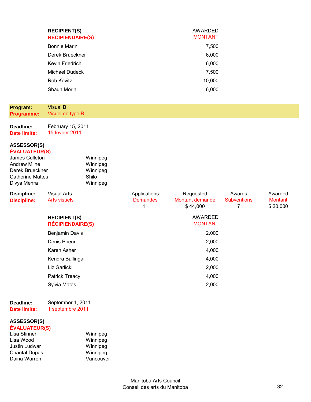| <b>RECIPIENT(S)</b><br><b>RÉCIPIENDAIRE(S)</b> | AWARDED<br><b>MONTANT</b> |
|------------------------------------------------|---------------------------|
| <b>Bonnie Marin</b>                            | 7,500                     |
| Derek Brueckner                                | 6,000                     |
| Kevin Friedrich                                | 6,000                     |
| Michael Dudeck                                 | 7,500                     |
| Rob Kovitz                                     | 10,000                    |
| Shaun Morin                                    | 6.000                     |

**Deadline: Date limite:**  February 15, 2011 15 février 2011

**ASSESSOR(S) ÉVALUATEUR(S)**

| <b>LYALUATLUNOI</b>     |          |
|-------------------------|----------|
| James Culleton          | Winnipeg |
| <b>Andrew Milne</b>     | Winnipeg |
| Derek Brueckner         | Winnipeg |
| <b>Catherine Mattes</b> | Shilo    |
| Divya Mehra             | Winnipeg |

| <b>Discipline:</b> | <b>Visual Arts</b>      | Applications    | Requested       | Awards             | Awarded        |
|--------------------|-------------------------|-----------------|-----------------|--------------------|----------------|
| <b>Discipline:</b> | Arts visuels            | <b>Demandes</b> | Montant demandé | <b>Subventions</b> | <b>Montant</b> |
|                    |                         | 11              | \$44,000        |                    | \$20,000       |
|                    | <b>RECIPIENT(S)</b>     |                 | AWARDED         |                    |                |
|                    | <b>RÉCIPIENDAIRE(S)</b> |                 | <b>MONTANT</b>  |                    |                |
|                    | Benjamin Davis          |                 | 2,000           |                    |                |
|                    | Denis Prieur            |                 | 2,000           |                    |                |
|                    | Karen Asher             |                 | 4,000           |                    |                |
|                    | Kendra Ballingall       |                 | 4,000           |                    |                |
|                    | Liz Garlicki            |                 | 2,000           |                    |                |
|                    | <b>Patrick Treacy</b>   |                 | 4,000           |                    |                |
|                    | Sylvia Matas            |                 | 2,000           |                    |                |

**Deadline: Date limite:**  September 1, 2011 1 septembre 2011

#### **ASSESSOR(S) ÉVALUATEUR(S)**

| ---------------      |           |
|----------------------|-----------|
| Lisa Stinner         | Winnipeg  |
| Lisa Wood            | Winnipeg  |
| Justin Ludwar        | Winnipeg  |
| <b>Chantal Dupas</b> | Winnipeg  |
| Daina Warren         | Vancouver |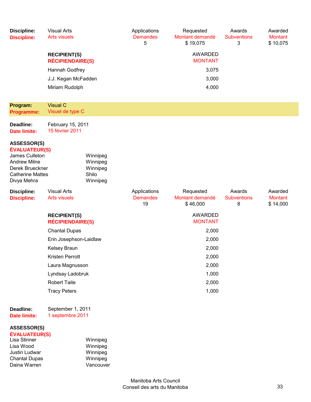| <b>Discipline:</b><br><b>Discipline:</b>                                                                                                  | <b>Visual Arts</b><br><b>Arts visuels</b>      |                                                           | Applications<br><b>Demandes</b><br>5  | Requested<br>Montant demandé<br>\$19,075 | Awards<br><b>Subventions</b><br>3 | Awarded<br><b>Montant</b><br>\$10,075 |
|-------------------------------------------------------------------------------------------------------------------------------------------|------------------------------------------------|-----------------------------------------------------------|---------------------------------------|------------------------------------------|-----------------------------------|---------------------------------------|
|                                                                                                                                           | <b>RECIPIENT(S)</b><br><b>RÉCIPIENDAIRE(S)</b> |                                                           |                                       | <b>AWARDED</b><br><b>MONTANT</b>         |                                   |                                       |
|                                                                                                                                           | Hannah Godfrey                                 |                                                           |                                       | 3,075                                    |                                   |                                       |
|                                                                                                                                           | J.J. Kegan McFadden                            |                                                           |                                       | 3,000                                    |                                   |                                       |
|                                                                                                                                           | Miriam Rudolph                                 |                                                           |                                       | 4,000                                    |                                   |                                       |
| Program:<br><b>Programme:</b>                                                                                                             | <b>Visual C</b><br>Visuel de type C            |                                                           |                                       |                                          |                                   |                                       |
| Deadline:<br><b>Date limite:</b>                                                                                                          | February 15, 2011<br>15 février 2011           |                                                           |                                       |                                          |                                   |                                       |
| ASSESSOR(S)<br><b>ÉVALUATEUR(S)</b><br>James Culleton<br><b>Andrew Milne</b><br>Derek Brueckner<br><b>Catherine Mattes</b><br>Divya Mehra |                                                | Winnipeg<br>Winnipeg<br>Winnipeg<br>Shilo<br>Winnipeg     |                                       |                                          |                                   |                                       |
| <b>Discipline:</b><br><b>Discipline:</b>                                                                                                  | <b>Visual Arts</b><br><b>Arts visuels</b>      |                                                           | Applications<br><b>Demandes</b><br>19 | Requested<br>Montant demandé<br>\$46,000 | Awards<br><b>Subventions</b><br>8 | Awarded<br><b>Montant</b><br>\$14,000 |
|                                                                                                                                           | <b>RECIPIENT(S)</b><br><b>RÉCIPIENDAIRE(S)</b> |                                                           |                                       | <b>AWARDED</b><br><b>MONTANT</b>         |                                   |                                       |
|                                                                                                                                           | <b>Chantal Dupas</b>                           |                                                           |                                       | 2,000                                    |                                   |                                       |
|                                                                                                                                           | Erin Josephson-Laidlaw                         |                                                           |                                       | 2,000                                    |                                   |                                       |
|                                                                                                                                           | Kelsey Braun                                   |                                                           |                                       | 2,000                                    |                                   |                                       |
|                                                                                                                                           | Kristen Perrott                                |                                                           |                                       | 2,000                                    |                                   |                                       |
|                                                                                                                                           | Laura Magnusson                                |                                                           |                                       | 2,000                                    |                                   |                                       |
|                                                                                                                                           | Lyndsay Ladobruk                               |                                                           |                                       | 1,000                                    |                                   |                                       |
|                                                                                                                                           | <b>Robert Taite</b>                            |                                                           |                                       | 2,000                                    |                                   |                                       |
|                                                                                                                                           | <b>Tracy Peters</b>                            |                                                           |                                       | 1,000                                    |                                   |                                       |
| Deadline:<br><b>Date limite:</b>                                                                                                          | September 1, 2011<br>1 septembre 2011          |                                                           |                                       |                                          |                                   |                                       |
| <b>ASSESSOR(S)</b><br><b>ÉVALUATEUR(S)</b><br>Lisa Stinner<br>Lisa Wood<br>Justin Ludwar<br><b>Chantal Dupas</b><br>Daina Warren          |                                                | Winnipeg<br>Winnipeg<br>Winnipeg<br>Winnipeg<br>Vancouver |                                       |                                          |                                   |                                       |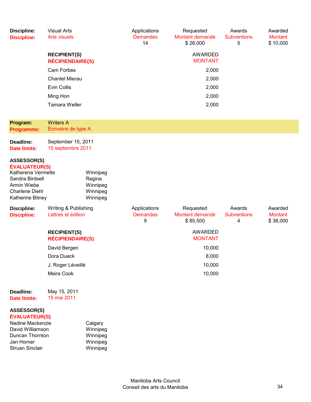| <b>Discipline:</b><br><b>Discipline:</b>                                                                                                        | <b>Visual Arts</b><br><b>Arts visuels</b>      |                                                        | Applications<br><b>Demandes</b><br>14 | Requested<br>Montant demandé<br>\$28,000 | Awards<br><b>Subventions</b><br>5 | Awarded<br><b>Montant</b><br>\$10,000 |
|-------------------------------------------------------------------------------------------------------------------------------------------------|------------------------------------------------|--------------------------------------------------------|---------------------------------------|------------------------------------------|-----------------------------------|---------------------------------------|
|                                                                                                                                                 | <b>RECIPIENT(S)</b><br><b>RÉCIPIENDAIRE(S)</b> |                                                        |                                       | <b>AWARDED</b><br><b>MONTANT</b>         |                                   |                                       |
|                                                                                                                                                 | Cam Forbes                                     |                                                        |                                       | 2,000                                    |                                   |                                       |
|                                                                                                                                                 | <b>Chantel Mierau</b>                          |                                                        |                                       | 2,000                                    |                                   |                                       |
|                                                                                                                                                 | Evin Collis                                    |                                                        |                                       | 2,000                                    |                                   |                                       |
|                                                                                                                                                 | Ming Hon                                       |                                                        |                                       | 2,000                                    |                                   |                                       |
|                                                                                                                                                 | <b>Tamara Weller</b>                           |                                                        |                                       | 2,000                                    |                                   |                                       |
| Program:                                                                                                                                        | <b>Writers A</b>                               |                                                        |                                       |                                          |                                   |                                       |
| Programme:                                                                                                                                      | Écrivains de type A                            |                                                        |                                       |                                          |                                   |                                       |
| Deadline:<br><b>Date limite:</b>                                                                                                                | September 15, 2011<br>15 septembre 2011        |                                                        |                                       |                                          |                                   |                                       |
| <b>ASSESSOR(S)</b><br><b>ÉVALUATEUR(S)</b><br>Katherena Vermette<br>Sandra Birdsell<br>Armin Wiebe<br><b>Charlene Diehl</b><br>Katherine Bitney |                                                | Winnipeg<br>Regina<br>Winnipeg<br>Winnipeg<br>Winnipeg |                                       |                                          |                                   |                                       |
| <b>Discipline:</b><br><b>Discipline:</b>                                                                                                        | Writing & Publishing<br>Lettres et édition     |                                                        | Applications<br><b>Demandes</b><br>9  | Requested<br>Montant demandé<br>\$85,500 | Awards<br><b>Subventions</b><br>4 | Awarded<br><b>Montant</b><br>\$38,000 |
|                                                                                                                                                 | <b>RECIPIENT(S)</b><br><b>RÉCIPIENDAIRE(S)</b> |                                                        |                                       | <b>AWARDED</b><br><b>MONTANT</b>         |                                   |                                       |
|                                                                                                                                                 | David Bergen                                   |                                                        |                                       | 10,000                                   |                                   |                                       |
|                                                                                                                                                 | Dora Dueck                                     |                                                        |                                       | 8,000                                    |                                   |                                       |
|                                                                                                                                                 | J. Roger Léveillé                              |                                                        |                                       | 10,000                                   |                                   |                                       |
|                                                                                                                                                 | Meira Cook                                     |                                                        |                                       | 10,000                                   |                                   |                                       |
| Deadline:<br><b>Date limite:</b>                                                                                                                | May 15, 2011<br>15 mai 2011                    |                                                        |                                       |                                          |                                   |                                       |
| <b>ASSESSOR(S)</b><br><b>ÉVALUATEUR(S)</b><br>Nadine Mackenzie<br>Dovid Williamson                                                              |                                                | Calgary<br>Minning <sub>2</sub>                        |                                       |                                          |                                   |                                       |

| Winnipeg |
|----------|
| Winnipeg |
| Winnipeg |
| Winnipeg |
|          |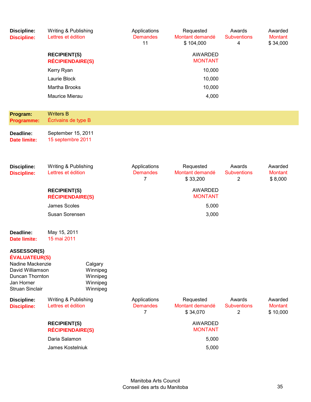| <b>Discipline:</b><br><b>Discipline:</b>                                                                                               | Writing & Publishing<br>Lettres et édition     |                                                         | Applications<br><b>Demandes</b><br>11             | Requested<br>Montant demandé<br>\$104,000 | Awards<br><b>Subventions</b><br>4              | Awarded<br><b>Montant</b><br>\$34,000 |
|----------------------------------------------------------------------------------------------------------------------------------------|------------------------------------------------|---------------------------------------------------------|---------------------------------------------------|-------------------------------------------|------------------------------------------------|---------------------------------------|
|                                                                                                                                        | <b>RECIPIENT(S)</b><br><b>RÉCIPIENDAIRE(S)</b> |                                                         |                                                   | <b>AWARDED</b><br><b>MONTANT</b>          |                                                |                                       |
|                                                                                                                                        | Kerry Ryan                                     |                                                         |                                                   | 10,000                                    |                                                |                                       |
|                                                                                                                                        | Laurie Block                                   |                                                         |                                                   | 10,000                                    |                                                |                                       |
|                                                                                                                                        | Martha Brooks                                  |                                                         |                                                   | 10,000                                    |                                                |                                       |
|                                                                                                                                        | Maurice Mierau                                 |                                                         |                                                   | 4,000                                     |                                                |                                       |
| Program:<br><b>Programme:</b>                                                                                                          | <b>Writers B</b><br>Écrivains de type B        |                                                         |                                                   |                                           |                                                |                                       |
| Deadline:<br><b>Date limite:</b>                                                                                                       | September 15, 2011<br>15 septembre 2011        |                                                         |                                                   |                                           |                                                |                                       |
| <b>Discipline:</b><br><b>Discipline:</b>                                                                                               | Writing & Publishing<br>Lettres et édition     |                                                         | Applications<br><b>Demandes</b><br>7              | Requested<br>Montant demandé<br>\$33,200  | Awards<br><b>Subventions</b><br>$\overline{2}$ | Awarded<br><b>Montant</b><br>\$8,000  |
|                                                                                                                                        | <b>RECIPIENT(S)</b><br><b>RÉCIPIENDAIRE(S)</b> |                                                         |                                                   | <b>AWARDED</b><br><b>MONTANT</b>          |                                                |                                       |
|                                                                                                                                        | <b>James Scoles</b>                            |                                                         |                                                   | 5,000                                     |                                                |                                       |
|                                                                                                                                        | Susan Sorensen                                 |                                                         |                                                   | 3,000                                     |                                                |                                       |
| Deadline:<br><b>Date limite:</b>                                                                                                       | May 15, 2011<br>15 mai 2011                    |                                                         |                                                   |                                           |                                                |                                       |
| ASSESSOR(S)<br><b>ÉVALUATEUR(S)</b><br>Nadine Mackenzie<br>David Williamson<br>Duncan Thornton<br>Jan Horner<br><b>Struan Sinclair</b> |                                                | Calgary<br>Winnipeg<br>Winnipeg<br>Winnipeg<br>Winnipeg |                                                   |                                           |                                                |                                       |
| <b>Discipline:</b><br><b>Discipline:</b>                                                                                               | Writing & Publishing<br>Lettres et édition     |                                                         | Applications<br><b>Demandes</b><br>$\overline{7}$ | Requested<br>Montant demandé<br>\$34,070  | Awards<br><b>Subventions</b><br>$\overline{2}$ | Awarded<br><b>Montant</b><br>\$10,000 |
|                                                                                                                                        | <b>RECIPIENT(S)</b><br><b>RÉCIPIENDAIRE(S)</b> |                                                         |                                                   | <b>AWARDED</b><br><b>MONTANT</b>          |                                                |                                       |
|                                                                                                                                        | Daria Salamon                                  |                                                         |                                                   | 5,000                                     |                                                |                                       |
|                                                                                                                                        | James Kostelniuk                               |                                                         |                                                   | 5,000                                     |                                                |                                       |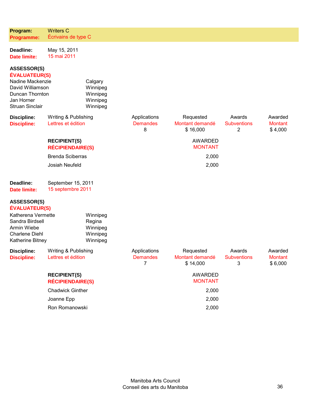| Program:                                                                                                                                      | <b>Writers C</b>                               |                                                         |                                                   |                                          |                                                |                                      |
|-----------------------------------------------------------------------------------------------------------------------------------------------|------------------------------------------------|---------------------------------------------------------|---------------------------------------------------|------------------------------------------|------------------------------------------------|--------------------------------------|
| <b>Programme:</b>                                                                                                                             | Écrivains de type C                            |                                                         |                                                   |                                          |                                                |                                      |
| Deadline:<br><b>Date limite:</b>                                                                                                              | May 15, 2011<br>15 mai 2011                    |                                                         |                                                   |                                          |                                                |                                      |
| <b>ASSESSOR(S)</b><br><b>ÉVALUATEUR(S)</b><br>Nadine Mackenzie<br>David Williamson<br>Duncan Thornton<br>Jan Horner<br><b>Struan Sinclair</b> |                                                | Calgary<br>Winnipeg<br>Winnipeg<br>Winnipeg<br>Winnipeg |                                                   |                                          |                                                |                                      |
| <b>Discipline:</b><br><b>Discipline:</b>                                                                                                      | Writing & Publishing<br>Lettres et édition     |                                                         | Applications<br><b>Demandes</b><br>8              | Requested<br>Montant demandé<br>\$16,000 | Awards<br><b>Subventions</b><br>$\overline{2}$ | Awarded<br><b>Montant</b><br>\$4,000 |
|                                                                                                                                               | <b>RECIPIENT(S)</b><br><b>RÉCIPIENDAIRE(S)</b> |                                                         |                                                   | <b>AWARDED</b><br><b>MONTANT</b>         |                                                |                                      |
|                                                                                                                                               | <b>Brenda Sciberras</b>                        |                                                         |                                                   | 2,000                                    |                                                |                                      |
|                                                                                                                                               | Josiah Neufeld                                 |                                                         |                                                   | 2,000                                    |                                                |                                      |
| Deadline:<br>Date limite:                                                                                                                     | September 15, 2011<br>15 septembre 2011        |                                                         |                                                   |                                          |                                                |                                      |
| <b>ASSESSOR(S)</b><br><b>ÉVALUATEUR(S)</b>                                                                                                    |                                                |                                                         |                                                   |                                          |                                                |                                      |
| Katherena Vermette<br>Sandra Birdsell<br>Armin Wiebe<br><b>Charlene Diehl</b><br>Katherine Bitney                                             |                                                | Winnipeg<br>Regina<br>Winnipeg<br>Winnipeg<br>Winnipeg  |                                                   |                                          |                                                |                                      |
| <b>Discipline:</b><br><b>Discipline:</b>                                                                                                      | Writing & Publishing<br>Lettres et édition     |                                                         | Applications<br><b>Demandes</b><br>$\overline{7}$ | Requested<br>Montant demandé<br>\$14,000 | Awards<br><b>Subventions</b><br>3              | Awarded<br><b>Montant</b><br>\$6,000 |
|                                                                                                                                               | <b>RECIPIENT(S)</b><br><b>RÉCIPIENDAIRE(S)</b> |                                                         |                                                   | <b>AWARDED</b><br><b>MONTANT</b>         |                                                |                                      |
|                                                                                                                                               | <b>Chadwick Ginther</b>                        |                                                         |                                                   | 2,000                                    |                                                |                                      |
|                                                                                                                                               | Joanne Epp                                     |                                                         |                                                   | 2,000                                    |                                                |                                      |
|                                                                                                                                               | Ron Romanowski                                 |                                                         |                                                   | 2,000                                    |                                                |                                      |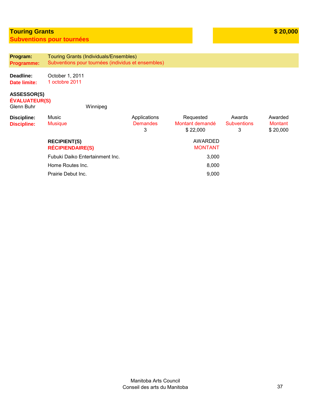### **Touring Grants Subventions pour tournées**

**Program: Programme:**  Touring Grants (Individuals/Ensembles) Subventions pour tournées (individus et ensembles)

**Deadline: Date limite:**  October 1, 2011 1 octobre 2011

#### **ASSESSOR(S)**

**ÉVALUATEUR(S)**

Glenn Buhr Winnipeg

| Discipline:<br><b>Discipline:</b> | Music<br><b>Musique</b>                        | Applications<br><b>Demandes</b><br>3 | Requested<br>Montant demandé<br>\$22,000 | Awards<br><b>Subventions</b><br>3 | Awarded<br>Montant<br>\$20,000 |
|-----------------------------------|------------------------------------------------|--------------------------------------|------------------------------------------|-----------------------------------|--------------------------------|
|                                   | <b>RECIPIENT(S)</b><br><b>RÉCIPIENDAIRE(S)</b> |                                      | AWARDED<br><b>MONTANT</b>                |                                   |                                |
|                                   | Fubuki Daiko Entertainment Inc.                |                                      | 3,000                                    |                                   |                                |
|                                   | Home Routes Inc.                               |                                      | 8,000                                    |                                   |                                |
|                                   | Prairie Debut Inc.                             |                                      | 9,000                                    |                                   |                                |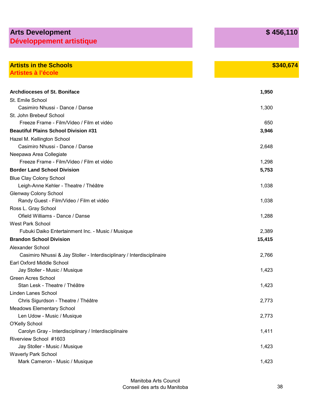# **Arts Development Développement artistique**

| <b>Artists in the Schools</b>                                          | \$340,674 |
|------------------------------------------------------------------------|-----------|
| <b>Artistes à l'école</b>                                              |           |
| <b>Archdioceses of St. Boniface</b>                                    | 1,950     |
| St. Emile School                                                       |           |
| Casimiro Nhussi - Dance / Danse                                        | 1,300     |
| St. John Brebeuf School                                                |           |
| Freeze Frame - Film/Video / Film et vidéo                              | 650       |
| <b>Beautiful Plains School Division #31</b>                            | 3,946     |
| Hazel M. Kellington School                                             |           |
| Casimiro Nhussi - Dance / Danse                                        | 2,648     |
| Neepawa Area Collegiate                                                |           |
| Freeze Frame - Film/Video / Film et vidéo                              | 1,298     |
| <b>Border Land School Division</b>                                     | 5,753     |
| <b>Blue Clay Colony School</b>                                         |           |
| Leigh-Anne Kehler - Theatre / Théâtre                                  | 1,038     |
| <b>Glenway Colony School</b>                                           |           |
| Randy Guest - Film/Video / Film et vidéo                               | 1,038     |
| Ross L. Gray School                                                    |           |
| Ofield Williams - Dance / Danse                                        | 1,288     |
| <b>West Park School</b>                                                |           |
| Fubuki Daiko Entertainment Inc. - Music / Musique                      | 2,389     |
| <b>Brandon School Division</b>                                         | 15,415    |
| Alexander School                                                       |           |
| Casimiro Nhussi & Jay Stoller - Interdisciplinary / Interdisciplinaire | 2,766     |
| Earl Oxford Middle School                                              |           |
| Jay Stoller - Music / Musique                                          | 1,423     |
| <b>Green Acres School</b>                                              |           |
| Stan Lesk - Theatre / Théâtre                                          | 1,423     |
| <b>Linden Lanes School</b>                                             |           |
| Chris Sigurdson - Theatre / Théâtre                                    | 2,773     |
| <b>Meadows Elementary School</b>                                       |           |
| Len Udow - Music / Musique                                             | 2,773     |
| <b>O'Kelly School</b>                                                  |           |
| Carolyn Gray - Interdisciplinary / Interdisciplinaire                  | 1,411     |
| Riverview School #1603                                                 |           |
| Jay Stoller - Music / Musique                                          | 1,423     |
| <b>Waverly Park School</b>                                             |           |
| Mark Cameron - Music / Musique                                         | 1,423     |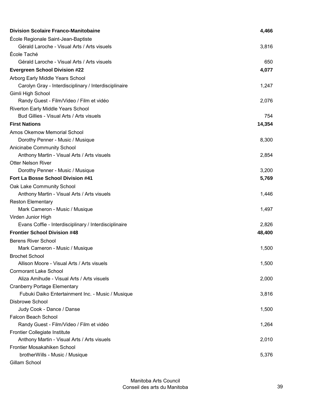| École Regionale Saint-Jean-Baptiste<br>Gérald Laroche - Visual Arts / Arts visuels<br>3,816<br>École Taché<br>Gérald Laroche - Visual Arts / Arts visuels<br>650<br><b>Evergreen School Division #22</b><br>4,077<br>Arborg Early Middle Years School<br>Carolyn Gray - Interdisciplinary / Interdisciplinaire<br>1,247<br>Gimli High School<br>Randy Guest - Film/Video / Film et vidéo<br>2,076<br>Riverton Early Middle Years School<br>Bud Gillies - Visual Arts / Arts visuels<br>754<br><b>First Nations</b><br>14,354<br>Amos Okemow Memorial School<br>Dorothy Penner - Music / Musique<br>8,300<br>Anicinabe Community School<br>Anthony Martin - Visual Arts / Arts visuels<br>2,854<br><b>Otter Nelson River</b><br>Dorothy Penner - Music / Musique<br>3,200<br>Fort La Bosse School Division #41<br>5,769<br>Oak Lake Community School<br>Anthony Martin - Visual Arts / Arts visuels<br>1,446<br><b>Reston Elementary</b><br>Mark Cameron - Music / Musique<br>1,497<br>Virden Junior High<br>Evans Coffie - Interdisciplinary / Interdisciplinaire<br>2,826<br><b>Frontier School Division #48</b><br>48,400<br><b>Berens River School</b><br>Mark Cameron - Music / Musique<br>1,500<br><b>Brochet School</b><br>Allison Moore - Visual Arts / Arts visuels<br>1,500 |
|--------------------------------------------------------------------------------------------------------------------------------------------------------------------------------------------------------------------------------------------------------------------------------------------------------------------------------------------------------------------------------------------------------------------------------------------------------------------------------------------------------------------------------------------------------------------------------------------------------------------------------------------------------------------------------------------------------------------------------------------------------------------------------------------------------------------------------------------------------------------------------------------------------------------------------------------------------------------------------------------------------------------------------------------------------------------------------------------------------------------------------------------------------------------------------------------------------------------------------------------------------------------------------------|
|                                                                                                                                                                                                                                                                                                                                                                                                                                                                                                                                                                                                                                                                                                                                                                                                                                                                                                                                                                                                                                                                                                                                                                                                                                                                                      |
|                                                                                                                                                                                                                                                                                                                                                                                                                                                                                                                                                                                                                                                                                                                                                                                                                                                                                                                                                                                                                                                                                                                                                                                                                                                                                      |
|                                                                                                                                                                                                                                                                                                                                                                                                                                                                                                                                                                                                                                                                                                                                                                                                                                                                                                                                                                                                                                                                                                                                                                                                                                                                                      |
|                                                                                                                                                                                                                                                                                                                                                                                                                                                                                                                                                                                                                                                                                                                                                                                                                                                                                                                                                                                                                                                                                                                                                                                                                                                                                      |
|                                                                                                                                                                                                                                                                                                                                                                                                                                                                                                                                                                                                                                                                                                                                                                                                                                                                                                                                                                                                                                                                                                                                                                                                                                                                                      |
|                                                                                                                                                                                                                                                                                                                                                                                                                                                                                                                                                                                                                                                                                                                                                                                                                                                                                                                                                                                                                                                                                                                                                                                                                                                                                      |
|                                                                                                                                                                                                                                                                                                                                                                                                                                                                                                                                                                                                                                                                                                                                                                                                                                                                                                                                                                                                                                                                                                                                                                                                                                                                                      |
|                                                                                                                                                                                                                                                                                                                                                                                                                                                                                                                                                                                                                                                                                                                                                                                                                                                                                                                                                                                                                                                                                                                                                                                                                                                                                      |
|                                                                                                                                                                                                                                                                                                                                                                                                                                                                                                                                                                                                                                                                                                                                                                                                                                                                                                                                                                                                                                                                                                                                                                                                                                                                                      |
|                                                                                                                                                                                                                                                                                                                                                                                                                                                                                                                                                                                                                                                                                                                                                                                                                                                                                                                                                                                                                                                                                                                                                                                                                                                                                      |
|                                                                                                                                                                                                                                                                                                                                                                                                                                                                                                                                                                                                                                                                                                                                                                                                                                                                                                                                                                                                                                                                                                                                                                                                                                                                                      |
|                                                                                                                                                                                                                                                                                                                                                                                                                                                                                                                                                                                                                                                                                                                                                                                                                                                                                                                                                                                                                                                                                                                                                                                                                                                                                      |
|                                                                                                                                                                                                                                                                                                                                                                                                                                                                                                                                                                                                                                                                                                                                                                                                                                                                                                                                                                                                                                                                                                                                                                                                                                                                                      |
|                                                                                                                                                                                                                                                                                                                                                                                                                                                                                                                                                                                                                                                                                                                                                                                                                                                                                                                                                                                                                                                                                                                                                                                                                                                                                      |
|                                                                                                                                                                                                                                                                                                                                                                                                                                                                                                                                                                                                                                                                                                                                                                                                                                                                                                                                                                                                                                                                                                                                                                                                                                                                                      |
|                                                                                                                                                                                                                                                                                                                                                                                                                                                                                                                                                                                                                                                                                                                                                                                                                                                                                                                                                                                                                                                                                                                                                                                                                                                                                      |
|                                                                                                                                                                                                                                                                                                                                                                                                                                                                                                                                                                                                                                                                                                                                                                                                                                                                                                                                                                                                                                                                                                                                                                                                                                                                                      |
|                                                                                                                                                                                                                                                                                                                                                                                                                                                                                                                                                                                                                                                                                                                                                                                                                                                                                                                                                                                                                                                                                                                                                                                                                                                                                      |
|                                                                                                                                                                                                                                                                                                                                                                                                                                                                                                                                                                                                                                                                                                                                                                                                                                                                                                                                                                                                                                                                                                                                                                                                                                                                                      |
|                                                                                                                                                                                                                                                                                                                                                                                                                                                                                                                                                                                                                                                                                                                                                                                                                                                                                                                                                                                                                                                                                                                                                                                                                                                                                      |
|                                                                                                                                                                                                                                                                                                                                                                                                                                                                                                                                                                                                                                                                                                                                                                                                                                                                                                                                                                                                                                                                                                                                                                                                                                                                                      |
|                                                                                                                                                                                                                                                                                                                                                                                                                                                                                                                                                                                                                                                                                                                                                                                                                                                                                                                                                                                                                                                                                                                                                                                                                                                                                      |
|                                                                                                                                                                                                                                                                                                                                                                                                                                                                                                                                                                                                                                                                                                                                                                                                                                                                                                                                                                                                                                                                                                                                                                                                                                                                                      |
|                                                                                                                                                                                                                                                                                                                                                                                                                                                                                                                                                                                                                                                                                                                                                                                                                                                                                                                                                                                                                                                                                                                                                                                                                                                                                      |
|                                                                                                                                                                                                                                                                                                                                                                                                                                                                                                                                                                                                                                                                                                                                                                                                                                                                                                                                                                                                                                                                                                                                                                                                                                                                                      |
|                                                                                                                                                                                                                                                                                                                                                                                                                                                                                                                                                                                                                                                                                                                                                                                                                                                                                                                                                                                                                                                                                                                                                                                                                                                                                      |
|                                                                                                                                                                                                                                                                                                                                                                                                                                                                                                                                                                                                                                                                                                                                                                                                                                                                                                                                                                                                                                                                                                                                                                                                                                                                                      |
|                                                                                                                                                                                                                                                                                                                                                                                                                                                                                                                                                                                                                                                                                                                                                                                                                                                                                                                                                                                                                                                                                                                                                                                                                                                                                      |
|                                                                                                                                                                                                                                                                                                                                                                                                                                                                                                                                                                                                                                                                                                                                                                                                                                                                                                                                                                                                                                                                                                                                                                                                                                                                                      |
|                                                                                                                                                                                                                                                                                                                                                                                                                                                                                                                                                                                                                                                                                                                                                                                                                                                                                                                                                                                                                                                                                                                                                                                                                                                                                      |
| <b>Cormorant Lake School</b>                                                                                                                                                                                                                                                                                                                                                                                                                                                                                                                                                                                                                                                                                                                                                                                                                                                                                                                                                                                                                                                                                                                                                                                                                                                         |
| Aliza Amihude - Visual Arts / Arts visuels<br>2,000                                                                                                                                                                                                                                                                                                                                                                                                                                                                                                                                                                                                                                                                                                                                                                                                                                                                                                                                                                                                                                                                                                                                                                                                                                  |
| <b>Cranberry Portage Elementary</b>                                                                                                                                                                                                                                                                                                                                                                                                                                                                                                                                                                                                                                                                                                                                                                                                                                                                                                                                                                                                                                                                                                                                                                                                                                                  |
| Fubuki Daiko Entertainment Inc. - Music / Musique<br>3,816                                                                                                                                                                                                                                                                                                                                                                                                                                                                                                                                                                                                                                                                                                                                                                                                                                                                                                                                                                                                                                                                                                                                                                                                                           |
| <b>Disbrowe School</b>                                                                                                                                                                                                                                                                                                                                                                                                                                                                                                                                                                                                                                                                                                                                                                                                                                                                                                                                                                                                                                                                                                                                                                                                                                                               |
| Judy Cook - Dance / Danse<br>1,500                                                                                                                                                                                                                                                                                                                                                                                                                                                                                                                                                                                                                                                                                                                                                                                                                                                                                                                                                                                                                                                                                                                                                                                                                                                   |
| <b>Falcon Beach School</b>                                                                                                                                                                                                                                                                                                                                                                                                                                                                                                                                                                                                                                                                                                                                                                                                                                                                                                                                                                                                                                                                                                                                                                                                                                                           |
| Randy Guest - Film/Video / Film et vidéo<br>1,264                                                                                                                                                                                                                                                                                                                                                                                                                                                                                                                                                                                                                                                                                                                                                                                                                                                                                                                                                                                                                                                                                                                                                                                                                                    |
| <b>Frontier Collegiate Institute</b>                                                                                                                                                                                                                                                                                                                                                                                                                                                                                                                                                                                                                                                                                                                                                                                                                                                                                                                                                                                                                                                                                                                                                                                                                                                 |
| Anthony Martin - Visual Arts / Arts visuels<br>2,010<br>Frontier Mosakahiken School                                                                                                                                                                                                                                                                                                                                                                                                                                                                                                                                                                                                                                                                                                                                                                                                                                                                                                                                                                                                                                                                                                                                                                                                  |
| 5,376<br>brotherWills - Music / Musique                                                                                                                                                                                                                                                                                                                                                                                                                                                                                                                                                                                                                                                                                                                                                                                                                                                                                                                                                                                                                                                                                                                                                                                                                                              |
| Gillam School                                                                                                                                                                                                                                                                                                                                                                                                                                                                                                                                                                                                                                                                                                                                                                                                                                                                                                                                                                                                                                                                                                                                                                                                                                                                        |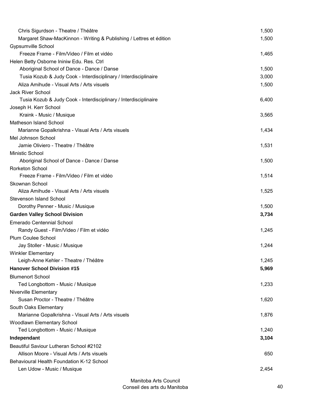| Chris Sigurdson - Theatre / Théâtre                                 | 1,500 |
|---------------------------------------------------------------------|-------|
| Margaret Shaw-MacKinnon - Writing & Publishing / Lettres et édition | 1,500 |
| <b>Gypsumville School</b>                                           |       |
| Freeze Frame - Film/Video / Film et vidéo                           | 1,465 |
| Helen Betty Osborne Ininiw Edu. Res. Ctrl                           |       |
| Aboriginal School of Dance - Dance / Danse                          | 1,500 |
| Tusia Kozub & Judy Cook - Interdisciplinary / Interdisciplinaire    | 3,000 |
| Aliza Amihude - Visual Arts / Arts visuels                          | 1,500 |
| Jack River School                                                   |       |
| Tusia Kozub & Judy Cook - Interdisciplinary / Interdisciplinaire    | 6,400 |
| Joseph H. Kerr School                                               |       |
| Kraink - Music / Musique                                            | 3,565 |
| Matheson Island School                                              |       |
| Marianne Gopalkrishna - Visual Arts / Arts visuels                  | 1,434 |
| Mel Johnson School                                                  |       |
| Jamie Oliviero - Theatre / Théâtre                                  | 1,531 |
| Ministic School                                                     |       |
| Aboriginal School of Dance - Dance / Danse                          | 1,500 |
| Rorketon School                                                     |       |
| Freeze Frame - Film/Video / Film et vidéo                           | 1,514 |
| Skownan School                                                      |       |
| Aliza Amihude - Visual Arts / Arts visuels                          | 1,525 |
| <b>Stevenson Island School</b>                                      |       |
| Dorothy Penner - Music / Musique                                    | 1,500 |
| <b>Garden Valley School Division</b>                                | 3,734 |
| <b>Emerado Centennial School</b>                                    |       |
| Randy Guest - Film/Video / Film et vidéo                            | 1,245 |
| Plum Coulee School                                                  |       |
| Jay Stoller - Music / Musique                                       | 1,244 |
| Winkler Elementary                                                  |       |
| Leigh-Anne Kehler - Theatre / Théâtre                               | 1,245 |
| <b>Hanover School Division #15</b>                                  | 5,969 |
| <b>Blumenort School</b>                                             |       |
| Ted Longbottom - Music / Musique                                    | 1,233 |
| Niverville Elementary                                               |       |
| Susan Proctor - Theatre / Théâtre                                   | 1,620 |
| South Oaks Elementary                                               |       |
| Marianne Gopalkrishna - Visual Arts / Arts visuels                  | 1,876 |
| Woodlawn Elementary School                                          |       |
| Ted Longbottom - Music / Musique                                    | 1,240 |
| Independant                                                         | 3,104 |
| Beautiful Saviour Lutheran School #2102                             |       |
| Allison Moore - Visual Arts / Arts visuels                          | 650   |
| <b>Behavioural Health Foundation K-12 School</b>                    |       |
| Len Udow - Music / Musique                                          | 2,454 |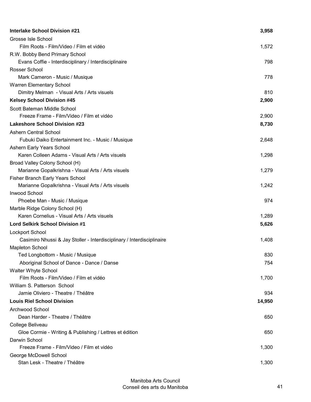| <b>Interlake School Division #21</b>                                   | 3,958  |
|------------------------------------------------------------------------|--------|
| Grosse Isle School                                                     |        |
| Film Roots - Film/Video / Film et vidéo                                | 1,572  |
| R.W. Bobby Bend Primary School                                         |        |
| Evans Coffie - Interdisciplinary / Interdisciplinaire                  | 798    |
| Rosser School                                                          |        |
| Mark Cameron - Music / Musique                                         | 778    |
| <b>Warren Elementary School</b>                                        |        |
| Dimitry Melman - Visual Arts / Arts visuels                            | 810    |
| <b>Kelsey School Division #45</b>                                      | 2,900  |
| Scott Bateman Middle School                                            |        |
| Freeze Frame - Film/Video / Film et vidéo                              | 2,900  |
| <b>Lakeshore School Division #23</b>                                   | 8,730  |
| <b>Ashern Central School</b>                                           |        |
| Fubuki Daiko Entertainment Inc. - Music / Musique                      | 2,648  |
| Ashern Early Years School                                              |        |
| Karen Colleen Adams - Visual Arts / Arts visuels                       | 1,298  |
| Broad Valley Colony School (H)                                         |        |
| Marianne Gopalkrishna - Visual Arts / Arts visuels                     | 1,279  |
| <b>Fisher Branch Early Years School</b>                                |        |
| Marianne Gopalkrishna - Visual Arts / Arts visuels                     | 1,242  |
| <b>Inwood School</b>                                                   |        |
| Phoebe Man - Music / Musique                                           | 974    |
| Marble Ridge Colony School (H)                                         |        |
| Karen Cornelius - Visual Arts / Arts visuels                           | 1,289  |
| <b>Lord Selkirk School Division #1</b>                                 | 5,626  |
| Lockport School                                                        |        |
| Casimiro Nhussi & Jay Stoller - Interdisciplinary / Interdisciplinaire | 1,408  |
| <b>Mapleton School</b>                                                 |        |
| Ted Longbottom - Music / Musique                                       | 830    |
| Aboriginal School of Dance - Dance / Danse                             | 754    |
| <b>Walter Whyte School</b>                                             |        |
| Film Roots - Film/Video / Film et vidéo                                | 1,700  |
| William S. Patterson School                                            |        |
| Jamie Oliviero - Theatre / Théâtre                                     | 934    |
| <b>Louis Riel School Division</b>                                      | 14,950 |
| <b>Archwood School</b>                                                 |        |
| Dean Harder - Theatre / Théâtre                                        | 650    |
| College Beliveau                                                       |        |
| Gloe Cormie - Writing & Publishing / Lettres et édition                | 650    |
| Darwin School                                                          |        |
| Freeze Frame - Film/Video / Film et vidéo                              | 1,300  |
| George McDowell School                                                 |        |
| Stan Lesk - Theatre / Théâtre                                          | 1,300  |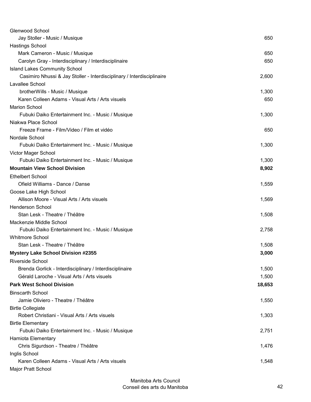| Glenwood School                                                        |        |
|------------------------------------------------------------------------|--------|
| Jay Stoller - Music / Musique                                          | 650    |
| <b>Hastings School</b>                                                 |        |
| Mark Cameron - Music / Musique                                         | 650    |
| Carolyn Gray - Interdisciplinary / Interdisciplinaire                  | 650    |
| <b>Island Lakes Community School</b>                                   |        |
| Casimiro Nhussi & Jay Stoller - Interdisciplinary / Interdisciplinaire | 2,600  |
| Lavallee School                                                        |        |
| brotherWills - Music / Musique                                         | 1,300  |
| Karen Colleen Adams - Visual Arts / Arts visuels                       | 650    |
| <b>Marion School</b>                                                   |        |
| Fubuki Daiko Entertainment Inc. - Music / Musique                      | 1,300  |
| Niakwa Place School                                                    |        |
| Freeze Frame - Film/Video / Film et vidéo                              | 650    |
| Nordale School                                                         |        |
| Fubuki Daiko Entertainment Inc. - Music / Musique                      | 1,300  |
| Victor Mager School                                                    |        |
| Fubuki Daiko Entertainment Inc. - Music / Musique                      | 1,300  |
| <b>Mountain View School Division</b>                                   | 8,902  |
| <b>Ethelbert School</b>                                                |        |
| Ofield Williams - Dance / Danse                                        | 1,559  |
| Goose Lake High School                                                 |        |
| Allison Moore - Visual Arts / Arts visuels                             | 1,569  |
| <b>Henderson School</b>                                                |        |
| Stan Lesk - Theatre / Théâtre                                          | 1,508  |
| Mackenzie Middle School                                                |        |
| Fubuki Daiko Entertainment Inc. - Music / Musique                      | 2,758  |
| <b>Whitmore School</b>                                                 |        |
| Stan Lesk - Theatre / Théâtre                                          | 1,508  |
| <b>Mystery Lake School Division #2355</b>                              | 3,000  |
| <b>Riverside School</b>                                                |        |
| Brenda Gorlick - Interdisciplinary / Interdisciplinaire                | 1,500  |
| Gérald Laroche - Visual Arts / Arts visuels                            | 1,500  |
| <b>Park West School Division</b>                                       | 18,653 |
| <b>Binscarth School</b>                                                |        |
| Jamie Oliviero - Theatre / Théâtre                                     | 1,550  |
| <b>Birtle Collegiate</b>                                               |        |
| Robert Christiani - Visual Arts / Arts visuels                         | 1,303  |
| <b>Birtle Elementary</b>                                               |        |
| Fubuki Daiko Entertainment Inc. - Music / Musique                      | 2,751  |
| Hamiota Elementary                                                     |        |
| Chris Sigurdson - Theatre / Théâtre                                    | 1,476  |
| Inglis School                                                          |        |
| Karen Colleen Adams - Visual Arts / Arts visuels                       | 1,548  |
| Major Pratt School                                                     |        |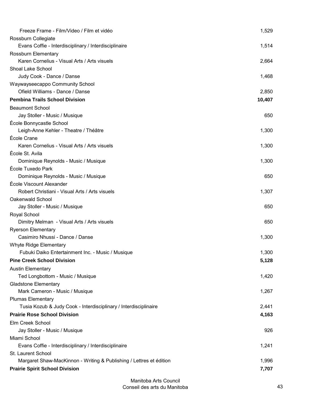| Freeze Frame - Film/Video / Film et vidéo                           | 1,529  |
|---------------------------------------------------------------------|--------|
| Rossburn Collegiate                                                 |        |
| Evans Coffie - Interdisciplinary / Interdisciplinaire               | 1,514  |
| Rossburn Elementary                                                 |        |
| Karen Cornelius - Visual Arts / Arts visuels                        | 2,664  |
| Shoal Lake School                                                   |        |
| Judy Cook - Dance / Danse                                           | 1,468  |
| Waywayseecappo Community School                                     |        |
| Ofield Williams - Dance / Danse                                     | 2,850  |
| <b>Pembina Trails School Division</b>                               | 10,407 |
| <b>Beaumont School</b>                                              |        |
| Jay Stoller - Music / Musique                                       | 650    |
| École Bonnycastle School                                            |        |
| Leigh-Anne Kehler - Theatre / Théâtre                               | 1,300  |
| École Crane                                                         |        |
| Karen Cornelius - Visual Arts / Arts visuels                        | 1,300  |
| École St. Avila                                                     |        |
| Dominique Reynolds - Music / Musique                                | 1,300  |
| École Tuxedo Park                                                   |        |
| Dominique Reynolds - Music / Musique                                | 650    |
| École Viscount Alexander                                            |        |
| Robert Christiani - Visual Arts / Arts visuels                      | 1,307  |
| Oakenwald School                                                    |        |
| Jay Stoller - Music / Musique                                       | 650    |
| Royal School                                                        |        |
| Dimitry Melman - Visual Arts / Arts visuels                         | 650    |
| <b>Ryerson Elementary</b>                                           |        |
| Casimiro Nhussi - Dance / Danse                                     | 1,300  |
| Whyte Ridge Elementary                                              |        |
| Fubuki Daiko Entertainment Inc. - Music / Musique                   | 1,300  |
| <b>Pine Creek School Division</b>                                   | 5,128  |
| <b>Austin Elementary</b>                                            |        |
| Ted Longbottom - Music / Musique                                    | 1,420  |
| <b>Gladstone Elementary</b>                                         |        |
| Mark Cameron - Music / Musique                                      | 1,267  |
| <b>Plumas Elementary</b>                                            |        |
| Tusia Kozub & Judy Cook - Interdisciplinary / Interdisciplinaire    | 2,441  |
| <b>Prairie Rose School Division</b>                                 | 4,163  |
| Elm Creek School                                                    |        |
| Jay Stoller - Music / Musique                                       | 926    |
| Miami School                                                        |        |
| Evans Coffie - Interdisciplinary / Interdisciplinaire               | 1,241  |
| St. Laurent School                                                  |        |
| Margaret Shaw-MacKinnon - Writing & Publishing / Lettres et édition | 1,996  |
| <b>Prairie Spirit School Division</b>                               | 7,707  |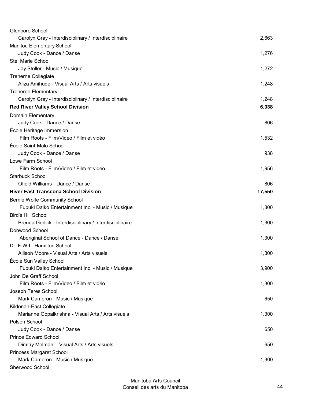| Glenboro School                                         |        |
|---------------------------------------------------------|--------|
| Carolyn Gray - Interdisciplinary / Interdisciplinaire   | 2,663  |
| <b>Manitou Elementary School</b>                        |        |
| Judy Cook - Dance / Danse                               | 1,276  |
| Ste. Marie School                                       |        |
| Jay Stoller - Music / Musique                           | 1,272  |
| <b>Treherne Collegiate</b>                              |        |
| Aliza Amihude - Visual Arts / Arts visuels              | 1,248  |
| <b>Treherne Elementary</b>                              |        |
| Carolyn Gray - Interdisciplinary / Interdisciplinaire   | 1,248  |
| <b>Red River Valley School Division</b>                 | 6,038  |
| Domain Elementary                                       |        |
| Judy Cook - Dance / Danse                               | 806    |
| École Heritage Immersion                                |        |
| Film Roots - Film/Video / Film et vidéo                 | 1,532  |
| École Saint-Malo School                                 |        |
| Judy Cook - Dance / Danse                               | 938    |
| Lowe Farm School                                        |        |
| Film Roots - Film/Video / Film et vidéo                 | 1,956  |
| <b>Starbuck School</b>                                  |        |
| Ofield Williams - Dance / Danse                         | 806    |
| <b>River East Transcona School Division</b>             | 17,550 |
| <b>Bernie Wolfe Community School</b>                    |        |
| Fubuki Daiko Entertainment Inc. - Music / Musique       | 1,300  |
| <b>Bird's Hill School</b>                               |        |
| Brenda Gorlick - Interdisciplinary / Interdisciplinaire | 1,300  |
| Donwood School                                          |        |
| Aboriginal School of Dance - Dance / Danse              | 1,300  |
| Dr. F.W.L. Hamilton School                              |        |
| Allison Moore - Visual Arts / Arts visuels              | 1,300  |
| École Sun Valley School                                 |        |
| Fubuki Daiko Entertainment Inc. - Music / Musique       | 3,900  |
| John De Graff School                                    |        |
| Film Roots - Film/Video / Film et vidéo                 | 1,300  |
| Joseph Teres School                                     |        |
| Mark Cameron - Music / Musique                          | 650    |
| Kildonan-East Collegiate                                |        |
| Marianne Gopalkrishna - Visual Arts / Arts visuels      | 1,300  |
| Polson School                                           |        |
| Judy Cook - Dance / Danse                               | 650    |
| <b>Prince Edward School</b>                             |        |
| Dimitry Melman - Visual Arts / Arts visuels             | 650    |
| <b>Princess Margaret School</b>                         |        |
| Mark Cameron - Music / Musique                          | 1,300  |
| Sherwood School                                         |        |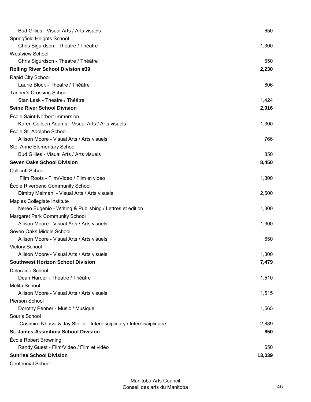| Bud Gillies - Visual Arts / Arts visuels                               | 650    |
|------------------------------------------------------------------------|--------|
| Springfield Heights School                                             |        |
| Chris Sigurdson - Theatre / Théâtre                                    | 1,300  |
| <b>Westview School</b>                                                 |        |
| Chris Sigurdson - Theatre / Théâtre                                    | 650    |
| <b>Rolling River School Division #39</b>                               | 2,230  |
| Rapid City School                                                      |        |
| Laurie Block - Theatre / Théâtre                                       | 806    |
| Tanner's Crossing School                                               |        |
| Stan Lesk - Theatre / Théâtre                                          | 1,424  |
| <b>Seine River School Division</b>                                     | 2,916  |
| École Saint-Norbert Immersion                                          |        |
| Karen Colleen Adams - Visual Arts / Arts visuels                       | 1,300  |
| École St. Adolphe School                                               |        |
| Allison Moore - Visual Arts / Arts visuels                             | 766    |
| Ste. Anne Elementary School                                            |        |
| Bud Gillies - Visual Arts / Arts visuels                               | 850    |
| <b>Seven Oaks School Division</b>                                      | 8,450  |
| <b>Collicutt School</b>                                                |        |
| Film Roots - Film/Video / Film et vidéo                                | 1,300  |
| École Riverbend Community School                                       |        |
| Dimitry Melman - Visual Arts / Arts visuels                            | 2,600  |
| Maples Collegiate Institute                                            |        |
| Nereo Eugenio - Writing & Publishing / Lettres et édition              | 1,300  |
| Margaret Park Community School                                         |        |
| Allison Moore - Visual Arts / Arts visuels                             | 1,300  |
| Seven Oaks Middle School                                               |        |
| Allison Moore - Visual Arts / Arts visuels                             | 650    |
| <b>Victory School</b>                                                  |        |
| Allison Moore - Visual Arts / Arts visuels                             | 1,300  |
| <b>Southwest Horizon School Division</b>                               | 7,479  |
| <b>Deloraine School</b>                                                |        |
| Dean Harder - Theatre / Théâtre                                        | 1,510  |
| Melita School                                                          |        |
| Allison Moore - Visual Arts / Arts visuels                             | 1,515  |
| Pierson School                                                         |        |
| Dorothy Penner - Music / Musique                                       | 1,565  |
| Souris School                                                          |        |
| Casimiro Nhussi & Jay Stoller - Interdisciplinary / Interdisciplinaire | 2,889  |
| St. James-Assiniboia School Division                                   | 650    |
| École Robert Browning                                                  |        |
| Randy Guest - Film/Video / Film et vidéo                               | 650    |
| <b>Sunrise School Division</b>                                         | 13,039 |
| <b>Centennial School</b>                                               |        |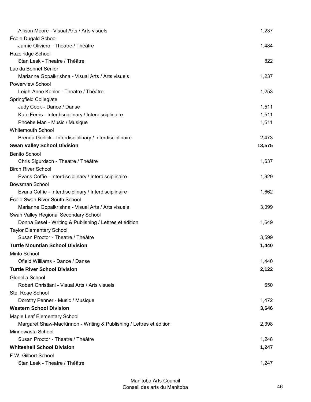| Allison Moore - Visual Arts / Arts visuels                          | 1,237  |
|---------------------------------------------------------------------|--------|
| École Dugald School                                                 |        |
| Jamie Oliviero - Theatre / Théâtre                                  | 1,484  |
| Hazelridge School                                                   |        |
| Stan Lesk - Theatre / Théâtre                                       | 822    |
| Lac du Bonnet Senior                                                |        |
| Marianne Gopalkrishna - Visual Arts / Arts visuels                  | 1,237  |
| Powerview School                                                    |        |
| Leigh-Anne Kehler - Theatre / Théâtre                               | 1,253  |
| Springfield Collegiate                                              |        |
| Judy Cook - Dance / Danse                                           | 1,511  |
| Kate Ferris - Interdisciplinary / Interdisciplinaire                | 1,511  |
| Phoebe Man - Music / Musique                                        | 1,511  |
| <b>Whitemouth School</b>                                            |        |
| Brenda Gorlick - Interdisciplinary / Interdisciplinaire             | 2,473  |
| <b>Swan Valley School Division</b>                                  | 13,575 |
| <b>Benito School</b>                                                |        |
| Chris Sigurdson - Theatre / Théâtre                                 | 1,637  |
| <b>Birch River School</b>                                           |        |
| Evans Coffie - Interdisciplinary / Interdisciplinaire               | 1,929  |
| <b>Bowsman School</b>                                               |        |
| Evans Coffie - Interdisciplinary / Interdisciplinaire               | 1,662  |
| École Swan River South School                                       |        |
| Marianne Gopalkrishna - Visual Arts / Arts visuels                  | 3,099  |
| Swan Valley Regional Secondary School                               |        |
| Donna Besel - Writing & Publishing / Lettres et édition             | 1,649  |
| <b>Taylor Elementary School</b>                                     |        |
| Susan Proctor - Theatre / Théâtre                                   | 3,599  |
| <b>Turtle Mountian School Division</b>                              | 1,440  |
| Minto School                                                        |        |
| Ofield Williams - Dance / Danse                                     | 1,440  |
| <b>Turtle River School Division</b>                                 | 2,122  |
| Glenella School                                                     |        |
| Robert Christiani - Visual Arts / Arts visuels                      | 650    |
| Ste. Rose School                                                    |        |
| Dorothy Penner - Music / Musique                                    | 1,472  |
| <b>Western School Division</b>                                      | 3,646  |
| Maple Leaf Elementary School                                        |        |
| Margaret Shaw-MacKinnon - Writing & Publishing / Lettres et édition | 2,398  |
| Minnewasta School                                                   |        |
| Susan Proctor - Theatre / Théâtre                                   | 1,248  |
| <b>Whiteshell School Division</b>                                   | 1,247  |
| F.W. Gilbert School                                                 |        |
| Stan Lesk - Theatre / Théâtre                                       | 1,247  |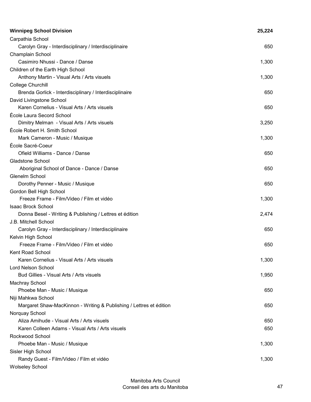| <b>Winnipeg School Division</b>                                     | 25,224 |
|---------------------------------------------------------------------|--------|
| Carpathia School                                                    |        |
| Carolyn Gray - Interdisciplinary / Interdisciplinaire               | 650    |
| Champlain School                                                    |        |
| Casimiro Nhussi - Dance / Danse                                     | 1,300  |
| Children of the Earth High School                                   |        |
| Anthony Martin - Visual Arts / Arts visuels                         | 1,300  |
| College Churchill                                                   |        |
| Brenda Gorlick - Interdisciplinary / Interdisciplinaire             | 650    |
| David Livingstone School                                            |        |
| Karen Cornelius - Visual Arts / Arts visuels                        | 650    |
| École Laura Secord School                                           |        |
| Dimitry Melman - Visual Arts / Arts visuels                         | 3,250  |
| École Robert H. Smith School                                        |        |
| Mark Cameron - Music / Musique                                      | 1,300  |
| École Sacré-Coeur                                                   |        |
| Ofield Williams - Dance / Danse                                     | 650    |
| Gladstone School                                                    |        |
| Aboriginal School of Dance - Dance / Danse                          | 650    |
| Glenelm School                                                      |        |
| Dorothy Penner - Music / Musique                                    | 650    |
| Gordon Bell High School                                             |        |
| Freeze Frame - Film/Video / Film et vidéo                           | 1,300  |
| <b>Isaac Brock School</b>                                           |        |
| Donna Besel - Writing & Publishing / Lettres et édition             | 2,474  |
| J.B. Mitchell School                                                |        |
| Carolyn Gray - Interdisciplinary / Interdisciplinaire               | 650    |
| Kelvin High School                                                  |        |
| Freeze Frame - Film/Video / Film et vidéo                           | 650    |
| Kent Road School                                                    |        |
| Karen Cornelius - Visual Arts / Arts visuels                        | 1,300  |
| <b>Lord Nelson School</b>                                           |        |
| Bud Gillies - Visual Arts / Arts visuels                            | 1,950  |
| <b>Machray School</b>                                               |        |
| Phoebe Man - Music / Musique                                        | 650    |
| Niji Mahkwa School                                                  |        |
| Margaret Shaw-MacKinnon - Writing & Publishing / Lettres et édition | 650    |
| Norquay School                                                      |        |
| Aliza Amihude - Visual Arts / Arts visuels                          | 650    |
| Karen Colleen Adams - Visual Arts / Arts visuels                    | 650    |
| Rockwood School                                                     |        |
| Phoebe Man - Music / Musique                                        | 1,300  |
| Sisler High School                                                  |        |
| Randy Guest - Film/Video / Film et vidéo                            | 1,300  |
| <b>Wolseley School</b>                                              |        |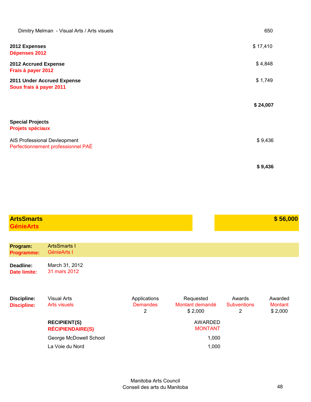| Dimitry Melman - Visual Arts / Arts visuels                        | 650      |
|--------------------------------------------------------------------|----------|
| 2012 Expenses<br>Dépenses 2012                                     | \$17,410 |
| 2012 Accrued Expense<br>Frais à payer 2012                         | \$4,848  |
| 2011 Under Accrued Expense<br>Sous frais à payer 2011              | \$1,749  |
|                                                                    | \$24,007 |
| <b>Special Projects</b><br><b>Projets spéciaux</b>                 |          |
| AIS Professional Devleopment<br>Perfectionnement professionnel PAÉ | \$9,436  |
|                                                                    | \$9,436  |

| <b>ArtsSmarts</b>                        |                                                |                                      |                                         |                                   | \$56,000                             |
|------------------------------------------|------------------------------------------------|--------------------------------------|-----------------------------------------|-----------------------------------|--------------------------------------|
| <b>GénieArts</b>                         |                                                |                                      |                                         |                                   |                                      |
|                                          |                                                |                                      |                                         |                                   |                                      |
| Program:<br><b>Programme:</b>            | <b>ArtsSmarts I</b><br>GénieArts I             |                                      |                                         |                                   |                                      |
| Deadline:<br><b>Date limite:</b>         | March 31, 2012<br>31 mars 2012                 |                                      |                                         |                                   |                                      |
| <b>Discipline:</b><br><b>Discipline:</b> | <b>Visual Arts</b><br><b>Arts visuels</b>      | Applications<br><b>Demandes</b><br>2 | Requested<br>Montant demandé<br>\$2,000 | Awards<br><b>Subventions</b><br>2 | Awarded<br><b>Montant</b><br>\$2,000 |
|                                          | <b>RECIPIENT(S)</b><br><b>RÉCIPIENDAIRE(S)</b> |                                      | <b>AWARDED</b><br><b>MONTANT</b>        |                                   |                                      |
|                                          | George McDowell School                         |                                      | 1,000                                   |                                   |                                      |
|                                          | La Voie du Nord                                |                                      | 1,000                                   |                                   |                                      |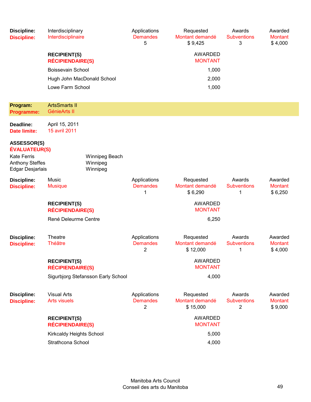| <b>Discipline:</b><br><b>Discipline:</b>                                                                       | Interdisciplinary<br>Interdisciplinaire        |                                        | Applications<br><b>Demandes</b><br>5 | Requested<br>Montant demandé<br>\$9,425  | Awards<br><b>Subventions</b><br>3 | Awarded<br><b>Montant</b><br>\$4,000 |
|----------------------------------------------------------------------------------------------------------------|------------------------------------------------|----------------------------------------|--------------------------------------|------------------------------------------|-----------------------------------|--------------------------------------|
|                                                                                                                | <b>RECIPIENT(S)</b><br><b>RÉCIPIENDAIRE(S)</b> |                                        |                                      | <b>AWARDED</b><br><b>MONTANT</b>         |                                   |                                      |
|                                                                                                                | <b>Boissevain School</b>                       |                                        |                                      | 1,000                                    |                                   |                                      |
|                                                                                                                | Hugh John MacDonald School                     |                                        |                                      | 2,000                                    |                                   |                                      |
|                                                                                                                | Lowe Farm School                               |                                        |                                      | 1,000                                    |                                   |                                      |
| Program:<br><b>Programme:</b>                                                                                  | <b>ArtsSmarts II</b><br>GénieArts II           |                                        |                                      |                                          |                                   |                                      |
| Deadline:<br><b>Date limite:</b>                                                                               | April 15, 2011<br>15 avril 2011                |                                        |                                      |                                          |                                   |                                      |
| <b>ASSESSOR(S)</b><br><b>ÉVALUATEUR(S)</b><br><b>Kate Ferris</b><br><b>Anthony Steffes</b><br>Edgar Desjarlais |                                                | Winnipeg Beach<br>Winnipeg<br>Winnipeg |                                      |                                          |                                   |                                      |
| <b>Discipline:</b><br><b>Discipline:</b>                                                                       | Music<br><b>Musique</b>                        |                                        | Applications<br><b>Demandes</b><br>1 | Requested<br>Montant demandé<br>\$6,290  | Awards<br><b>Subventions</b><br>1 | Awarded<br><b>Montant</b><br>\$6,250 |
|                                                                                                                | <b>RECIPIENT(S)</b><br><b>RÉCIPIENDAIRE(S)</b> |                                        |                                      | <b>AWARDED</b><br><b>MONTANT</b>         |                                   |                                      |
|                                                                                                                | René Deleurme Centre                           |                                        |                                      | 6,250                                    |                                   |                                      |
| <b>Discipline:</b><br><b>Discipline:</b>                                                                       | Theatre<br><b>Théâtre</b>                      |                                        | Applications<br><b>Demandes</b><br>2 | Requested<br>Montant demandé<br>\$12,000 | Awards<br><b>Subventions</b><br>1 | Awarded<br><b>Montant</b><br>\$4,000 |
|                                                                                                                | <b>RECIPIENT(S)</b><br><b>RÉCIPIENDAIRE(S)</b> |                                        |                                      | <b>AWARDED</b><br><b>MONTANT</b>         |                                   |                                      |
|                                                                                                                |                                                | Sigurbjorg Stefansson Early School     |                                      | 4,000                                    |                                   |                                      |
| <b>Discipline:</b><br><b>Discipline:</b>                                                                       | <b>Visual Arts</b><br><b>Arts visuels</b>      |                                        | Applications<br><b>Demandes</b><br>2 | Requested<br>Montant demandé<br>\$15,000 | Awards<br><b>Subventions</b><br>2 | Awarded<br><b>Montant</b><br>\$9,000 |
|                                                                                                                | <b>RECIPIENT(S)</b><br><b>RÉCIPIENDAIRE(S)</b> |                                        |                                      | <b>AWARDED</b><br><b>MONTANT</b>         |                                   |                                      |
|                                                                                                                | Kirkcaldy Heights School                       |                                        |                                      | 5,000                                    |                                   |                                      |
|                                                                                                                | Strathcona School                              |                                        |                                      | 4,000                                    |                                   |                                      |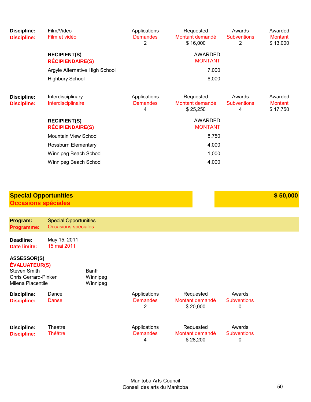| Discipline:<br><b>Discipline:</b>        | Film/Video<br>Film et vidéo                    | Applications<br><b>Demandes</b><br>2 | Requested<br>Montant demandé<br>\$16,000 | Awards<br><b>Subventions</b><br>2 | Awarded<br><b>Montant</b><br>\$13,000 |
|------------------------------------------|------------------------------------------------|--------------------------------------|------------------------------------------|-----------------------------------|---------------------------------------|
|                                          | <b>RECIPIENT(S)</b><br><b>RÉCIPIENDAIRE(S)</b> |                                      | AWARDED<br><b>MONTANT</b>                |                                   |                                       |
|                                          | Argyle Alternative High School                 |                                      | 7,000                                    |                                   |                                       |
|                                          | <b>Highbury School</b>                         |                                      | 6,000                                    |                                   |                                       |
| <b>Discipline:</b><br><b>Discipline:</b> | Interdisciplinary<br>Interdisciplinaire        | Applications<br><b>Demandes</b><br>4 | Requested<br>Montant demandé<br>\$25,250 | Awards<br><b>Subventions</b><br>4 | Awarded<br><b>Montant</b><br>\$17,750 |
|                                          | <b>RECIPIENT(S)</b><br><b>RÉCIPIENDAIRE(S)</b> |                                      | <b>AWARDED</b><br><b>MONTANT</b>         |                                   |                                       |
|                                          | Mountain View School                           |                                      | 8,750                                    |                                   |                                       |
|                                          | Rossburn Elementary                            |                                      | 4,000                                    |                                   |                                       |
|                                          | Winnipeg Beach School                          |                                      | 1,000                                    |                                   |                                       |
|                                          | Winnipeg Beach School                          |                                      | 4,000                                    |                                   |                                       |

| <b>Special Opportunities</b> | \$50,000 |
|------------------------------|----------|
| Occasions spéciales          |          |

| Program:<br><b>Programme:</b>                                                                                  | <b>Special Opportunities</b><br>Occasions spéciales |                               |                                      |                                          |                                   |
|----------------------------------------------------------------------------------------------------------------|-----------------------------------------------------|-------------------------------|--------------------------------------|------------------------------------------|-----------------------------------|
| Deadline:<br><b>Date limite:</b>                                                                               | May 15, 2011<br>15 mai 2011                         |                               |                                      |                                          |                                   |
| <b>ASSESSOR(S)</b><br><b>ÉVALUATEUR(S)</b><br>Steven Smith<br><b>Chris Gerrard-Pinker</b><br>Milena Placentile |                                                     | Banff<br>Winnipeg<br>Winnipeg |                                      |                                          |                                   |
| Discipline:<br><b>Discipline:</b>                                                                              | Dance<br>Danse                                      |                               | Applications<br><b>Demandes</b><br>2 | Requested<br>Montant demandé<br>\$20,000 | Awards<br><b>Subventions</b><br>0 |
| Discipline:<br><b>Discipline:</b>                                                                              | Theatre<br>Théâtre                                  |                               | Applications<br><b>Demandes</b><br>4 | Requested<br>Montant demandé<br>\$28,200 | Awards<br><b>Subventions</b><br>0 |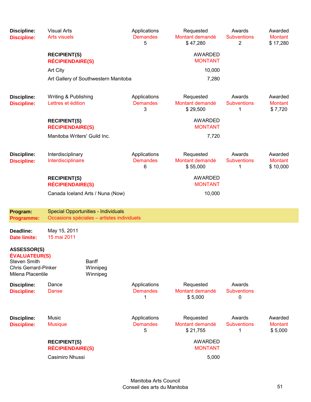| <b>Discipline:</b><br><b>Discipline:</b>                                                                              | <b>Visual Arts</b><br><b>Arts visuels</b>      |                                                                                          | Applications<br><b>Demandes</b><br>5 | Requested<br>Montant demandé<br>\$47,280 | Awards<br><b>Subventions</b><br>2 | Awarded<br><b>Montant</b><br>\$17,280 |
|-----------------------------------------------------------------------------------------------------------------------|------------------------------------------------|------------------------------------------------------------------------------------------|--------------------------------------|------------------------------------------|-----------------------------------|---------------------------------------|
|                                                                                                                       | <b>RECIPIENT(S)</b><br><b>RÉCIPIENDAIRE(S)</b> |                                                                                          |                                      | <b>AWARDED</b><br><b>MONTANT</b>         |                                   |                                       |
|                                                                                                                       | <b>Art City</b>                                |                                                                                          |                                      | 10,000                                   |                                   |                                       |
|                                                                                                                       |                                                | Art Gallery of Southwestern Manitoba                                                     |                                      | 7,280                                    |                                   |                                       |
| <b>Discipline:</b><br><b>Discipline:</b>                                                                              | Writing & Publishing<br>Lettres et édition     |                                                                                          | Applications<br><b>Demandes</b><br>3 | Requested<br>Montant demandé<br>\$29,500 | Awards<br><b>Subventions</b><br>1 | Awarded<br><b>Montant</b><br>\$7,720  |
|                                                                                                                       | <b>RECIPIENT(S)</b><br><b>RÉCIPIENDAIRE(S)</b> |                                                                                          |                                      | <b>AWARDED</b><br><b>MONTANT</b>         |                                   |                                       |
|                                                                                                                       | Manitoba Writers' Guild Inc.                   |                                                                                          |                                      | 7,720                                    |                                   |                                       |
| <b>Discipline:</b><br><b>Discipline:</b>                                                                              | Interdisciplinary<br>Interdisciplinaire        |                                                                                          | Applications<br><b>Demandes</b><br>6 | Requested<br>Montant demandé<br>\$55,000 | Awards<br><b>Subventions</b><br>1 | Awarded<br><b>Montant</b><br>\$10,000 |
|                                                                                                                       | <b>RECIPIENT(S)</b><br><b>RÉCIPIENDAIRE(S)</b> |                                                                                          |                                      | <b>AWARDED</b><br><b>MONTANT</b>         |                                   |                                       |
|                                                                                                                       |                                                | Canada Iceland Arts / Nuna (Now)                                                         |                                      | 10,000                                   |                                   |                                       |
| Program:<br><b>Programme:</b>                                                                                         |                                                | <b>Special Opportunities - Individuals</b><br>Occasions spéciales - artistes individuels |                                      |                                          |                                   |                                       |
| Deadline:<br>Date limite:                                                                                             | May 15, 2011<br>15 mai 2011                    |                                                                                          |                                      |                                          |                                   |                                       |
| <b>ASSESSOR(S)</b><br><b>ÉVALUATEUR(S)</b><br><b>Steven Smith</b><br><b>Chris Gerrard-Pinker</b><br>Milena Placentile |                                                | Banff<br>Winnipeg<br>Winnipeg                                                            |                                      |                                          |                                   |                                       |
| <b>Discipline:</b><br><b>Discipline:</b>                                                                              | Dance<br>Danse                                 |                                                                                          | Applications<br><b>Demandes</b><br>1 | Requested<br>Montant demandé<br>\$5,000  | Awards<br><b>Subventions</b><br>0 |                                       |
| <b>Discipline:</b><br><b>Discipline:</b>                                                                              | <b>Music</b><br><b>Musique</b>                 |                                                                                          | Applications<br><b>Demandes</b><br>5 | Requested<br>Montant demandé<br>\$21,755 | Awards<br><b>Subventions</b><br>1 | Awarded<br><b>Montant</b><br>\$5,000  |
|                                                                                                                       | <b>RECIPIENT(S)</b><br><b>RÉCIPIENDAIRE(S)</b> |                                                                                          |                                      | <b>AWARDED</b><br><b>MONTANT</b>         |                                   |                                       |
|                                                                                                                       | Casimiro Nhussi                                |                                                                                          |                                      | 5,000                                    |                                   |                                       |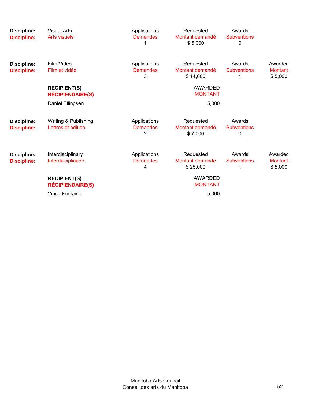| Discipline:<br><b>Discipline:</b>        | <b>Visual Arts</b><br><b>Arts visuels</b>      | Applications<br><b>Demandes</b>      | Requested<br>Montant demandé<br>\$5,000  | Awards<br><b>Subventions</b><br>0 |                                      |
|------------------------------------------|------------------------------------------------|--------------------------------------|------------------------------------------|-----------------------------------|--------------------------------------|
| Discipline:<br><b>Discipline:</b>        | Film/Video<br>Film et vidéo                    | Applications<br><b>Demandes</b><br>3 | Requested<br>Montant demandé<br>\$14,600 | Awards<br><b>Subventions</b><br>1 | Awarded<br><b>Montant</b><br>\$5,000 |
|                                          | <b>RECIPIENT(S)</b><br><b>RÉCIPIENDAIRE(S)</b> |                                      | <b>AWARDED</b><br><b>MONTANT</b>         |                                   |                                      |
|                                          | Daniel Ellingsen                               |                                      | 5,000                                    |                                   |                                      |
| <b>Discipline:</b><br><b>Discipline:</b> | Writing & Publishing<br>Lettres et édition     | Applications<br><b>Demandes</b><br>2 | Requested<br>Montant demandé<br>\$7,000  | Awards<br><b>Subventions</b><br>0 |                                      |
| <b>Discipline:</b><br><b>Discipline:</b> | Interdisciplinary<br>Interdisciplinaire        | Applications<br><b>Demandes</b><br>4 | Requested<br>Montant demandé<br>\$25,000 | Awards<br><b>Subventions</b>      | Awarded<br><b>Montant</b><br>\$5,000 |
|                                          | <b>RECIPIENT(S)</b><br><b>RÉCIPIENDAIRE(S)</b> |                                      | <b>AWARDED</b><br><b>MONTANT</b>         |                                   |                                      |
|                                          | <b>Vince Fontaine</b>                          |                                      | 5,000                                    |                                   |                                      |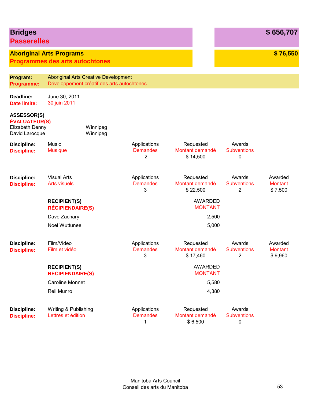| <b>Bridges</b><br><b>Passerelles</b>                                            |                                                                           |                                                                                           |                                                   |                                          |                                  |                                   | \$656,707                            |
|---------------------------------------------------------------------------------|---------------------------------------------------------------------------|-------------------------------------------------------------------------------------------|---------------------------------------------------|------------------------------------------|----------------------------------|-----------------------------------|--------------------------------------|
|                                                                                 | <b>Aboriginal Arts Programs</b><br><b>Programmes des arts autochtones</b> |                                                                                           |                                                   |                                          |                                  |                                   | \$76,550                             |
| Program:<br><b>Programme:</b>                                                   |                                                                           | <b>Aboriginal Arts Creative Development</b><br>Développement créatif des arts autochtones |                                                   |                                          |                                  |                                   |                                      |
| Deadline:<br><b>Date limite:</b>                                                | June 30, 2011<br>30 juin 2011                                             |                                                                                           |                                                   |                                          |                                  |                                   |                                      |
| <b>ASSESSOR(S)</b><br><b>ÉVALUATEUR(S)</b><br>Elizabeth Denny<br>David Larocque |                                                                           | Winnipeg<br>Winnipeg                                                                      |                                                   |                                          |                                  |                                   |                                      |
| <b>Discipline:</b><br><b>Discipline:</b>                                        | Music<br><b>Musique</b>                                                   |                                                                                           | Applications<br><b>Demandes</b><br>$\overline{2}$ | Requested<br>Montant demandé<br>\$14,500 |                                  | Awards<br><b>Subventions</b><br>0 |                                      |
| <b>Discipline:</b><br><b>Discipline:</b>                                        | <b>Visual Arts</b><br><b>Arts visuels</b>                                 |                                                                                           | Applications<br><b>Demandes</b><br>3              | Requested<br>Montant demandé<br>\$22,500 |                                  | Awards<br><b>Subventions</b><br>2 | Awarded<br><b>Montant</b><br>\$7,500 |
|                                                                                 | <b>RECIPIENT(S)</b><br><b>RÉCIPIENDAIRE(S)</b>                            |                                                                                           |                                                   |                                          | <b>AWARDED</b><br><b>MONTANT</b> |                                   |                                      |
|                                                                                 | Dave Zachary                                                              |                                                                                           |                                                   |                                          | 2,500                            |                                   |                                      |
|                                                                                 | Noel Wuttunee                                                             |                                                                                           |                                                   |                                          | 5,000                            |                                   |                                      |
| <b>Discipline:</b><br><b>Discipline:</b>                                        | Film/Video<br>Film et vidéo                                               |                                                                                           | Applications<br><b>Demandes</b><br>3              | Requested<br>Montant demandé<br>\$17,460 |                                  | Awards<br><b>Subventions</b><br>2 | Awarded<br><b>Montant</b><br>\$9,960 |
|                                                                                 | <b>RECIPIENT(S)</b><br><b>RÉCIPIENDAIRE(S)</b>                            |                                                                                           |                                                   |                                          | <b>AWARDED</b><br><b>MONTANT</b> |                                   |                                      |
|                                                                                 | <b>Caroline Monnet</b>                                                    |                                                                                           |                                                   |                                          | 5,580                            |                                   |                                      |
|                                                                                 | Reil Munro                                                                |                                                                                           |                                                   |                                          | 4,380                            |                                   |                                      |
| <b>Discipline:</b><br><b>Discipline:</b>                                        | Writing & Publishing<br>Lettres et édition                                |                                                                                           | Applications<br><b>Demandes</b><br>1              | Requested<br>Montant demandé<br>\$6,500  |                                  | Awards<br><b>Subventions</b><br>0 |                                      |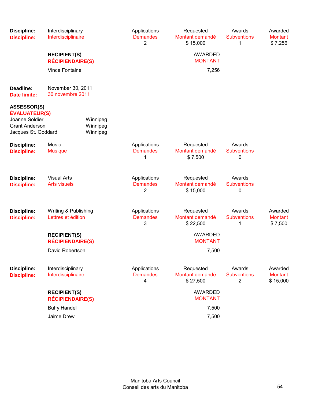| <b>Discipline:</b><br><b>Discipline:</b>                                                                     | Interdisciplinary<br>Interdisciplinaire        |                                  | Applications<br><b>Demandes</b><br>2 | Requested<br>Montant demandé<br>\$15,000 | Awards<br><b>Subventions</b><br>1 | Awarded<br><b>Montant</b><br>\$7,256  |
|--------------------------------------------------------------------------------------------------------------|------------------------------------------------|----------------------------------|--------------------------------------|------------------------------------------|-----------------------------------|---------------------------------------|
|                                                                                                              | <b>RECIPIENT(S)</b><br><b>RÉCIPIENDAIRE(S)</b> |                                  |                                      | <b>AWARDED</b><br><b>MONTANT</b>         |                                   |                                       |
|                                                                                                              | <b>Vince Fontaine</b>                          |                                  |                                      | 7,256                                    |                                   |                                       |
| Deadline:<br><b>Date limite:</b>                                                                             | November 30, 2011<br>30 novembre 2011          |                                  |                                      |                                          |                                   |                                       |
| <b>ASSESSOR(S)</b><br><b>ÉVALUATEUR(S)</b><br>Joanne Soldier<br><b>Grant Anderson</b><br>Jacques St. Goddard |                                                | Winnipeg<br>Winnipeg<br>Winnipeg |                                      |                                          |                                   |                                       |
| <b>Discipline:</b><br><b>Discipline:</b>                                                                     | Music<br><b>Musique</b>                        |                                  | Applications<br><b>Demandes</b><br>1 | Requested<br>Montant demandé<br>\$7,500  | Awards<br><b>Subventions</b><br>0 |                                       |
| <b>Discipline:</b><br><b>Discipline:</b>                                                                     | <b>Visual Arts</b><br><b>Arts visuels</b>      |                                  | Applications<br><b>Demandes</b><br>2 | Requested<br>Montant demandé<br>\$15,000 | Awards<br><b>Subventions</b><br>0 |                                       |
| <b>Discipline:</b><br><b>Discipline:</b>                                                                     | Writing & Publishing<br>Lettres et édition     |                                  | Applications<br><b>Demandes</b><br>3 | Requested<br>Montant demandé<br>\$22,500 | Awards<br><b>Subventions</b><br>1 | Awarded<br><b>Montant</b><br>\$7,500  |
|                                                                                                              | <b>RECIPIENT(S)</b><br><b>RÉCIPIENDAIRE(S)</b> |                                  |                                      | AWARDED<br><b>MONTANT</b>                |                                   |                                       |
|                                                                                                              | David Robertson                                |                                  |                                      | 7,500                                    |                                   |                                       |
| <b>Discipline:</b><br><b>Discipline:</b>                                                                     | Interdisciplinary<br>Interdisciplinaire        |                                  | Applications<br><b>Demandes</b><br>4 | Requested<br>Montant demandé<br>\$27,500 | Awards<br><b>Subventions</b><br>2 | Awarded<br><b>Montant</b><br>\$15,000 |
|                                                                                                              | <b>RECIPIENT(S)</b><br><b>RÉCIPIENDAIRE(S)</b> |                                  |                                      | AWARDED<br><b>MONTANT</b>                |                                   |                                       |
|                                                                                                              | <b>Buffy Handel</b>                            |                                  |                                      | 7,500                                    |                                   |                                       |
|                                                                                                              | Jaime Drew                                     |                                  |                                      | 7,500                                    |                                   |                                       |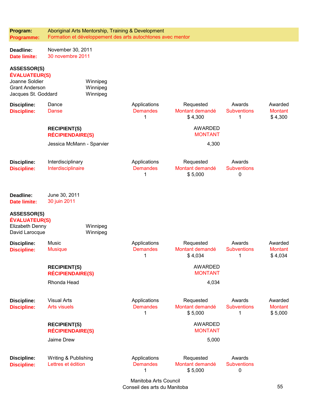| Program:<br><b>Programme:</b>                                                                                |                                                | Aboriginal Arts Mentorship, Training & Development | Formation et développement des arts autochtones avec mentor |                                         |                                             |                                      |
|--------------------------------------------------------------------------------------------------------------|------------------------------------------------|----------------------------------------------------|-------------------------------------------------------------|-----------------------------------------|---------------------------------------------|--------------------------------------|
| Deadline:<br><b>Date limite:</b>                                                                             | November 30, 2011<br>30 novembre 2011          |                                                    |                                                             |                                         |                                             |                                      |
| <b>ASSESSOR(S)</b><br><b>ÉVALUATEUR(S)</b><br>Joanne Soldier<br><b>Grant Anderson</b><br>Jacques St. Goddard |                                                | Winnipeg<br>Winnipeg<br>Winnipeg                   |                                                             |                                         |                                             |                                      |
| <b>Discipline:</b><br><b>Discipline:</b>                                                                     | Dance<br>Danse                                 |                                                    | Applications<br><b>Demandes</b><br>1                        | Requested<br>Montant demandé<br>\$4,300 | Awards<br><b>Subventions</b><br>1           | Awarded<br><b>Montant</b><br>\$4,300 |
|                                                                                                              | <b>RECIPIENT(S)</b><br><b>RÉCIPIENDAIRE(S)</b> |                                                    |                                                             | <b>AWARDED</b><br><b>MONTANT</b>        |                                             |                                      |
|                                                                                                              | Jessica McMann - Sparvier                      |                                                    |                                                             | 4,300                                   |                                             |                                      |
| <b>Discipline:</b><br><b>Discipline:</b>                                                                     | Interdisciplinary<br>Interdisciplinaire        |                                                    | Applications<br><b>Demandes</b><br>1                        | Requested<br>Montant demandé<br>\$5,000 | Awards<br><b>Subventions</b><br>0           |                                      |
| Deadline:<br>Date limite:                                                                                    | June 30, 2011<br>30 juin 2011                  |                                                    |                                                             |                                         |                                             |                                      |
| <b>ASSESSOR(S)</b><br><b>ÉVALUATEUR(S)</b><br>Elizabeth Denny<br>David Larocque                              |                                                | Winnipeg<br>Winnipeg                               |                                                             |                                         |                                             |                                      |
| <b>Discipline:</b><br><b>Discipline:</b>                                                                     | Music<br><b>Musique</b>                        |                                                    | Applications<br><b>Demandes</b><br>1                        | Requested<br>Montant demandé<br>\$4,034 | Awards<br><b>Subventions</b><br>$\mathbf 1$ | Awarded<br><b>Montant</b><br>\$4,034 |
|                                                                                                              | <b>RECIPIENT(S)</b><br><b>RÉCIPIENDAIRE(S)</b> |                                                    |                                                             | <b>AWARDED</b><br><b>MONTANT</b>        |                                             |                                      |
|                                                                                                              | Rhonda Head                                    |                                                    |                                                             | 4,034                                   |                                             |                                      |
| <b>Discipline:</b><br><b>Discipline:</b>                                                                     | <b>Visual Arts</b><br><b>Arts visuels</b>      |                                                    | Applications<br><b>Demandes</b><br>1                        | Requested<br>Montant demandé<br>\$5,000 | Awards<br><b>Subventions</b><br>1           | Awarded<br><b>Montant</b><br>\$5,000 |
|                                                                                                              | <b>RECIPIENT(S)</b><br><b>RÉCIPIENDAIRE(S)</b> |                                                    |                                                             | <b>AWARDED</b><br><b>MONTANT</b>        |                                             |                                      |
|                                                                                                              | Jaime Drew                                     |                                                    |                                                             | 5,000                                   |                                             |                                      |
| <b>Discipline:</b><br><b>Discipline:</b>                                                                     | Writing & Publishing<br>Lettres et édition     |                                                    | Applications<br><b>Demandes</b><br>1                        | Requested<br>Montant demandé<br>\$5,000 | Awards<br><b>Subventions</b><br>0           |                                      |

Manitoba Arts Council Conseil des arts du Manitoba 55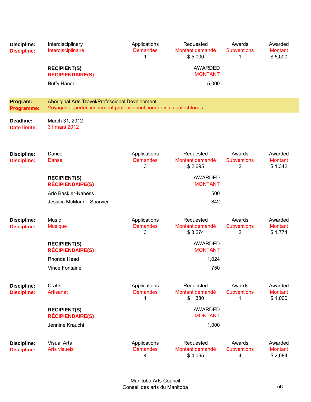| <b>Discipline:</b><br><b>Discipline:</b> | Interdisciplinary<br>Interdisciplinaire<br><b>RECIPIENT(S)</b><br><b>RÉCIPIENDAIRE(S)</b><br><b>Buffy Handel</b> | Applications<br><b>Demandes</b><br>1 | Requested<br>Montant demandé<br>\$5,000<br><b>AWARDED</b><br><b>MONTANT</b><br>5,000 | Awards<br><b>Subventions</b><br>1              | Awarded<br><b>Montant</b><br>\$5,000 |
|------------------------------------------|------------------------------------------------------------------------------------------------------------------|--------------------------------------|--------------------------------------------------------------------------------------|------------------------------------------------|--------------------------------------|
| Program:                                 | Aboriginal Arts Travel/Professional Development                                                                  |                                      |                                                                                      |                                                |                                      |
| <b>Programme:</b>                        | Voyages et perfectionnement professionnel pour artistes autochtones                                              |                                      |                                                                                      |                                                |                                      |
| Deadline:<br><b>Date limite:</b>         | March 31, 2012<br>31 mars 2012                                                                                   |                                      |                                                                                      |                                                |                                      |
| <b>Discipline:</b><br><b>Discipline:</b> | Dance<br>Danse                                                                                                   | Applications<br><b>Demandes</b><br>3 | Requested<br>Montant demandé<br>\$2,695                                              | Awards<br><b>Subventions</b><br>$\overline{c}$ | Awarded<br><b>Montant</b><br>\$1,342 |
|                                          | <b>RECIPIENT(S)</b><br><b>RÉCIPIENDAIRE(S)</b>                                                                   |                                      | <b>AWARDED</b><br><b>MONTANT</b>                                                     |                                                |                                      |
|                                          | Arlo Baskier-Nabess                                                                                              |                                      | 500                                                                                  |                                                |                                      |
|                                          | Jessica McMann - Sparvier                                                                                        |                                      | 842                                                                                  |                                                |                                      |
| <b>Discipline:</b><br><b>Discipline:</b> | Music<br><b>Musique</b>                                                                                          | Applications<br><b>Demandes</b><br>3 | Requested<br>Montant demandé<br>\$3,274                                              | Awards<br><b>Subventions</b><br>2              | Awarded<br><b>Montant</b><br>\$1,774 |
|                                          | <b>RECIPIENT(S)</b><br><b>RÉCIPIENDAIRE(S)</b>                                                                   |                                      | <b>AWARDED</b><br><b>MONTANT</b>                                                     |                                                |                                      |
|                                          | Rhonda Head                                                                                                      |                                      | 1,024                                                                                |                                                |                                      |
|                                          | Vince Fontaine                                                                                                   |                                      | 750                                                                                  |                                                |                                      |
| <b>Discipline:</b><br><b>Discipline:</b> | Crafts<br><b>Artisanat</b>                                                                                       | Applications<br><b>Demandes</b><br>1 | Requested<br>Montant demandé<br>\$1,380                                              | Awards<br><b>Subventions</b><br>1              | Awarded<br><b>Montant</b><br>\$1,000 |
|                                          | <b>RECIPIENT(S)</b><br><b>RÉCIPIENDAIRE(S)</b>                                                                   |                                      | <b>AWARDED</b><br><b>MONTANT</b>                                                     |                                                |                                      |
|                                          | Jennine Krauchi                                                                                                  |                                      | 1,000                                                                                |                                                |                                      |
| <b>Discipline:</b><br><b>Discipline:</b> | <b>Visual Arts</b><br><b>Arts visuels</b>                                                                        | Applications<br><b>Demandes</b><br>4 | Requested<br>Montant demandé<br>\$4,065                                              | Awards<br><b>Subventions</b><br>4              | Awarded<br><b>Montant</b><br>\$2,684 |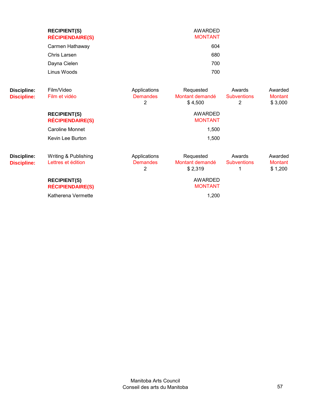|                                   | <b>RECIPIENT(S)</b><br><b>RÉCIPIENDAIRE(S)</b> |                                                   | AWARDED<br><b>MONTANT</b>               |                                   |                                      |
|-----------------------------------|------------------------------------------------|---------------------------------------------------|-----------------------------------------|-----------------------------------|--------------------------------------|
|                                   | Carmen Hathaway                                |                                                   | 604                                     |                                   |                                      |
|                                   | Chris Larsen                                   |                                                   | 680                                     |                                   |                                      |
|                                   | Dayna Cielen                                   |                                                   | 700                                     |                                   |                                      |
|                                   | Linus Woods                                    |                                                   | 700                                     |                                   |                                      |
| Discipline:<br><b>Discipline:</b> | Film/Video<br>Film et vidéo                    | Applications<br><b>Demandes</b><br>$\overline{2}$ | Requested<br>Montant demandé<br>\$4,500 | Awards<br><b>Subventions</b><br>2 | Awarded<br><b>Montant</b><br>\$3,000 |
|                                   | <b>RECIPIENT(S)</b><br><b>RÉCIPIENDAIRE(S)</b> |                                                   | AWARDED<br><b>MONTANT</b>               |                                   |                                      |
|                                   | Caroline Monnet                                |                                                   | 1,500                                   |                                   |                                      |
|                                   | Kevin Lee Burton                               |                                                   | 1,500                                   |                                   |                                      |
| Discipline:                       | Writing & Publishing                           | Applications                                      | Requested                               | Awards                            | Awarded                              |

| <b>DISCIPIINE:</b><br><b>Discipline:</b> | Lettres et édition      | Applications<br><b>Demandes</b> | Requested<br>Montant demandé<br>\$2.319 | Awarus<br><b>Subventions</b> | Awarded<br><b>Montant</b><br>\$1,200 |
|------------------------------------------|-------------------------|---------------------------------|-----------------------------------------|------------------------------|--------------------------------------|
|                                          | <b>RECIPIENT(S)</b>     |                                 | AWARDED                                 |                              |                                      |
|                                          | <b>RÉCIPIENDAIRE(S)</b> |                                 | <b>MONTANT</b>                          |                              |                                      |
|                                          | Katherena Vermette      |                                 | 1.200                                   |                              |                                      |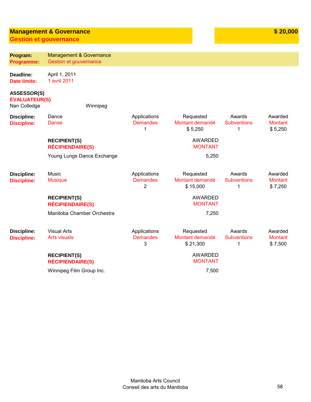# **Management & Governance**

**Gestion et gouvernance**

| Program:<br><b>Programme:</b>                              | <b>Management &amp; Governance</b><br>Gestion et gouvernance |                                      |                                          |                                   |                                      |
|------------------------------------------------------------|--------------------------------------------------------------|--------------------------------------|------------------------------------------|-----------------------------------|--------------------------------------|
| Deadline:<br><b>Date limite:</b>                           | April 1, 2011<br>1 avril 2011                                |                                      |                                          |                                   |                                      |
| <b>ASSESSOR(S)</b><br><b>ÉVALUATEUR(S)</b><br>Nan Colledge | Winnipeg                                                     |                                      |                                          |                                   |                                      |
| <b>Discipline:</b><br><b>Discipline:</b>                   | Dance<br>Danse                                               | Applications<br><b>Demandes</b><br>1 | Requested<br>Montant demandé<br>\$5,250  | Awards<br><b>Subventions</b><br>1 | Awarded<br><b>Montant</b><br>\$5,250 |
|                                                            | <b>RECIPIENT(S)</b><br><b>RÉCIPIENDAIRE(S)</b>               |                                      | <b>AWARDED</b><br><b>MONTANT</b>         |                                   |                                      |
|                                                            | Young Lungs Dance Exchange                                   |                                      | 5,250                                    |                                   |                                      |
| <b>Discipline:</b><br><b>Discipline:</b>                   | Music<br><b>Musique</b>                                      | Applications<br><b>Demandes</b><br>2 | Requested<br>Montant demandé<br>\$15,000 | Awards<br><b>Subventions</b><br>1 | Awarded<br><b>Montant</b><br>\$7,250 |
|                                                            | <b>RECIPIENT(S)</b><br><b>RÉCIPIENDAIRE(S)</b>               |                                      | <b>AWARDED</b><br><b>MONTANT</b>         |                                   |                                      |
|                                                            | Manitoba Chamber Orchestra                                   |                                      | 7,250                                    |                                   |                                      |
| <b>Discipline:</b><br><b>Discipline:</b>                   | <b>Visual Arts</b><br><b>Arts visuels</b>                    | Applications<br><b>Demandes</b><br>3 | Requested<br>Montant demandé<br>\$21,300 | Awards<br><b>Subventions</b><br>1 | Awarded<br><b>Montant</b><br>\$7,500 |
|                                                            | <b>RECIPIENT(S)</b><br><b>RÉCIPIENDAIRE(S)</b>               |                                      | <b>AWARDED</b><br><b>MONTANT</b>         |                                   |                                      |
|                                                            | Winnipeg Film Group Inc.                                     |                                      | 7,500                                    |                                   |                                      |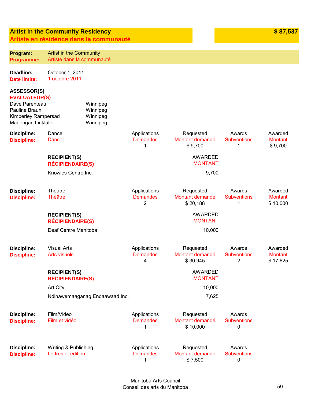### **Artist in the Community Residency Artiste en résidence da**

**Program: Programme:** 

**Deadline: Date limite:** 

**ASSESSOR(S) ÉVALUATEUR(S)** Dave Parenteau Pauline Braun

**Discipline: Discipline:** 

**Discipline: Discipline:** 

**Discipline: Discipline:** 

Kimberley Rampersad Maeengan Linklater

|                                                | sidence dans la communiquie                  |                                                   |                                          |                                   |                                       |
|------------------------------------------------|----------------------------------------------|---------------------------------------------------|------------------------------------------|-----------------------------------|---------------------------------------|
| <b>Artist in the Community</b>                 |                                              |                                                   |                                          |                                   |                                       |
| Artiste dans la communauté                     |                                              |                                                   |                                          |                                   |                                       |
| October 1, 2011<br>1 octobre 2011              |                                              |                                                   |                                          |                                   |                                       |
| S)                                             |                                              |                                                   |                                          |                                   |                                       |
| ersad<br>ater                                  | Winnipeg<br>Winnipeg<br>Winnipeg<br>Winnipeg |                                                   |                                          |                                   |                                       |
| Dance<br><b>Danse</b>                          |                                              | Applications<br><b>Demandes</b><br>1              | Requested<br>Montant demandé<br>\$9,700  | Awards<br><b>Subventions</b><br>1 | Awarded<br><b>Montant</b><br>\$9,700  |
| <b>RECIPIENT(S)</b><br><b>RÉCIPIENDAIRE(S)</b> |                                              |                                                   | <b>AWARDED</b><br><b>MONTANT</b>         |                                   |                                       |
| Knowles Centre Inc.                            |                                              |                                                   | 9,700                                    |                                   |                                       |
| <b>Theatre</b><br><b>Théâtre</b>               |                                              | Applications<br><b>Demandes</b><br>$\overline{2}$ | Requested<br>Montant demandé<br>\$20,188 | Awards<br><b>Subventions</b><br>1 | Awarded<br><b>Montant</b><br>\$10,000 |
| <b>RECIPIENT(S)</b><br><b>RÉCIPIENDAIRE(S)</b> |                                              |                                                   | <b>AWARDED</b><br><b>MONTANT</b>         |                                   |                                       |
| Deaf Centre Manitoba                           |                                              |                                                   | 10,000                                   |                                   |                                       |
| <b>Visual Arts</b><br><b>Arts visuels</b>      |                                              | Applications<br><b>Demandes</b><br>$\overline{4}$ | Requested<br>Montant demandé<br>\$30,945 | Awards<br><b>Subventions</b><br>2 | Awarded<br><b>Montant</b><br>\$17,625 |

**RECIPIENT(S) RÉCIPIENDAIRE(S)** AWARDED MONTANT Art City the contract of the contract of the contract of the contract of the contract of the contract of the contract of the contract of the contract of the contract of the contract of the contract of the contract of the c Ndinawemaaganag Endaawaad Inc. **7,625 Discipline: Discipline:**  Film/Video Film et vidéo Applications **Demandes** 1 Requested Montant demandé \$ 10,000 Awards **Subventions** 0 Awards

**Discipline: Discipline:**  Writing & Publishing Lettres et édition Applications **Demandes** 1 Requested Montant demandé \$ 7,500 **Subventions**  $\Omega$ 

**\$87.53**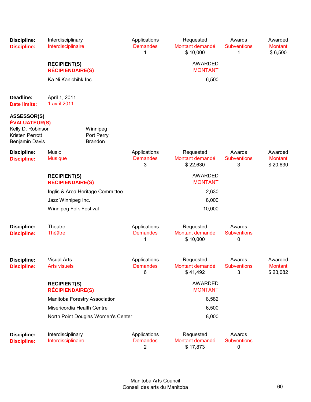| <b>Discipline:</b><br><b>Discipline:</b>                                                                    | Interdisciplinary<br>Interdisciplinaire        |                                          | Applications<br><b>Demandes</b><br>1              | Requested<br>Montant demandé<br>\$10,000 | Awards<br><b>Subventions</b><br>1 | Awarded<br><b>Montant</b><br>\$6,500  |
|-------------------------------------------------------------------------------------------------------------|------------------------------------------------|------------------------------------------|---------------------------------------------------|------------------------------------------|-----------------------------------|---------------------------------------|
|                                                                                                             | <b>RECIPIENT(S)</b><br><b>RÉCIPIENDAIRE(S)</b> |                                          |                                                   | <b>AWARDED</b><br><b>MONTANT</b>         |                                   |                                       |
|                                                                                                             | Ka Ni Kanichihk Inc                            |                                          |                                                   | 6,500                                    |                                   |                                       |
| Deadline:<br><b>Date limite:</b>                                                                            | April 1, 2011<br>1 avril 2011                  |                                          |                                                   |                                          |                                   |                                       |
| <b>ASSESSOR(S)</b><br><b>ÉVALUATEUR(S)</b><br>Kelly D. Robinson<br>Kristen Perrott<br><b>Benjamin Davis</b> |                                                | Winnipeg<br>Port Perry<br><b>Brandon</b> |                                                   |                                          |                                   |                                       |
| <b>Discipline:</b><br><b>Discipline:</b>                                                                    | Music<br><b>Musique</b>                        |                                          | Applications<br><b>Demandes</b><br>3              | Requested<br>Montant demandé<br>\$22,630 | Awards<br><b>Subventions</b><br>3 | Awarded<br><b>Montant</b><br>\$20,630 |
|                                                                                                             | <b>RECIPIENT(S)</b><br><b>RÉCIPIENDAIRE(S)</b> |                                          |                                                   | <b>AWARDED</b><br><b>MONTANT</b>         |                                   |                                       |
|                                                                                                             |                                                | Inglis & Area Heritage Committee         |                                                   | 2,630                                    |                                   |                                       |
|                                                                                                             | Jazz Winnipeg Inc.                             |                                          |                                                   | 8,000                                    |                                   |                                       |
|                                                                                                             | <b>Winnipeg Folk Festival</b>                  |                                          |                                                   | 10,000                                   |                                   |                                       |
| <b>Discipline:</b><br><b>Discipline:</b>                                                                    | Theatre<br><b>Théâtre</b>                      |                                          | Applications<br><b>Demandes</b><br>1              | Requested<br>Montant demandé<br>\$10,000 | Awards<br><b>Subventions</b><br>0 |                                       |
| <b>Discipline:</b><br><b>Discipline:</b>                                                                    | <b>Visual Arts</b><br><b>Arts visuels</b>      |                                          | Applications<br><b>Demandes</b><br>6              | Requested<br>Montant demandé<br>\$41,492 | Awards<br><b>Subventions</b><br>3 | Awarded<br>Montant<br>\$23,082        |
|                                                                                                             | <b>RECIPIENT(S)</b><br><b>RÉCIPIENDAIRE(S)</b> |                                          |                                                   | <b>AWARDED</b><br><b>MONTANT</b>         |                                   |                                       |
|                                                                                                             | Manitoba Forestry Association                  |                                          |                                                   | 8,582                                    |                                   |                                       |
|                                                                                                             | Misericordia Health Centre                     |                                          |                                                   | 6,500                                    |                                   |                                       |
|                                                                                                             |                                                | North Point Douglas Women's Center       |                                                   | 8,000                                    |                                   |                                       |
| <b>Discipline:</b><br><b>Discipline:</b>                                                                    | Interdisciplinary<br>Interdisciplinaire        |                                          | Applications<br><b>Demandes</b><br>$\overline{2}$ | Requested<br>Montant demandé<br>\$17,873 | Awards<br><b>Subventions</b><br>0 |                                       |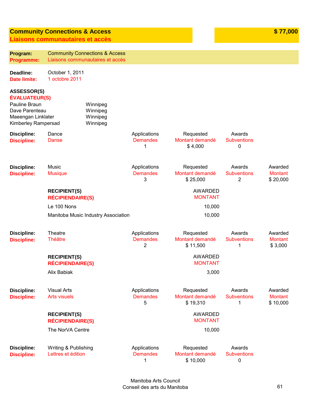### **Community Connections & Access Liaisons communautaires et accès**

| Program:<br><b>Programme:</b>                                                                                              |                                                | <b>Community Connections &amp; Access</b><br>Liaisons communautaires et accès |                                      |                                          |                                                |                                       |
|----------------------------------------------------------------------------------------------------------------------------|------------------------------------------------|-------------------------------------------------------------------------------|--------------------------------------|------------------------------------------|------------------------------------------------|---------------------------------------|
| Deadline:<br><b>Date limite:</b>                                                                                           | October 1, 2011<br>1 octobre 2011              |                                                                               |                                      |                                          |                                                |                                       |
| <b>ASSESSOR(S)</b><br><b>ÉVALUATEUR(S)</b><br>Pauline Braun<br>Dave Parenteau<br>Maeengan Linklater<br>Kimberley Rampersad |                                                | Winnipeg<br>Winnipeg<br>Winnipeg<br>Winnipeg                                  |                                      |                                          |                                                |                                       |
| <b>Discipline:</b><br><b>Discipline:</b>                                                                                   | Dance<br><b>Danse</b>                          |                                                                               | Applications<br><b>Demandes</b><br>1 | Requested<br>Montant demandé<br>\$4,000  | Awards<br><b>Subventions</b><br>0              |                                       |
| <b>Discipline:</b><br><b>Discipline:</b>                                                                                   | Music<br><b>Musique</b>                        |                                                                               | Applications<br><b>Demandes</b><br>3 | Requested<br>Montant demandé<br>\$25,000 | Awards<br><b>Subventions</b><br>$\overline{2}$ | Awarded<br><b>Montant</b><br>\$20,000 |
|                                                                                                                            | <b>RECIPIENT(S)</b><br><b>RÉCIPIENDAIRE(S)</b> |                                                                               |                                      | <b>AWARDED</b><br><b>MONTANT</b>         |                                                |                                       |
|                                                                                                                            | Le 100 Nons                                    |                                                                               |                                      | 10,000                                   |                                                |                                       |
|                                                                                                                            |                                                | Manitoba Music Industry Association                                           |                                      | 10,000                                   |                                                |                                       |
| <b>Discipline:</b><br><b>Discipline:</b>                                                                                   | Theatre<br><b>Théâtre</b>                      |                                                                               | Applications<br><b>Demandes</b><br>2 | Requested<br>Montant demandé<br>\$11,500 | Awards<br><b>Subventions</b><br>1              | Awarded<br><b>Montant</b><br>\$3,000  |
|                                                                                                                            | <b>RECIPIENT(S)</b><br><b>RÉCIPIENDAIRE(S)</b> |                                                                               |                                      | <b>AWARDED</b><br><b>MONTANT</b>         |                                                |                                       |
|                                                                                                                            | Alix Babiak                                    |                                                                               |                                      | 3,000                                    |                                                |                                       |
| <b>Discipline:</b><br><b>Discipline:</b>                                                                                   | <b>Visual Arts</b><br><b>Arts visuels</b>      |                                                                               | Applications<br><b>Demandes</b><br>5 | Requested<br>Montant demandé<br>\$19,310 | Awards<br><b>Subventions</b><br>1              | Awarded<br><b>Montant</b><br>\$10,000 |
|                                                                                                                            | <b>RECIPIENT(S)</b><br><b>RÉCIPIENDAIRE(S)</b> |                                                                               |                                      | <b>AWARDED</b><br><b>MONTANT</b>         |                                                |                                       |
|                                                                                                                            | The NorVA Centre                               |                                                                               |                                      | 10,000                                   |                                                |                                       |
| <b>Discipline:</b><br><b>Discipline:</b>                                                                                   | Writing & Publishing<br>Lettres et édition     |                                                                               | Applications<br><b>Demandes</b><br>1 | Requested<br>Montant demandé<br>\$10,000 | Awards<br><b>Subventions</b><br>0              |                                       |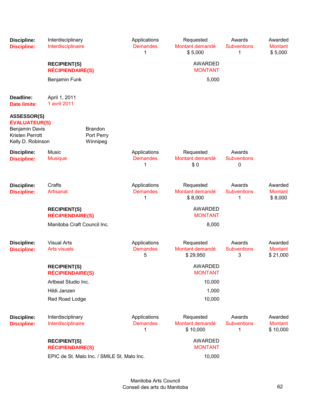| <b>Discipline:</b><br><b>Discipline:</b>                                                                    | Interdisciplinary<br>Interdisciplinaire        |                                             | Applications<br><b>Demandes</b><br>1 | Requested<br>Montant demandé<br>\$5,000  | Awards<br><b>Subventions</b><br>1 | Awarded<br><b>Montant</b><br>\$5,000  |
|-------------------------------------------------------------------------------------------------------------|------------------------------------------------|---------------------------------------------|--------------------------------------|------------------------------------------|-----------------------------------|---------------------------------------|
|                                                                                                             | <b>RECIPIENT(S)</b><br><b>RÉCIPIENDAIRE(S)</b> |                                             |                                      | <b>AWARDED</b><br><b>MONTANT</b>         |                                   |                                       |
|                                                                                                             | Benjamin Funk                                  |                                             |                                      | 5,000                                    |                                   |                                       |
| Deadline:<br><b>Date limite:</b>                                                                            | April 1, 2011<br>1 avril 2011                  |                                             |                                      |                                          |                                   |                                       |
| <b>ASSESSOR(S)</b><br><b>ÉVALUATEUR(S)</b><br>Benjamin Davis<br><b>Kristen Perrott</b><br>Kelly D. Robinson |                                                | <b>Brandon</b><br>Port Perry<br>Winnipeg    |                                      |                                          |                                   |                                       |
| <b>Discipline:</b><br><b>Discipline:</b>                                                                    | Music<br><b>Musique</b>                        |                                             | Applications<br><b>Demandes</b><br>1 | Requested<br>Montant demandé<br>\$0      | Awards<br><b>Subventions</b><br>0 |                                       |
| <b>Discipline:</b><br><b>Discipline:</b>                                                                    | Crafts<br>Artisanat                            |                                             | Applications<br><b>Demandes</b><br>1 | Requested<br>Montant demandé<br>\$8,000  | Awards<br><b>Subventions</b><br>1 | Awarded<br><b>Montant</b><br>\$8,000  |
|                                                                                                             | <b>RECIPIENT(S)</b><br><b>RÉCIPIENDAIRE(S)</b> |                                             |                                      | <b>AWARDED</b><br><b>MONTANT</b>         |                                   |                                       |
|                                                                                                             | Manitoba Craft Council Inc.                    |                                             |                                      | 8,000                                    |                                   |                                       |
| <b>Discipline:</b><br><b>Discipline:</b>                                                                    | <b>Visual Arts</b><br><b>Arts visuels</b>      |                                             | Applications<br><b>Demandes</b><br>5 | Requested<br>Montant demandé<br>\$29,950 | Awards<br><b>Subventions</b><br>3 | Awarded<br><b>Montant</b><br>\$21,000 |
|                                                                                                             | <b>RECIPIENT(S)</b><br><b>RÉCIPIENDAIRE(S)</b> |                                             |                                      | <b>AWARDED</b><br><b>MONTANT</b>         |                                   |                                       |
|                                                                                                             | Artbeat Studio Inc.                            |                                             |                                      | 10,000                                   |                                   |                                       |
|                                                                                                             | Hildi Janzen                                   |                                             |                                      | 1,000                                    |                                   |                                       |
|                                                                                                             | Red Road Lodge                                 |                                             |                                      | 10,000                                   |                                   |                                       |
| <b>Discipline:</b><br><b>Discipline:</b>                                                                    | Interdisciplinary<br>Interdisciplinaire        |                                             | Applications<br><b>Demandes</b><br>1 | Requested<br>Montant demandé<br>\$10,000 | Awards<br><b>Subventions</b><br>1 | Awarded<br><b>Montant</b><br>\$10,000 |
|                                                                                                             | <b>RECIPIENT(S)</b><br><b>RÉCIPIENDAIRE(S)</b> |                                             |                                      | <b>AWARDED</b><br><b>MONTANT</b>         |                                   |                                       |
|                                                                                                             |                                                | EPIC de St. Malo Inc. / SMILE St. Malo Inc. |                                      | 10,000                                   |                                   |                                       |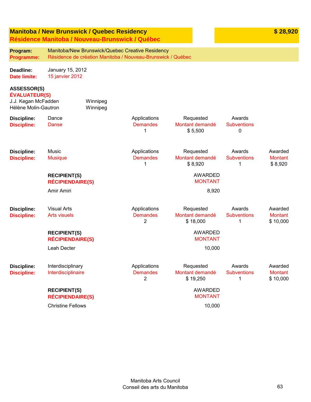# **Manitoba / New Brunswick / Quebec Residency**

**Program:** 

**\$ 28,920**

**Résidence Manitoba / Nouveau-Brunswick / Québec**

Manitoba/New Brunswick/Quebec Creative Residency

| Programme:                                                                                | Résidence de création Manitoba / Nouveau-Brunswick / Québec |                      |                                                 |                                          |                                   |                                       |
|-------------------------------------------------------------------------------------------|-------------------------------------------------------------|----------------------|-------------------------------------------------|------------------------------------------|-----------------------------------|---------------------------------------|
| Deadline:<br><b>Date limite:</b>                                                          | January 15, 2012<br>15 janvier 2012                         |                      |                                                 |                                          |                                   |                                       |
| <b>ASSESSOR(S)</b><br><b>ÉVALUATEUR(S)</b><br>J.J. Kegan McFadden<br>Hélène Molin-Gautron |                                                             | Winnipeg<br>Winnipeg |                                                 |                                          |                                   |                                       |
| <b>Discipline:</b><br><b>Discipline:</b>                                                  | Dance<br><b>Danse</b>                                       |                      | Applications<br><b>Demandes</b><br>$\mathbf{1}$ | Requested<br>Montant demandé<br>\$5,500  | Awards<br><b>Subventions</b><br>0 |                                       |
| <b>Discipline:</b><br><b>Discipline:</b>                                                  | Music<br><b>Musique</b>                                     |                      | Applications<br><b>Demandes</b><br>1            | Requested<br>Montant demandé<br>\$8,920  | Awards<br><b>Subventions</b><br>1 | Awarded<br><b>Montant</b><br>\$8,920  |
|                                                                                           | <b>RECIPIENT(S)</b><br><b>RÉCIPIENDAIRE(S)</b>              |                      |                                                 | <b>AWARDED</b><br><b>MONTANT</b>         |                                   |                                       |
|                                                                                           | Amir Amiri                                                  |                      |                                                 | 8,920                                    |                                   |                                       |
| <b>Discipline:</b><br><b>Discipline:</b>                                                  | <b>Visual Arts</b><br><b>Arts visuels</b>                   |                      | Applications<br><b>Demandes</b><br>2            | Requested<br>Montant demandé<br>\$18,000 | Awards<br><b>Subventions</b><br>1 | Awarded<br><b>Montant</b><br>\$10,000 |
|                                                                                           | <b>RECIPIENT(S)</b><br><b>RÉCIPIENDAIRE(S)</b>              |                      |                                                 | <b>AWARDED</b><br><b>MONTANT</b>         |                                   |                                       |
|                                                                                           | Leah Decter                                                 |                      |                                                 | 10,000                                   |                                   |                                       |
| <b>Discipline:</b><br><b>Discipline:</b>                                                  | Interdisciplinary<br>Interdisciplinaire                     |                      | Applications<br><b>Demandes</b><br>2            | Requested<br>Montant demandé<br>\$19,250 | Awards<br><b>Subventions</b><br>1 | Awarded<br><b>Montant</b><br>\$10,000 |
|                                                                                           | <b>RECIPIENT(S)</b><br><b>RÉCIPIENDAIRE(S)</b>              |                      |                                                 | <b>AWARDED</b><br><b>MONTANT</b>         |                                   |                                       |
|                                                                                           | <b>Christine Fellows</b>                                    |                      |                                                 | 10,000                                   |                                   |                                       |